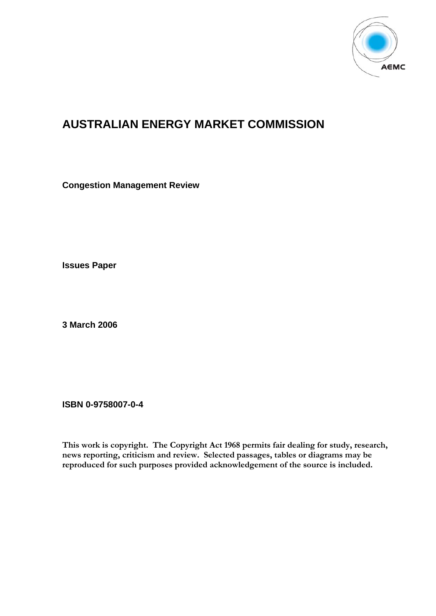

# **AUSTRALIAN ENERGY MARKET COMMISSION**

**Congestion Management Review** 

**Issues Paper** 

**3 March 2006** 

**ISBN 0-9758007-0-4** 

**This work is copyright. The Copyright Act 1968 permits fair dealing for study, research, news reporting, criticism and review. Selected passages, tables or diagrams may be reproduced for such purposes provided acknowledgement of the source is included.**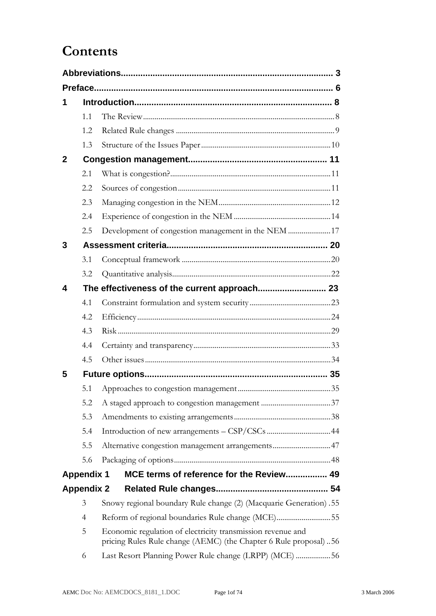# **Contents**

|             | 1.1               |                                                                                                                                  |
|-------------|-------------------|----------------------------------------------------------------------------------------------------------------------------------|
|             | 1.2               |                                                                                                                                  |
|             | 1.3               |                                                                                                                                  |
| $\mathbf 2$ |                   |                                                                                                                                  |
|             | 2.1               |                                                                                                                                  |
|             | 2.2               |                                                                                                                                  |
|             | 2.3               |                                                                                                                                  |
|             | 2.4               |                                                                                                                                  |
|             | 2.5               | Development of congestion management in the NEM 17                                                                               |
| 3           |                   |                                                                                                                                  |
|             | 3.1               |                                                                                                                                  |
|             | 3.2               |                                                                                                                                  |
| 4           |                   |                                                                                                                                  |
|             | 4.1               |                                                                                                                                  |
|             | 4.2               |                                                                                                                                  |
|             | 4.3               |                                                                                                                                  |
|             | 4.4               |                                                                                                                                  |
|             | 4.5               |                                                                                                                                  |
| 5           |                   |                                                                                                                                  |
|             | 5.1               |                                                                                                                                  |
|             | 5.2               |                                                                                                                                  |
|             | 5.3               |                                                                                                                                  |
|             | 5.4               |                                                                                                                                  |
|             | 5.5               | Alternative congestion management arrangements47                                                                                 |
|             | 5.6               |                                                                                                                                  |
|             | <b>Appendix 1</b> | MCE terms of reference for the Review 49                                                                                         |
|             | <b>Appendix 2</b> |                                                                                                                                  |
|             | 3                 | Snowy regional boundary Rule change (2) (Macquarie Generation) .55                                                               |
|             | $\overline{4}$    | Reform of regional boundaries Rule change (MCE)55                                                                                |
|             | 5                 | Economic regulation of electricity transmission revenue and<br>pricing Rules Rule change (AEMC) (the Chapter 6 Rule proposal) 56 |
|             | 6                 | Last Resort Planning Power Rule change (LRPP) (MCE) 56                                                                           |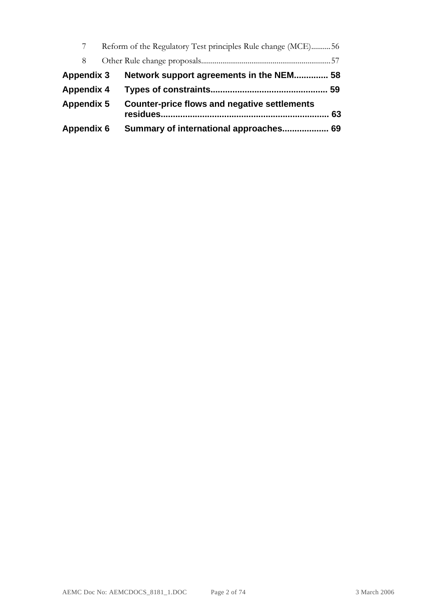|                   | Reform of the Regulatory Test principles Rule change (MCE)56 |    |
|-------------------|--------------------------------------------------------------|----|
| 8                 |                                                              |    |
| <b>Appendix 3</b> | Network support agreements in the NEM 58                     |    |
| <b>Appendix 4</b> |                                                              |    |
| <b>Appendix 5</b> | <b>Counter-price flows and negative settlements</b>          | 63 |
| <b>Appendix 6</b> | Summary of international approaches                          | 69 |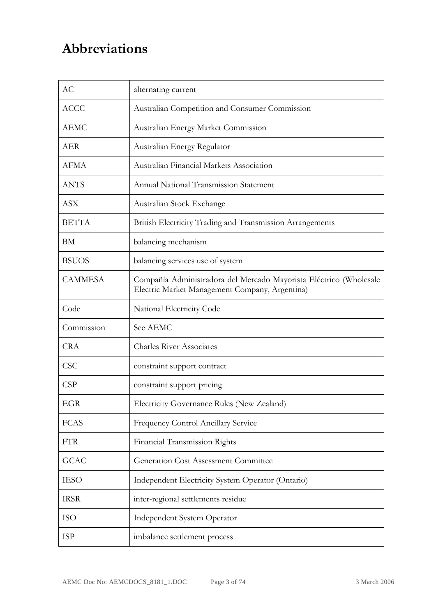# **Abbreviations**

| AC             | alternating current                                                                                                  |  |  |  |  |  |
|----------------|----------------------------------------------------------------------------------------------------------------------|--|--|--|--|--|
| <b>ACCC</b>    | Australian Competition and Consumer Commission                                                                       |  |  |  |  |  |
| <b>AEMC</b>    | Australian Energy Market Commission                                                                                  |  |  |  |  |  |
| <b>AER</b>     | Australian Energy Regulator                                                                                          |  |  |  |  |  |
| AFMA           | Australian Financial Markets Association                                                                             |  |  |  |  |  |
| <b>ANTS</b>    | Annual National Transmission Statement                                                                               |  |  |  |  |  |
| <b>ASX</b>     | Australian Stock Exchange                                                                                            |  |  |  |  |  |
| <b>BETTA</b>   | British Electricity Trading and Transmission Arrangements                                                            |  |  |  |  |  |
| BM             | balancing mechanism                                                                                                  |  |  |  |  |  |
| <b>BSUOS</b>   | balancing services use of system                                                                                     |  |  |  |  |  |
| <b>CAMMESA</b> | Compañía Administradora del Mercado Mayorista Eléctrico (Wholesale<br>Electric Market Management Company, Argentina) |  |  |  |  |  |
| Code           | National Electricity Code                                                                                            |  |  |  |  |  |
| Commission     | See AEMC                                                                                                             |  |  |  |  |  |
| <b>CRA</b>     | <b>Charles River Associates</b>                                                                                      |  |  |  |  |  |
| <b>CSC</b>     | constraint support contract                                                                                          |  |  |  |  |  |
| CSP            | constraint support pricing                                                                                           |  |  |  |  |  |
| EGR            | Electricity Governance Rules (New Zealand)                                                                           |  |  |  |  |  |
| <b>FCAS</b>    | Frequency Control Ancillary Service                                                                                  |  |  |  |  |  |
| <b>FTR</b>     | Financial Transmission Rights                                                                                        |  |  |  |  |  |
| <b>GCAC</b>    | Generation Cost Assessment Committee                                                                                 |  |  |  |  |  |
| <b>IESO</b>    | Independent Electricity System Operator (Ontario)                                                                    |  |  |  |  |  |
| <b>IRSR</b>    | inter-regional settlements residue                                                                                   |  |  |  |  |  |
| <b>ISO</b>     | <b>Independent System Operator</b>                                                                                   |  |  |  |  |  |
|                |                                                                                                                      |  |  |  |  |  |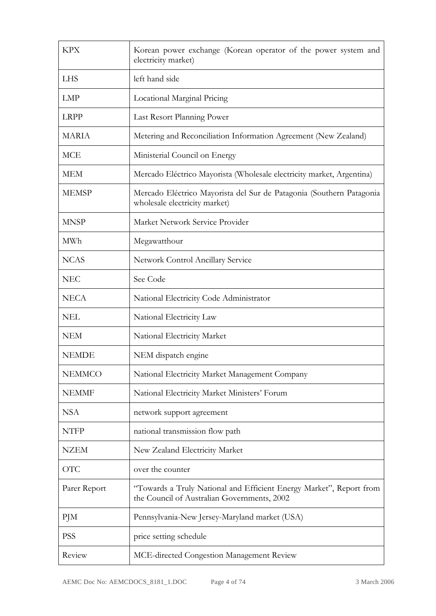| <b>KPX</b>                                                                                                                         | Korean power exchange (Korean operator of the power system and<br>electricity market)                 |  |  |  |  |  |
|------------------------------------------------------------------------------------------------------------------------------------|-------------------------------------------------------------------------------------------------------|--|--|--|--|--|
| <b>LHS</b>                                                                                                                         | left hand side                                                                                        |  |  |  |  |  |
| <b>LMP</b>                                                                                                                         | Locational Marginal Pricing                                                                           |  |  |  |  |  |
| <b>LRPP</b>                                                                                                                        | Last Resort Planning Power                                                                            |  |  |  |  |  |
| <b>MARIA</b><br>Metering and Reconciliation Information Agreement (New Zealand)                                                    |                                                                                                       |  |  |  |  |  |
| <b>MCE</b>                                                                                                                         | Ministerial Council on Energy                                                                         |  |  |  |  |  |
| <b>MEM</b>                                                                                                                         | Mercado Eléctrico Mayorista (Wholesale electricity market, Argentina)                                 |  |  |  |  |  |
| <b>MEMSP</b>                                                                                                                       | Mercado Eléctrico Mayorista del Sur de Patagonia (Southern Patagonia<br>wholesale electricity market) |  |  |  |  |  |
| <b>MNSP</b>                                                                                                                        | Market Network Service Provider                                                                       |  |  |  |  |  |
| MWh                                                                                                                                | Megawatthour                                                                                          |  |  |  |  |  |
| <b>NCAS</b>                                                                                                                        | Network Control Ancillary Service                                                                     |  |  |  |  |  |
| <b>NEC</b>                                                                                                                         | See Code                                                                                              |  |  |  |  |  |
| <b>NECA</b>                                                                                                                        | National Electricity Code Administrator                                                               |  |  |  |  |  |
| <b>NEL</b>                                                                                                                         | National Electricity Law                                                                              |  |  |  |  |  |
| <b>NEM</b>                                                                                                                         | National Electricity Market                                                                           |  |  |  |  |  |
| <b>NEMDE</b>                                                                                                                       | NEM dispatch engine                                                                                   |  |  |  |  |  |
| <b>NEMMCO</b>                                                                                                                      | National Electricity Market Management Company                                                        |  |  |  |  |  |
| <b>NEMMF</b>                                                                                                                       | National Electricity Market Ministers' Forum                                                          |  |  |  |  |  |
| <b>NSA</b>                                                                                                                         | network support agreement                                                                             |  |  |  |  |  |
| <b>NTFP</b>                                                                                                                        | national transmission flow path                                                                       |  |  |  |  |  |
| <b>NZEM</b>                                                                                                                        | New Zealand Electricity Market                                                                        |  |  |  |  |  |
| <b>OTC</b>                                                                                                                         | over the counter                                                                                      |  |  |  |  |  |
| "Towards a Truly National and Efficient Energy Market", Report from<br>Parer Report<br>the Council of Australian Governments, 2002 |                                                                                                       |  |  |  |  |  |
| PJM                                                                                                                                | Pennsylvania-New Jersey-Maryland market (USA)                                                         |  |  |  |  |  |
| <b>PSS</b>                                                                                                                         | price setting schedule                                                                                |  |  |  |  |  |
| Review                                                                                                                             | MCE-directed Congestion Management Review                                                             |  |  |  |  |  |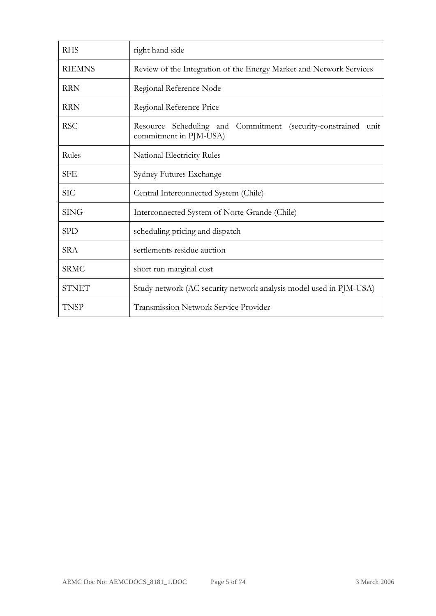| <b>RHS</b>    | right hand side                                                                            |  |  |  |  |  |  |  |  |
|---------------|--------------------------------------------------------------------------------------------|--|--|--|--|--|--|--|--|
| <b>RIEMNS</b> | Review of the Integration of the Energy Market and Network Services                        |  |  |  |  |  |  |  |  |
| <b>RRN</b>    | Regional Reference Node                                                                    |  |  |  |  |  |  |  |  |
| <b>RRN</b>    | Regional Reference Price                                                                   |  |  |  |  |  |  |  |  |
| <b>RSC</b>    | Resource Scheduling and Commitment (security-constrained<br>unit<br>commitment in PJM-USA) |  |  |  |  |  |  |  |  |
| Rules         | National Electricity Rules                                                                 |  |  |  |  |  |  |  |  |
| <b>SFE</b>    | Sydney Futures Exchange                                                                    |  |  |  |  |  |  |  |  |
| <b>SIC</b>    | Central Interconnected System (Chile)                                                      |  |  |  |  |  |  |  |  |
| <b>SING</b>   | Interconnected System of Norte Grande (Chile)                                              |  |  |  |  |  |  |  |  |
| <b>SPD</b>    | scheduling pricing and dispatch                                                            |  |  |  |  |  |  |  |  |
| <b>SRA</b>    | settlements residue auction                                                                |  |  |  |  |  |  |  |  |
| <b>SRMC</b>   | short run marginal cost                                                                    |  |  |  |  |  |  |  |  |
| <b>STNET</b>  | Study network (AC security network analysis model used in PJM-USA)                         |  |  |  |  |  |  |  |  |
| <b>TNSP</b>   | <b>Transmission Network Service Provider</b>                                               |  |  |  |  |  |  |  |  |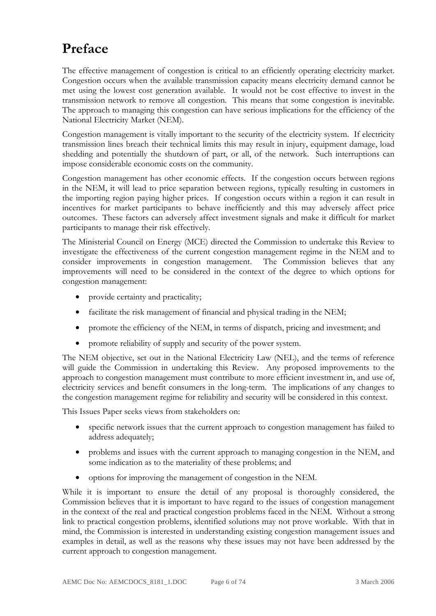# **Preface**

The effective management of congestion is critical to an efficiently operating electricity market. Congestion occurs when the available transmission capacity means electricity demand cannot be met using the lowest cost generation available. It would not be cost effective to invest in the transmission network to remove all congestion. This means that some congestion is inevitable. The approach to managing this congestion can have serious implications for the efficiency of the National Electricity Market (NEM).

Congestion management is vitally important to the security of the electricity system. If electricity transmission lines breach their technical limits this may result in injury, equipment damage, load shedding and potentially the shutdown of part, or all, of the network. Such interruptions can impose considerable economic costs on the community.

Congestion management has other economic effects. If the congestion occurs between regions in the NEM, it will lead to price separation between regions, typically resulting in customers in the importing region paying higher prices. If congestion occurs within a region it can result in incentives for market participants to behave inefficiently and this may adversely affect price outcomes. These factors can adversely affect investment signals and make it difficult for market participants to manage their risk effectively.

The Ministerial Council on Energy (MCE) directed the Commission to undertake this Review to investigate the effectiveness of the current congestion management regime in the NEM and to consider improvements in congestion management. The Commission believes that any improvements will need to be considered in the context of the degree to which options for congestion management:

- provide certainty and practicality;
- facilitate the risk management of financial and physical trading in the NEM;
- promote the efficiency of the NEM, in terms of dispatch, pricing and investment; and
- promote reliability of supply and security of the power system.

The NEM objective, set out in the National Electricity Law (NEL), and the terms of reference will guide the Commission in undertaking this Review. Any proposed improvements to the approach to congestion management must contribute to more efficient investment in, and use of, electricity services and benefit consumers in the long-term. The implications of any changes to the congestion management regime for reliability and security will be considered in this context.

This Issues Paper seeks views from stakeholders on:

- specific network issues that the current approach to congestion management has failed to address adequately;
- problems and issues with the current approach to managing congestion in the NEM, and some indication as to the materiality of these problems; and
- options for improving the management of congestion in the NEM.

While it is important to ensure the detail of any proposal is thoroughly considered, the Commission believes that it is important to have regard to the issues of congestion management in the context of the real and practical congestion problems faced in the NEM. Without a strong link to practical congestion problems, identified solutions may not prove workable. With that in mind, the Commission is interested in understanding existing congestion management issues and examples in detail, as well as the reasons why these issues may not have been addressed by the current approach to congestion management.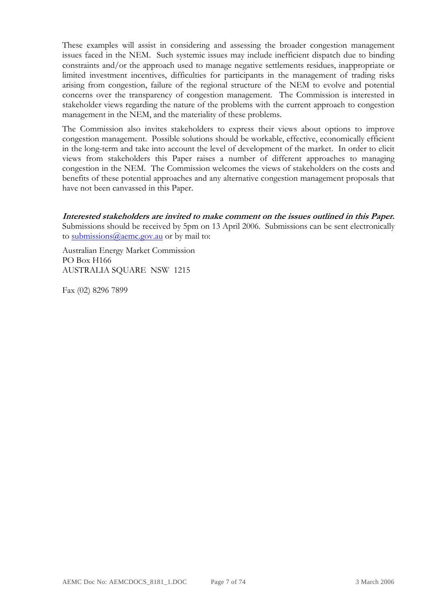These examples will assist in considering and assessing the broader congestion management issues faced in the NEM. Such systemic issues may include inefficient dispatch due to binding constraints and/or the approach used to manage negative settlements residues, inappropriate or limited investment incentives, difficulties for participants in the management of trading risks arising from congestion, failure of the regional structure of the NEM to evolve and potential concerns over the transparency of congestion management. The Commission is interested in stakeholder views regarding the nature of the problems with the current approach to congestion management in the NEM, and the materiality of these problems.

The Commission also invites stakeholders to express their views about options to improve congestion management. Possible solutions should be workable, effective, economically efficient in the long-term and take into account the level of development of the market. In order to elicit views from stakeholders this Paper raises a number of different approaches to managing congestion in the NEM. The Commission welcomes the views of stakeholders on the costs and benefits of these potential approaches and any alternative congestion management proposals that have not been canvassed in this Paper.

**Interested stakeholders are invited to make comment on the issues outlined in this Paper.** Submissions should be received by 5pm on 13 April 2006. Submissions can be sent electronically to submissions@aemc.gov.au or by mail to:

Australian Energy Market Commission PO Box H166 AUSTRALIA SQUARE NSW 1215

Fax (02) 8296 7899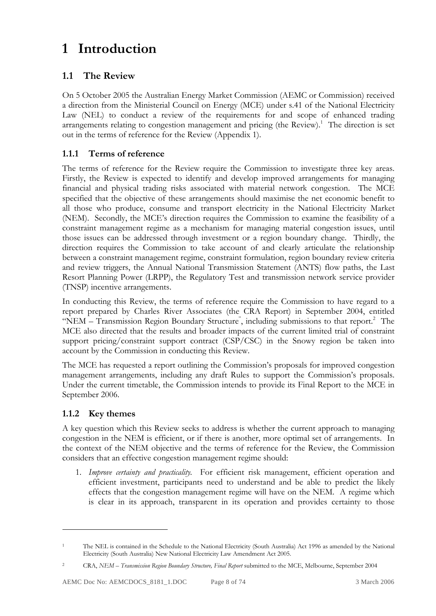# **1 Introduction**

# **1.1 The Review**

On 5 October 2005 the Australian Energy Market Commission (AEMC or Commission) received a direction from the Ministerial Council on Energy (MCE) under s.41 of the National Electricity Law (NEL) to conduct a review of the requirements for and scope of enhanced trading arrangements relating to congestion management and pricing (the Review).<sup>1</sup> The direction is set out in the terms of reference for the Review (Appendix 1).

### **1.1.1 Terms of reference**

The terms of reference for the Review require the Commission to investigate three key areas. Firstly, the Review is expected to identify and develop improved arrangements for managing financial and physical trading risks associated with material network congestion. The MCE specified that the objective of these arrangements should maximise the net economic benefit to all those who produce, consume and transport electricity in the National Electricity Market (NEM). Secondly, the MCE's direction requires the Commission to examine the feasibility of a constraint management regime as a mechanism for managing material congestion issues, until those issues can be addressed through investment or a region boundary change. Thirdly, the direction requires the Commission to take account of and clearly articulate the relationship between a constraint management regime, constraint formulation, region boundary review criteria and review triggers, the Annual National Transmission Statement (ANTS) flow paths, the Last Resort Planning Power (LRPP), the Regulatory Test and transmission network service provider (TNSP) incentive arrangements.

In conducting this Review, the terms of reference require the Commission to have regard to a report prepared by Charles River Associates (the CRA Report) in September 2004, entitled "NEM - Transmission Region Boundary Structure", including submissions to that report.<sup>2</sup> The MCE also directed that the results and broader impacts of the current limited trial of constraint support pricing/constraint support contract (CSP/CSC) in the Snowy region be taken into account by the Commission in conducting this Review.

The MCE has requested a report outlining the Commission's proposals for improved congestion management arrangements, including any draft Rules to support the Commission's proposals. Under the current timetable, the Commission intends to provide its Final Report to the MCE in September 2006.

### **1.1.2 Key themes**

<u>.</u>

A key question which this Review seeks to address is whether the current approach to managing congestion in the NEM is efficient, or if there is another, more optimal set of arrangements. In the context of the NEM objective and the terms of reference for the Review, the Commission considers that an effective congestion management regime should:

1. *Improve certainty and practicality.* For efficient risk management, efficient operation and efficient investment, participants need to understand and be able to predict the likely effects that the congestion management regime will have on the NEM. A regime which is clear in its approach, transparent in its operation and provides certainty to those

<sup>1</sup> The NEL is contained in the Schedule to the National Electricity (South Australia) Act 1996 as amended by the National Electricity (South Australia) New National Electricity Law Amendment Act 2005.

<sup>2</sup> CRA, *NEM – Transmission Region Boundary Structure, Final Report* submitted to the MCE, Melbourne, September 2004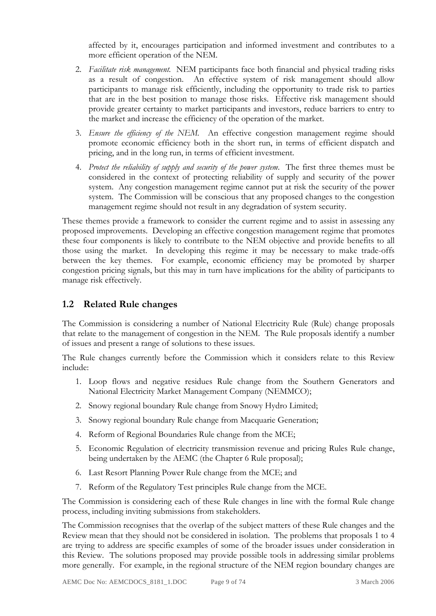affected by it, encourages participation and informed investment and contributes to a more efficient operation of the NEM.

- 2. *Facilitate risk management.* NEM participants face both financial and physical trading risks as a result of congestion. An effective system of risk management should allow participants to manage risk efficiently, including the opportunity to trade risk to parties that are in the best position to manage those risks. Effective risk management should provide greater certainty to market participants and investors, reduce barriers to entry to the market and increase the efficiency of the operation of the market.
- 3. *Ensure the efficiency of the NEM.* An effective congestion management regime should promote economic efficiency both in the short run, in terms of efficient dispatch and pricing, and in the long run, in terms of efficient investment.
- 4. *Protect the reliability of supply and security of the power system*. The first three themes must be considered in the context of protecting reliability of supply and security of the power system. Any congestion management regime cannot put at risk the security of the power system. The Commission will be conscious that any proposed changes to the congestion management regime should not result in any degradation of system security.

These themes provide a framework to consider the current regime and to assist in assessing any proposed improvements. Developing an effective congestion management regime that promotes these four components is likely to contribute to the NEM objective and provide benefits to all those using the market. In developing this regime it may be necessary to make trade-offs between the key themes. For example, economic efficiency may be promoted by sharper congestion pricing signals, but this may in turn have implications for the ability of participants to manage risk effectively.

### **1.2 Related Rule changes**

The Commission is considering a number of National Electricity Rule (Rule) change proposals that relate to the management of congestion in the NEM. The Rule proposals identify a number of issues and present a range of solutions to these issues.

The Rule changes currently before the Commission which it considers relate to this Review include:

- 1. Loop flows and negative residues Rule change from the Southern Generators and National Electricity Market Management Company (NEMMCO);
- 2. Snowy regional boundary Rule change from Snowy Hydro Limited;
- 3. Snowy regional boundary Rule change from Macquarie Generation;
- 4. Reform of Regional Boundaries Rule change from the MCE;
- 5. Economic Regulation of electricity transmission revenue and pricing Rules Rule change, being undertaken by the AEMC (the Chapter 6 Rule proposal);
- 6. Last Resort Planning Power Rule change from the MCE; and
- 7. Reform of the Regulatory Test principles Rule change from the MCE.

The Commission is considering each of these Rule changes in line with the formal Rule change process, including inviting submissions from stakeholders.

The Commission recognises that the overlap of the subject matters of these Rule changes and the Review mean that they should not be considered in isolation. The problems that proposals 1 to 4 are trying to address are specific examples of some of the broader issues under consideration in this Review. The solutions proposed may provide possible tools in addressing similar problems more generally. For example, in the regional structure of the NEM region boundary changes are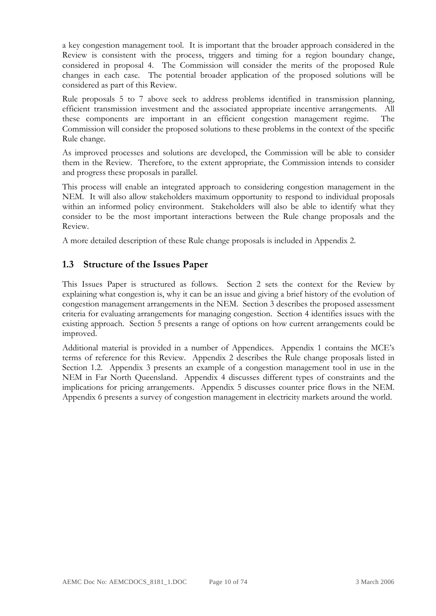a key congestion management tool. It is important that the broader approach considered in the Review is consistent with the process, triggers and timing for a region boundary change, considered in proposal 4. The Commission will consider the merits of the proposed Rule changes in each case. The potential broader application of the proposed solutions will be considered as part of this Review.

Rule proposals 5 to 7 above seek to address problems identified in transmission planning, efficient transmission investment and the associated appropriate incentive arrangements. All these components are important in an efficient congestion management regime. The Commission will consider the proposed solutions to these problems in the context of the specific Rule change.

As improved processes and solutions are developed, the Commission will be able to consider them in the Review. Therefore, to the extent appropriate, the Commission intends to consider and progress these proposals in parallel.

This process will enable an integrated approach to considering congestion management in the NEM. It will also allow stakeholders maximum opportunity to respond to individual proposals within an informed policy environment. Stakeholders will also be able to identify what they consider to be the most important interactions between the Rule change proposals and the Review.

A more detailed description of these Rule change proposals is included in Appendix 2.

## **1.3 Structure of the Issues Paper**

This Issues Paper is structured as follows. Section 2 sets the context for the Review by explaining what congestion is, why it can be an issue and giving a brief history of the evolution of congestion management arrangements in the NEM. Section 3 describes the proposed assessment criteria for evaluating arrangements for managing congestion. Section 4 identifies issues with the existing approach. Section 5 presents a range of options on how current arrangements could be improved.

Additional material is provided in a number of Appendices. Appendix 1 contains the MCE's terms of reference for this Review. Appendix 2 describes the Rule change proposals listed in Section 1.2. Appendix 3 presents an example of a congestion management tool in use in the NEM in Far North Queensland. Appendix 4 discusses different types of constraints and the implications for pricing arrangements. Appendix 5 discusses counter price flows in the NEM. Appendix 6 presents a survey of congestion management in electricity markets around the world.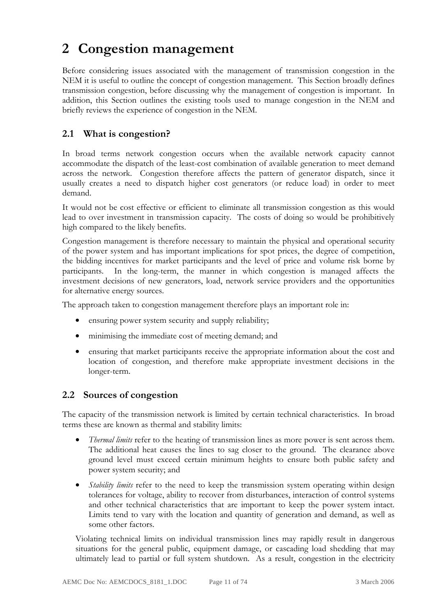# **2 Congestion management**

Before considering issues associated with the management of transmission congestion in the NEM it is useful to outline the concept of congestion management. This Section broadly defines transmission congestion, before discussing why the management of congestion is important. In addition, this Section outlines the existing tools used to manage congestion in the NEM and briefly reviews the experience of congestion in the NEM.

# **2.1 What is congestion?**

In broad terms network congestion occurs when the available network capacity cannot accommodate the dispatch of the least-cost combination of available generation to meet demand across the network. Congestion therefore affects the pattern of generator dispatch, since it usually creates a need to dispatch higher cost generators (or reduce load) in order to meet demand.

It would not be cost effective or efficient to eliminate all transmission congestion as this would lead to over investment in transmission capacity. The costs of doing so would be prohibitively high compared to the likely benefits.

Congestion management is therefore necessary to maintain the physical and operational security of the power system and has important implications for spot prices, the degree of competition, the bidding incentives for market participants and the level of price and volume risk borne by participants. In the long-term, the manner in which congestion is managed affects the investment decisions of new generators, load, network service providers and the opportunities for alternative energy sources.

The approach taken to congestion management therefore plays an important role in:

- ensuring power system security and supply reliability;
- minimising the immediate cost of meeting demand; and
- ensuring that market participants receive the appropriate information about the cost and location of congestion, and therefore make appropriate investment decisions in the longer-term.

### **2.2 Sources of congestion**

The capacity of the transmission network is limited by certain technical characteristics. In broad terms these are known as thermal and stability limits:

- *Thermal limits* refer to the heating of transmission lines as more power is sent across them. The additional heat causes the lines to sag closer to the ground. The clearance above ground level must exceed certain minimum heights to ensure both public safety and power system security; and
- *Stability limits* refer to the need to keep the transmission system operating within design tolerances for voltage, ability to recover from disturbances, interaction of control systems and other technical characteristics that are important to keep the power system intact. Limits tend to vary with the location and quantity of generation and demand, as well as some other factors.

Violating technical limits on individual transmission lines may rapidly result in dangerous situations for the general public, equipment damage, or cascading load shedding that may ultimately lead to partial or full system shutdown. As a result, congestion in the electricity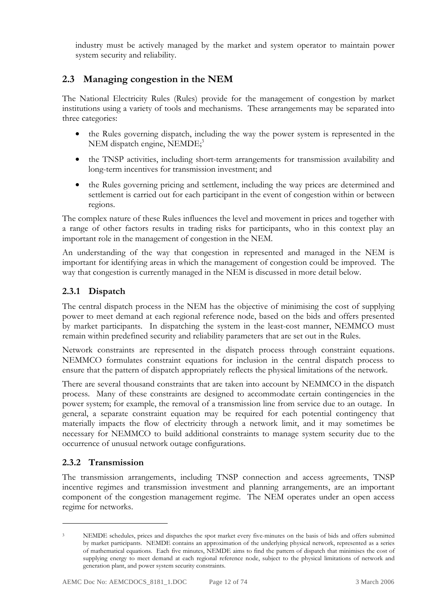industry must be actively managed by the market and system operator to maintain power system security and reliability.

# **2.3 Managing congestion in the NEM**

The National Electricity Rules (Rules) provide for the management of congestion by market institutions using a variety of tools and mechanisms. These arrangements may be separated into three categories:

- the Rules governing dispatch, including the way the power system is represented in the NEM dispatch engine, NEMDE;<sup>3</sup>
- the TNSP activities, including short-term arrangements for transmission availability and long-term incentives for transmission investment; and
- the Rules governing pricing and settlement, including the way prices are determined and settlement is carried out for each participant in the event of congestion within or between regions.

The complex nature of these Rules influences the level and movement in prices and together with a range of other factors results in trading risks for participants, who in this context play an important role in the management of congestion in the NEM.

An understanding of the way that congestion in represented and managed in the NEM is important for identifying areas in which the management of congestion could be improved. The way that congestion is currently managed in the NEM is discussed in more detail below.

### **2.3.1 Dispatch**

The central dispatch process in the NEM has the objective of minimising the cost of supplying power to meet demand at each regional reference node, based on the bids and offers presented by market participants. In dispatching the system in the least-cost manner, NEMMCO must remain within predefined security and reliability parameters that are set out in the Rules.

Network constraints are represented in the dispatch process through constraint equations. NEMMCO formulates constraint equations for inclusion in the central dispatch process to ensure that the pattern of dispatch appropriately reflects the physical limitations of the network.

There are several thousand constraints that are taken into account by NEMMCO in the dispatch process. Many of these constraints are designed to accommodate certain contingencies in the power system; for example, the removal of a transmission line from service due to an outage. In general, a separate constraint equation may be required for each potential contingency that materially impacts the flow of electricity through a network limit, and it may sometimes be necessary for NEMMCO to build additional constraints to manage system security due to the occurrence of unusual network outage configurations.

### **2.3.2 Transmission**

<u>.</u>

The transmission arrangements, including TNSP connection and access agreements, TNSP incentive regimes and transmission investment and planning arrangements, are an important component of the congestion management regime. The NEM operates under an open access regime for networks.

<sup>&</sup>lt;sup>3</sup> NEMDE schedules, prices and dispatches the spot market every five-minutes on the basis of bids and offers submitted by market participants. NEMDE contains an approximation of the underlying physical network, represented as a series of mathematical equations. Each five minutes, NEMDE aims to find the pattern of dispatch that minimises the cost of supplying energy to meet demand at each regional reference node, subject to the physical limitations of network and generation plant, and power system security constraints.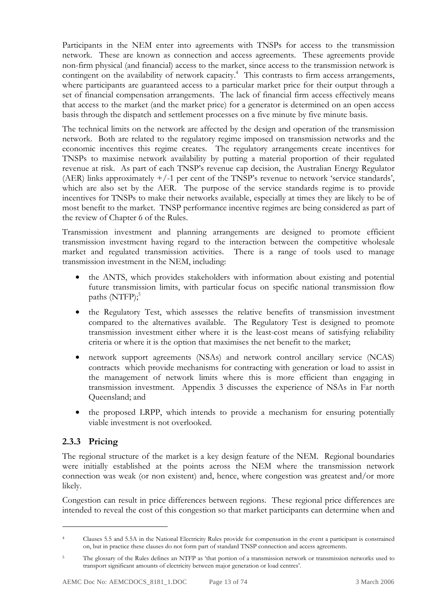Participants in the NEM enter into agreements with TNSPs for access to the transmission network. These are known as connection and access agreements. These agreements provide non-firm physical (and financial) access to the market, since access to the transmission network is contingent on the availability of network capacity.<sup>4</sup> This contrasts to firm access arrangements, where participants are guaranteed access to a particular market price for their output through a set of financial compensation arrangements. The lack of financial firm access effectively means that access to the market (and the market price) for a generator is determined on an open access basis through the dispatch and settlement processes on a five minute by five minute basis.

The technical limits on the network are affected by the design and operation of the transmission network. Both are related to the regulatory regime imposed on transmission networks and the economic incentives this regime creates. The regulatory arrangements create incentives for TNSPs to maximise network availability by putting a material proportion of their regulated revenue at risk. As part of each TNSP's revenue cap decision, the Australian Energy Regulator (AER) links approximately  $+/-1$  per cent of the TNSP's revenue to network 'service standards', which are also set by the AER. The purpose of the service standards regime is to provide incentives for TNSPs to make their networks available, especially at times they are likely to be of most benefit to the market. TNSP performance incentive regimes are being considered as part of the review of Chapter 6 of the Rules.

Transmission investment and planning arrangements are designed to promote efficient transmission investment having regard to the interaction between the competitive wholesale market and regulated transmission activities. There is a range of tools used to manage transmission investment in the NEM, including:

- the ANTS, which provides stakeholders with information about existing and potential future transmission limits, with particular focus on specific national transmission flow paths  $(NTFP);$ <sup>5</sup>
- the Regulatory Test, which assesses the relative benefits of transmission investment compared to the alternatives available. The Regulatory Test is designed to promote transmission investment either where it is the least-cost means of satisfying reliability criteria or where it is the option that maximises the net benefit to the market;
- network support agreements (NSAs) and network control ancillary service (NCAS) contracts which provide mechanisms for contracting with generation or load to assist in the management of network limits where this is more efficient than engaging in transmission investment. Appendix 3 discusses the experience of NSAs in Far north Queensland; and
- the proposed LRPP, which intends to provide a mechanism for ensuring potentially viable investment is not overlooked.

### **2.3.3 Pricing**

<u>.</u>

The regional structure of the market is a key design feature of the NEM. Regional boundaries were initially established at the points across the NEM where the transmission network connection was weak (or non existent) and, hence, where congestion was greatest and/or more likely.

Congestion can result in price differences between regions. These regional price differences are intended to reveal the cost of this congestion so that market participants can determine when and

<sup>4</sup> Clauses 5.5 and 5.5A in the National Electricity Rules provide for compensation in the event a participant is constrained on, but in practice these clauses do not form part of standard TNSP connection and access agreements.

The glossary of the Rules defines an NTFP as 'that portion of a transmission network or transmission networks used to transport significant amounts of electricity between major generation or load centres'.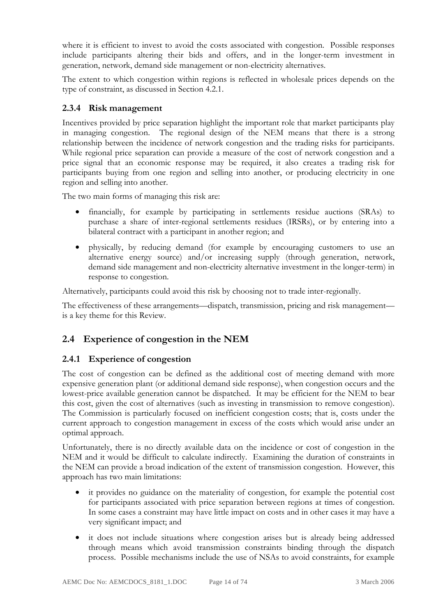where it is efficient to invest to avoid the costs associated with congestion. Possible responses include participants altering their bids and offers, and in the longer-term investment in generation, network, demand side management or non-electricity alternatives.

The extent to which congestion within regions is reflected in wholesale prices depends on the type of constraint, as discussed in Section 4.2.1.

### **2.3.4 Risk management**

Incentives provided by price separation highlight the important role that market participants play in managing congestion. The regional design of the NEM means that there is a strong relationship between the incidence of network congestion and the trading risks for participants. While regional price separation can provide a measure of the cost of network congestion and a price signal that an economic response may be required, it also creates a trading risk for participants buying from one region and selling into another, or producing electricity in one region and selling into another.

The two main forms of managing this risk are:

- financially, for example by participating in settlements residue auctions (SRAs) to purchase a share of inter-regional settlements residues (IRSRs), or by entering into a bilateral contract with a participant in another region; and
- physically, by reducing demand (for example by encouraging customers to use an alternative energy source) and/or increasing supply (through generation, network, demand side management and non-electricity alternative investment in the longer-term) in response to congestion.

Alternatively, participants could avoid this risk by choosing not to trade inter-regionally.

The effectiveness of these arrangements—dispatch, transmission, pricing and risk management is a key theme for this Review.

# **2.4 Experience of congestion in the NEM**

### **2.4.1 Experience of congestion**

The cost of congestion can be defined as the additional cost of meeting demand with more expensive generation plant (or additional demand side response), when congestion occurs and the lowest-price available generation cannot be dispatched. It may be efficient for the NEM to bear this cost, given the cost of alternatives (such as investing in transmission to remove congestion). The Commission is particularly focused on inefficient congestion costs; that is, costs under the current approach to congestion management in excess of the costs which would arise under an optimal approach.

Unfortunately, there is no directly available data on the incidence or cost of congestion in the NEM and it would be difficult to calculate indirectly. Examining the duration of constraints in the NEM can provide a broad indication of the extent of transmission congestion. However, this approach has two main limitations:

- it provides no guidance on the materiality of congestion, for example the potential cost for participants associated with price separation between regions at times of congestion. In some cases a constraint may have little impact on costs and in other cases it may have a very significant impact; and
- it does not include situations where congestion arises but is already being addressed through means which avoid transmission constraints binding through the dispatch process. Possible mechanisms include the use of NSAs to avoid constraints, for example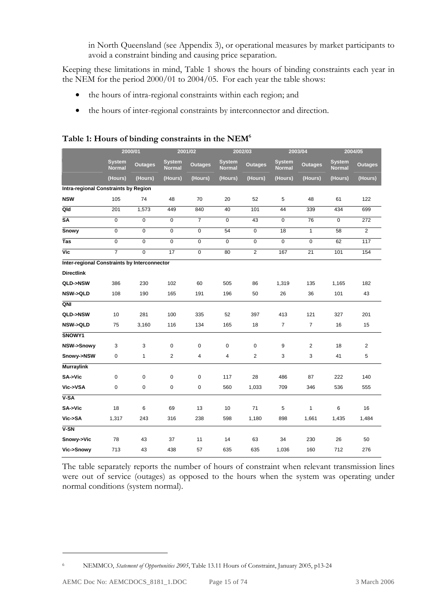in North Queensland (see Appendix 3), or operational measures by market participants to avoid a constraint binding and causing price separation.

Keeping these limitations in mind, Table 1 shows the hours of binding constraints each year in the NEM for the period 2000/01 to 2004/05. For each year the table shows:

- the hours of intra-regional constraints within each region; and
- the hours of inter-regional constraints by interconnector and direction.

|                                              | 2000/01                        |                | 2001/02                        |                         | 2002/03                        |                | 2003/04                        |                | 2004/05                        |                |
|----------------------------------------------|--------------------------------|----------------|--------------------------------|-------------------------|--------------------------------|----------------|--------------------------------|----------------|--------------------------------|----------------|
|                                              | <b>System</b><br><b>Normal</b> | <b>Outages</b> | <b>System</b><br><b>Normal</b> | <b>Outages</b>          | <b>System</b><br><b>Normal</b> | <b>Outages</b> | <b>System</b><br><b>Normal</b> | <b>Outages</b> | <b>System</b><br><b>Normal</b> | <b>Outages</b> |
|                                              | (Hours)                        | (Hours)        | (Hours)                        | (Hours)                 | (Hours)                        | (Hours)        | (Hours)                        | (Hours)        | (Hours)                        | (Hours)        |
| Intra-regional Constraints by Region         |                                |                |                                |                         |                                |                |                                |                |                                |                |
| <b>NSW</b>                                   | 105                            | 74             | 48                             | 70                      | 20                             | 52             | 5                              | 48             | 61                             | 122            |
| Qld                                          | 201                            | 1,573          | 449                            | 840                     | 40                             | 101            | 44                             | 339            | 434                            | 699            |
| $\overline{\text{SA}}$                       | 0                              | $\mathbf 0$    | $\mathbf 0$                    | $\overline{7}$          | 0                              | 43             | $\mathbf 0$                    | 76             | $\mathbf 0$                    | 272            |
| <b>Snowy</b>                                 | $\overline{0}$                 | $\overline{0}$ | $\overline{0}$                 | $\overline{0}$          | 54                             | $\overline{0}$ | 18                             | $\mathbf{1}$   | $\overline{58}$                | $\overline{2}$ |
| $\overline{Tas}$                             | 0                              | 0              | $\pmb{0}$                      | 0                       | $\pmb{0}$                      | $\overline{0}$ | $\overline{0}$                 | $\overline{0}$ | 62                             | 117            |
| $\overline{\mathsf{Vic}}$                    | 7                              | $\overline{0}$ | 17                             | $\overline{0}$          | 80                             | $\overline{2}$ | 167                            | 21             | 101                            | 154            |
| Inter-regional Constraints by Interconnector |                                |                |                                |                         |                                |                |                                |                |                                |                |
| <b>Directlink</b>                            |                                |                |                                |                         |                                |                |                                |                |                                |                |
| <b>QLD-&gt;NSW</b>                           | 386                            | 230            | 102                            | 60                      | 505                            | 86             | 1,319                          | 135            | 1,165                          | 182            |
| <b>NSW-&gt;QLD</b>                           | 108                            | 190            | 165                            | 191                     | 196                            | 50             | 26                             | 36             | 101                            | 43             |
| QNI                                          |                                |                |                                |                         |                                |                |                                |                |                                |                |
| QLD->NSW                                     | 10                             | 281            | 100                            | 335                     | 52                             | 397            | 413                            | 121            | 327                            | 201            |
| <b>NSW-&gt;QLD</b>                           | 75                             | 3,160          | 116                            | 134                     | 165                            | 18             | $\overline{7}$                 | $\overline{7}$ | 16                             | 15             |
| SNOWY1                                       |                                |                |                                |                         |                                |                |                                |                |                                |                |
| NSW->Snowy                                   | 3                              | 3              | $\mathbf 0$                    | 0                       | $\mathbf 0$                    | $\mathbf 0$    | 9                              | $\overline{2}$ | 18                             | $\overline{2}$ |
| Snowy->NSW                                   | 0                              | $\mathbf{1}$   | 2                              | $\overline{\mathbf{4}}$ | $\overline{4}$                 | 2              | 3                              | 3              | 41                             | 5              |
| <b>Murraylink</b>                            |                                |                |                                |                         |                                |                |                                |                |                                |                |
| SA->Vic                                      | 0                              | 0              | $\mathbf 0$                    | 0                       | 117                            | 28             | 486                            | 87             | 222                            | 140            |
| Vic->VSA                                     | 0                              | 0              | $\pmb{0}$                      | 0                       | 560                            | 1,033          | 709                            | 346            | 536                            | 555            |
| $V-SA$                                       |                                |                |                                |                         |                                |                |                                |                |                                |                |
| SA->Vic                                      | 18                             | 6              | 69                             | 13                      | 10                             | 71             | 5                              | $\mathbf{1}$   | 6                              | 16             |
| Vic->SA                                      | 1,317                          | 243            | 316                            | 238                     | 598                            | 1,180          | 898                            | 1,661          | 1,435                          | 1,484          |
| $V-SN$                                       |                                |                |                                |                         |                                |                |                                |                |                                |                |
| Snowy->Vic                                   | 78                             | 43             | 37                             | 11                      | 14                             | 63             | 34                             | 230            | 26                             | 50             |
| Vic->Snowy                                   | 713                            | 43             | 438                            | 57                      | 635                            | 635            | 1,036                          | 160            | 712                            | 276            |

#### **Table 1: Hours of binding constraints in the NEM6**

The table separately reports the number of hours of constraint when relevant transmission lines were out of service (outages) as opposed to the hours when the system was operating under normal conditions (system normal).

<sup>6</sup> NEMMCO, *Statement of Opportunities 2005*, Table 13.11 Hours of Constraint, January 2005, p13-24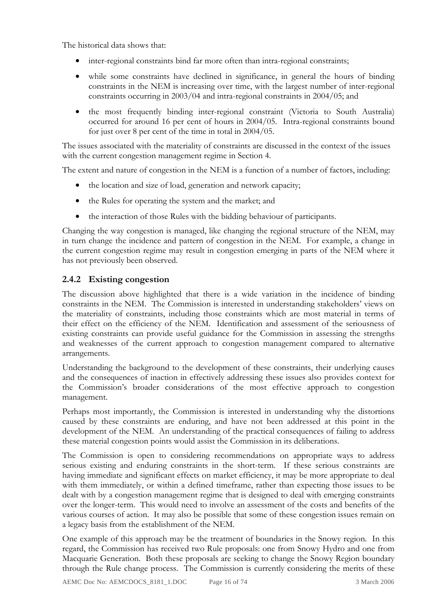The historical data shows that:

- inter-regional constraints bind far more often than intra-regional constraints;
- while some constraints have declined in significance, in general the hours of binding constraints in the NEM is increasing over time, with the largest number of inter-regional constraints occurring in 2003/04 and intra-regional constraints in 2004/05; and
- the most frequently binding inter-regional constraint (Victoria to South Australia) occurred for around 16 per cent of hours in 2004/05. Intra-regional constraints bound for just over 8 per cent of the time in total in 2004/05.

The issues associated with the materiality of constraints are discussed in the context of the issues with the current congestion management regime in Section 4.

The extent and nature of congestion in the NEM is a function of a number of factors, including:

- the location and size of load, generation and network capacity;
- the Rules for operating the system and the market; and
- the interaction of those Rules with the bidding behaviour of participants.

Changing the way congestion is managed, like changing the regional structure of the NEM, may in turn change the incidence and pattern of congestion in the NEM. For example, a change in the current congestion regime may result in congestion emerging in parts of the NEM where it has not previously been observed.

### **2.4.2 Existing congestion**

The discussion above highlighted that there is a wide variation in the incidence of binding constraints in the NEM. The Commission is interested in understanding stakeholders' views on the materiality of constraints, including those constraints which are most material in terms of their effect on the efficiency of the NEM. Identification and assessment of the seriousness of existing constraints can provide useful guidance for the Commission in assessing the strengths and weaknesses of the current approach to congestion management compared to alternative arrangements.

Understanding the background to the development of these constraints, their underlying causes and the consequences of inaction in effectively addressing these issues also provides context for the Commission's broader considerations of the most effective approach to congestion management.

Perhaps most importantly, the Commission is interested in understanding why the distortions caused by these constraints are enduring, and have not been addressed at this point in the development of the NEM. An understanding of the practical consequences of failing to address these material congestion points would assist the Commission in its deliberations.

The Commission is open to considering recommendations on appropriate ways to address serious existing and enduring constraints in the short-term. If these serious constraints are having immediate and significant effects on market efficiency, it may be more appropriate to deal with them immediately, or within a defined timeframe, rather than expecting those issues to be dealt with by a congestion management regime that is designed to deal with emerging constraints over the longer-term. This would need to involve an assessment of the costs and benefits of the various courses of action. It may also be possible that some of these congestion issues remain on a legacy basis from the establishment of the NEM.

One example of this approach may be the treatment of boundaries in the Snowy region. In this regard, the Commission has received two Rule proposals: one from Snowy Hydro and one from Macquarie Generation. Both these proposals are seeking to change the Snowy Region boundary through the Rule change process. The Commission is currently considering the merits of these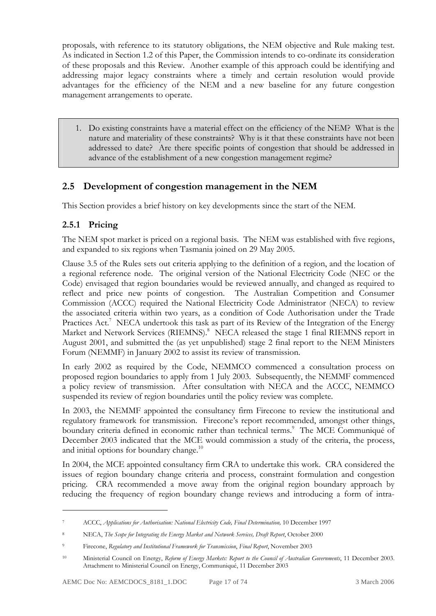proposals, with reference to its statutory obligations, the NEM objective and Rule making test. As indicated in Section 1.2 of this Paper, the Commission intends to co-ordinate its consideration of these proposals and this Review. Another example of this approach could be identifying and addressing major legacy constraints where a timely and certain resolution would provide advantages for the efficiency of the NEM and a new baseline for any future congestion management arrangements to operate.

1. Do existing constraints have a material effect on the efficiency of the NEM? What is the nature and materiality of these constraints? Why is it that these constraints have not been addressed to date? Are there specific points of congestion that should be addressed in advance of the establishment of a new congestion management regime?

## **2.5 Development of congestion management in the NEM**

This Section provides a brief history on key developments since the start of the NEM.

### **2.5.1 Pricing**

<u>.</u>

The NEM spot market is priced on a regional basis. The NEM was established with five regions, and expanded to six regions when Tasmania joined on 29 May 2005.

Clause 3.5 of the Rules sets out criteria applying to the definition of a region, and the location of a regional reference node. The original version of the National Electricity Code (NEC or the Code) envisaged that region boundaries would be reviewed annually, and changed as required to reflect and price new points of congestion. The Australian Competition and Consumer Commission (ACCC) required the National Electricity Code Administrator (NECA) to review the associated criteria within two years, as a condition of Code Authorisation under the Trade Practices Act.<sup>7</sup> NECA undertook this task as part of its Review of the Integration of the Energy Market and Network Services (RIEMNS).<sup>8</sup> NECA released the stage 1 final RIEMNS report in August 2001, and submitted the (as yet unpublished) stage 2 final report to the NEM Ministers Forum (NEMMF) in January 2002 to assist its review of transmission.

In early 2002 as required by the Code, NEMMCO commenced a consultation process on proposed region boundaries to apply from 1 July 2003. Subsequently, the NEMMF commenced a policy review of transmission. After consultation with NECA and the ACCC, NEMMCO suspended its review of region boundaries until the policy review was complete.

In 2003, the NEMMF appointed the consultancy firm Firecone to review the institutional and regulatory framework for transmission. Firecone's report recommended, amongst other things, boundary criteria defined in economic rather than technical terms.<sup>9</sup> The MCE Communiqué of December 2003 indicated that the MCE would commission a study of the criteria, the process, and initial options for boundary change.<sup>10</sup>

In 2004, the MCE appointed consultancy firm CRA to undertake this work. CRA considered the issues of region boundary change criteria and process, constraint formulation and congestion pricing. CRA recommended a move away from the original region boundary approach by reducing the frequency of region boundary change reviews and introducing a form of intra-

<sup>7</sup> ACCC, *Applications for Authorisation: National Electricity Code, Final Determination,* 10 December 1997

<sup>8</sup> NECA, *The Scope for Integrating the Energy Market and Network Services, Draft Report*, October 2000

<sup>9</sup> Firecone, *Regulatory and Institutional Framework for Transmission*, *Final Report*, November 2003

<sup>10</sup> Ministerial Council on Energy, *Reform of Energy Markets: Report to the Council of Australian Governments*, 11 December 2003. Attachment to Ministerial Council on Energy, Communiqué, 11 December 2003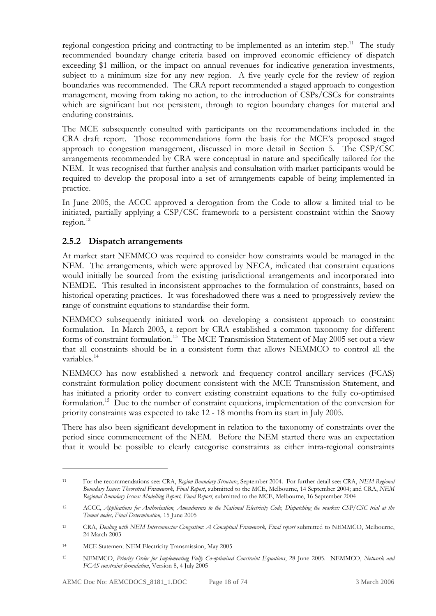regional congestion pricing and contracting to be implemented as an interim step.<sup>11</sup> The study recommended boundary change criteria based on improved economic efficiency of dispatch exceeding \$1 million, or the impact on annual revenues for indicative generation investments, subject to a minimum size for any new region. A five yearly cycle for the review of region boundaries was recommended. The CRA report recommended a staged approach to congestion management, moving from taking no action, to the introduction of CSPs/CSCs for constraints which are significant but not persistent, through to region boundary changes for material and enduring constraints.

The MCE subsequently consulted with participants on the recommendations included in the CRA draft report. Those recommendations form the basis for the MCE's proposed staged approach to congestion management, discussed in more detail in Section 5. The CSP/CSC arrangements recommended by CRA were conceptual in nature and specifically tailored for the NEM. It was recognised that further analysis and consultation with market participants would be required to develop the proposal into a set of arrangements capable of being implemented in practice.

In June 2005, the ACCC approved a derogation from the Code to allow a limited trial to be initiated, partially applying a CSP/CSC framework to a persistent constraint within the Snowy  $region.<sup>12</sup>$ 

### **2.5.2 Dispatch arrangements**

At market start NEMMCO was required to consider how constraints would be managed in the NEM. The arrangements, which were approved by NECA, indicated that constraint equations would initially be sourced from the existing jurisdictional arrangements and incorporated into NEMDE. This resulted in inconsistent approaches to the formulation of constraints, based on historical operating practices. It was foreshadowed there was a need to progressively review the range of constraint equations to standardise their form.

NEMMCO subsequently initiated work on developing a consistent approach to constraint formulation. In March 2003, a report by CRA established a common taxonomy for different forms of constraint formulation.<sup>13</sup> The MCE Transmission Statement of May 2005 set out a view that all constraints should be in a consistent form that allows NEMMCO to control all the variables.<sup>14</sup>

NEMMCO has now established a network and frequency control ancillary services (FCAS) constraint formulation policy document consistent with the MCE Transmission Statement, and has initiated a priority order to convert existing constraint equations to the fully co-optimised formulation.<sup>15</sup> Due to the number of constraint equations, implementation of the conversion for priority constraints was expected to take 12 - 18 months from its start in July 2005.

There has also been significant development in relation to the taxonomy of constraints over the period since commencement of the NEM. Before the NEM started there was an expectation that it would be possible to clearly categorise constraints as either intra-regional constraints

<sup>11</sup> For the recommendations see: CRA, *Region Boundary Structure*, September 2004. For further detail see: CRA, *NEM Regional Boundary Issues: Theoretical Framework*, *Final Report*, submitted to the MCE, Melbourne, 14 September 2004; and CRA, *NEM Regional Boundary Issues: Modelling Report, Final Report*, submitted to the MCE, Melbourne, 16 September 2004

<sup>12</sup> ACCC, *Applications for Authorisation, Amendments to the National Electricity Code, Dispatching the market: CSP/CSC trial at the Tumut nodes, Final Determination,* 15 June 2005

<sup>13</sup> CRA, *Dealing with NEM Interconnector Congestion: A Conceptual Framework, Final report* submitted to NEMMCO, Melbourne, 24 March 2003

<sup>14</sup> MCE Statement NEM Electricity Transmission, May 2005

<sup>15</sup> NEMMCO, *Priority Order for Implementing Fully Co-optimised Constraint Equations*, 28 June 2005. NEMMCO, *Network and FCAS constraint formulation*, Version 8, 4 July 2005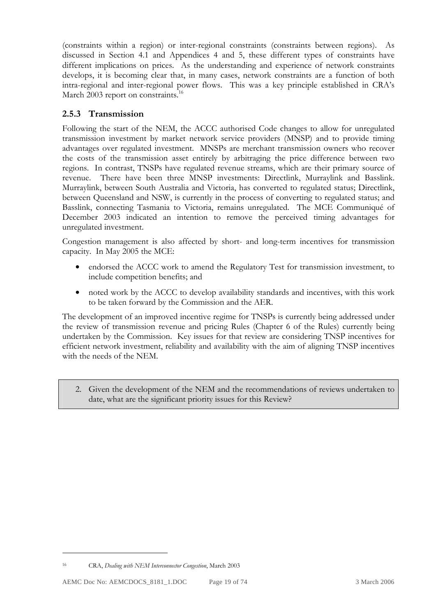(constraints within a region) or inter-regional constraints (constraints between regions). As discussed in Section 4.1 and Appendices 4 and 5, these different types of constraints have different implications on prices. As the understanding and experience of network constraints develops, it is becoming clear that, in many cases, network constraints are a function of both intra-regional and inter-regional power flows. This was a key principle established in CRA's March 2003 report on constraints.<sup>16</sup>

## **2.5.3 Transmission**

Following the start of the NEM, the ACCC authorised Code changes to allow for unregulated transmission investment by market network service providers (MNSP) and to provide timing advantages over regulated investment. MNSPs are merchant transmission owners who recover the costs of the transmission asset entirely by arbitraging the price difference between two regions. In contrast, TNSPs have regulated revenue streams, which are their primary source of revenue. There have been three MNSP investments: Directlink, Murraylink and Basslink. Murraylink, between South Australia and Victoria, has converted to regulated status; Directlink, between Queensland and NSW, is currently in the process of converting to regulated status; and Basslink, connecting Tasmania to Victoria, remains unregulated. The MCE Communiqué of December 2003 indicated an intention to remove the perceived timing advantages for unregulated investment.

Congestion management is also affected by short- and long-term incentives for transmission capacity. In May 2005 the MCE:

- endorsed the ACCC work to amend the Regulatory Test for transmission investment, to include competition benefits; and
- noted work by the ACCC to develop availability standards and incentives, with this work to be taken forward by the Commission and the AER.

The development of an improved incentive regime for TNSPs is currently being addressed under the review of transmission revenue and pricing Rules (Chapter 6 of the Rules) currently being undertaken by the Commission. Key issues for that review are considering TNSP incentives for efficient network investment, reliability and availability with the aim of aligning TNSP incentives with the needs of the NEM.

2. Given the development of the NEM and the recommendations of reviews undertaken to date, what are the significant priority issues for this Review?

<sup>16</sup> CRA, *Dealing with NEM Interconnector Congestion*, March 2003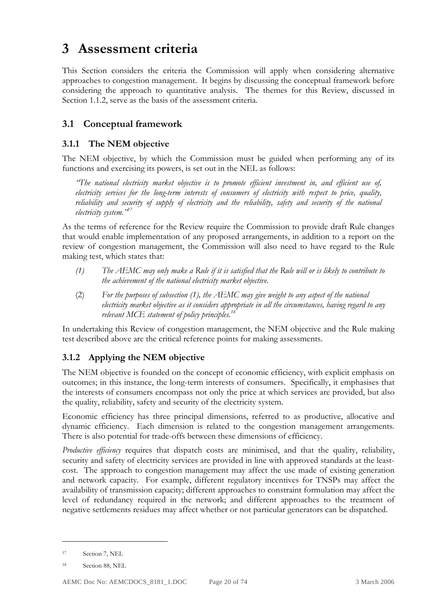# **3 Assessment criteria**

This Section considers the criteria the Commission will apply when considering alternative approaches to congestion management. It begins by discussing the conceptual framework before considering the approach to quantitative analysis. The themes for this Review, discussed in Section 1.1.2, serve as the basis of the assessment criteria.

# **3.1 Conceptual framework**

### **3.1.1 The NEM objective**

The NEM objective, by which the Commission must be guided when performing any of its functions and exercising its powers, is set out in the NEL as follows:

*"The national electricity market objective is to promote efficient investment in, and efficient use of, electricity services for the long-term interests of consumers of electricity with respect to price, quality, reliability and security of supply of electricity and the reliability, safety and security of the national electricity system."17*

As the terms of reference for the Review require the Commission to provide draft Rule changes that would enable implementation of any proposed arrangements, in addition to a report on the review of congestion management, the Commission will also need to have regard to the Rule making test, which states that:

- *(1) The AEMC may only make a Rule if it is satisfied that the Rule will or is likely to contribute to the achievement of the national electricity market objective.*
- (2) *For the purposes of subsection (1), the AEMC may give weight to any aspect of the national electricity market objective as it considers appropriate in all the circumstances, having regard to any relevant MCE statement of policy principles.18*

In undertaking this Review of congestion management, the NEM objective and the Rule making test described above are the critical reference points for making assessments.

### **3.1.2 Applying the NEM objective**

The NEM objective is founded on the concept of economic efficiency, with explicit emphasis on outcomes; in this instance, the long-term interests of consumers. Specifically, it emphasises that the interests of consumers encompass not only the price at which services are provided, but also the quality, reliability, safety and security of the electricity system.

Economic efficiency has three principal dimensions, referred to as productive, allocative and dynamic efficiency. Each dimension is related to the congestion management arrangements. There is also potential for trade-offs between these dimensions of efficiency.

*Productive efficiency* requires that dispatch costs are minimised, and that the quality, reliability, security and safety of electricity services are provided in line with approved standards at the leastcost. The approach to congestion management may affect the use made of existing generation and network capacity. For example, different regulatory incentives for TNSPs may affect the availability of transmission capacity; different approaches to constraint formulation may affect the level of redundancy required in the network; and different approaches to the treatment of negative settlements residues may affect whether or not particular generators can be dispatched.

<sup>17</sup> Section 7, NEL

<sup>18</sup> Section 88, NEL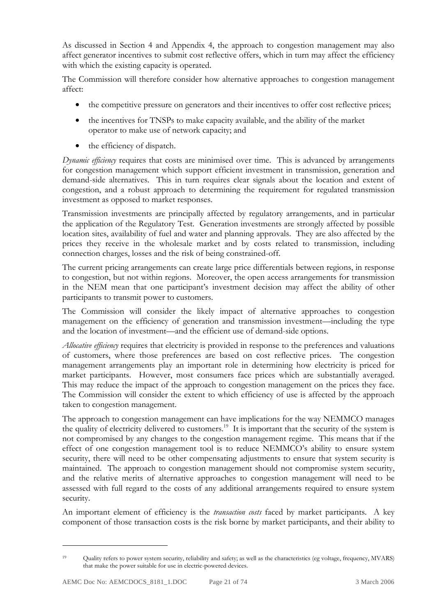As discussed in Section 4 and Appendix 4, the approach to congestion management may also affect generator incentives to submit cost reflective offers, which in turn may affect the efficiency with which the existing capacity is operated.

The Commission will therefore consider how alternative approaches to congestion management affect:

- the competitive pressure on generators and their incentives to offer cost reflective prices;
- the incentives for TNSPs to make capacity available, and the ability of the market operator to make use of network capacity; and
- the efficiency of dispatch.

*Dynamic efficiency* requires that costs are minimised over time. This is advanced by arrangements for congestion management which support efficient investment in transmission, generation and demand-side alternatives. This in turn requires clear signals about the location and extent of congestion, and a robust approach to determining the requirement for regulated transmission investment as opposed to market responses.

Transmission investments are principally affected by regulatory arrangements, and in particular the application of the Regulatory Test. Generation investments are strongly affected by possible location sites, availability of fuel and water and planning approvals. They are also affected by the prices they receive in the wholesale market and by costs related to transmission, including connection charges, losses and the risk of being constrained-off.

The current pricing arrangements can create large price differentials between regions, in response to congestion, but not within regions. Moreover, the open access arrangements for transmission in the NEM mean that one participant's investment decision may affect the ability of other participants to transmit power to customers.

The Commission will consider the likely impact of alternative approaches to congestion management on the efficiency of generation and transmission investment—including the type and the location of investment—and the efficient use of demand-side options.

*Allocative efficiency* requires that electricity is provided in response to the preferences and valuations of customers, where those preferences are based on cost reflective prices. The congestion management arrangements play an important role in determining how electricity is priced for market participants. However, most consumers face prices which are substantially averaged. This may reduce the impact of the approach to congestion management on the prices they face. The Commission will consider the extent to which efficiency of use is affected by the approach taken to congestion management.

The approach to congestion management can have implications for the way NEMMCO manages the quality of electricity delivered to customers.<sup>19</sup> It is important that the security of the system is not compromised by any changes to the congestion management regime. This means that if the effect of one congestion management tool is to reduce NEMMCO's ability to ensure system security, there will need to be other compensating adjustments to ensure that system security is maintained. The approach to congestion management should not compromise system security, and the relative merits of alternative approaches to congestion management will need to be assessed with full regard to the costs of any additional arrangements required to ensure system security.

An important element of efficiency is the *transaction costs* faced by market participants. A key component of those transaction costs is the risk borne by market participants, and their ability to

<sup>19</sup> Quality refers to power system security, reliability and safety; as well as the characteristics (eg voltage, frequency, MVARS) that make the power suitable for use in electric-powered devices.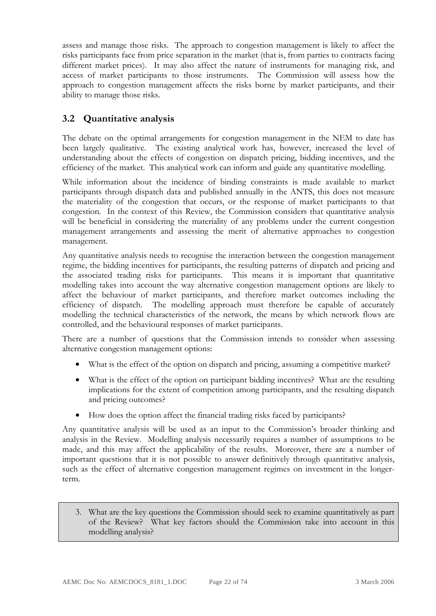assess and manage those risks. The approach to congestion management is likely to affect the risks participants face from price separation in the market (that is, from parties to contracts facing different market prices). It may also affect the nature of instruments for managing risk, and access of market participants to those instruments. The Commission will assess how the approach to congestion management affects the risks borne by market participants, and their ability to manage those risks.

# **3.2 Quantitative analysis**

The debate on the optimal arrangements for congestion management in the NEM to date has been largely qualitative. The existing analytical work has, however, increased the level of understanding about the effects of congestion on dispatch pricing, bidding incentives, and the efficiency of the market. This analytical work can inform and guide any quantitative modelling.

While information about the incidence of binding constraints is made available to market participants through dispatch data and published annually in the ANTS, this does not measure the materiality of the congestion that occurs, or the response of market participants to that congestion. In the context of this Review, the Commission considers that quantitative analysis will be beneficial in considering the materiality of any problems under the current congestion management arrangements and assessing the merit of alternative approaches to congestion management.

Any quantitative analysis needs to recognise the interaction between the congestion management regime, the bidding incentives for participants, the resulting patterns of dispatch and pricing and the associated trading risks for participants. This means it is important that quantitative modelling takes into account the way alternative congestion management options are likely to affect the behaviour of market participants, and therefore market outcomes including the efficiency of dispatch. The modelling approach must therefore be capable of accurately modelling the technical characteristics of the network, the means by which network flows are controlled, and the behavioural responses of market participants.

There are a number of questions that the Commission intends to consider when assessing alternative congestion management options:

- What is the effect of the option on dispatch and pricing, assuming a competitive market?
- What is the effect of the option on participant bidding incentives? What are the resulting implications for the extent of competition among participants, and the resulting dispatch and pricing outcomes?
- How does the option affect the financial trading risks faced by participants?

Any quantitative analysis will be used as an input to the Commission's broader thinking and analysis in the Review. Modelling analysis necessarily requires a number of assumptions to be made, and this may affect the applicability of the results. Moreover, there are a number of important questions that it is not possible to answer definitively through quantitative analysis, such as the effect of alternative congestion management regimes on investment in the longerterm.

3. What are the key questions the Commission should seek to examine quantitatively as part of the Review? What key factors should the Commission take into account in this modelling analysis?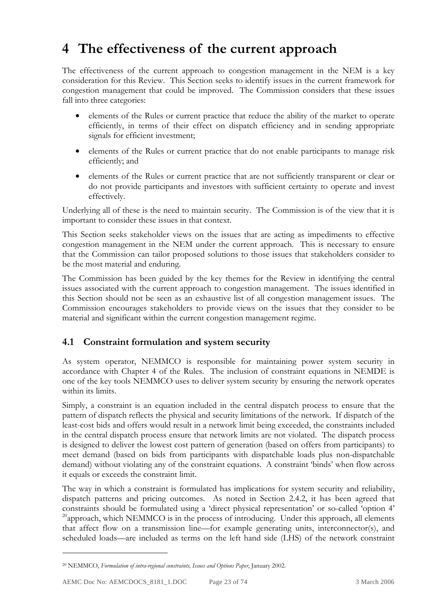# **4 The effectiveness of the current approach**

The effectiveness of the current approach to congestion management in the NEM is a key consideration for this Review. This Section seeks to identify issues in the current framework for congestion management that could be improved. The Commission considers that these issues fall into three categories:

- elements of the Rules or current practice that reduce the ability of the market to operate efficiently, in terms of their effect on dispatch efficiency and in sending appropriate signals for efficient investment;
- elements of the Rules or current practice that do not enable participants to manage risk efficiently; and
- elements of the Rules or current practice that are not sufficiently transparent or clear or do not provide participants and investors with sufficient certainty to operate and invest effectively.

Underlying all of these is the need to maintain security. The Commission is of the view that it is important to consider these issues in that context.

This Section seeks stakeholder views on the issues that are acting as impediments to effective congestion management in the NEM under the current approach. This is necessary to ensure that the Commission can tailor proposed solutions to those issues that stakeholders consider to be the most material and enduring.

The Commission has been guided by the key themes for the Review in identifying the central issues associated with the current approach to congestion management. The issues identified in this Section should not be seen as an exhaustive list of all congestion management issues. The Commission encourages stakeholders to provide views on the issues that they consider to be material and significant within the current congestion management regime.

### **4.1 Constraint formulation and system security**

As system operator, NEMMCO is responsible for maintaining power system security in accordance with Chapter 4 of the Rules. The inclusion of constraint equations in NEMDE is one of the key tools NEMMCO uses to deliver system security by ensuring the network operates within its limits.

Simply, a constraint is an equation included in the central dispatch process to ensure that the pattern of dispatch reflects the physical and security limitations of the network. If dispatch of the least-cost bids and offers would result in a network limit being exceeded, the constraints included in the central dispatch process ensure that network limits are not violated. The dispatch process is designed to deliver the lowest cost pattern of generation (based on offers from participants) to meet demand (based on bids from participants with dispatchable loads plus non-dispatchable demand) without violating any of the constraint equations. A constraint 'binds' when flow across it equals or exceeds the constraint limit.

The way in which a constraint is formulated has implications for system security and reliability, dispatch patterns and pricing outcomes. As noted in Section 2.4.2, it has been agreed that constraints should be formulated using a 'direct physical representation' or so-called 'option 4'  $20$ <sup>20</sup>approach, which NEMMCO is in the process of introducing. Under this approach, all elements that affect flow on a transmission line—for example generating units, interconnector(s), and scheduled loads—are included as terms on the left hand side (LHS) of the network constraint

<sup>20</sup> NEMMCO, *Formulation of intra-regional constraints, Issues and Options Paper*, January 2002.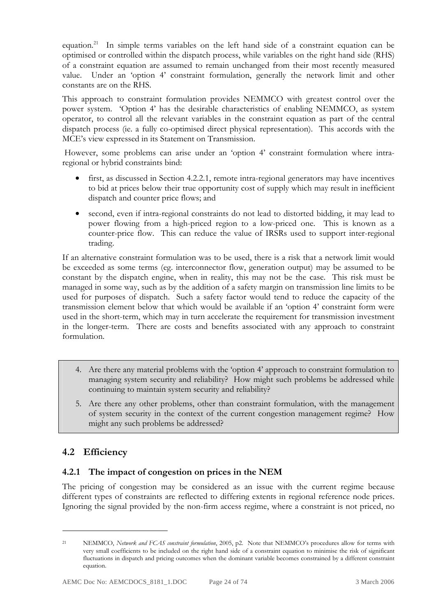equation.21 In simple terms variables on the left hand side of a constraint equation can be optimised or controlled within the dispatch process, while variables on the right hand side (RHS) of a constraint equation are assumed to remain unchanged from their most recently measured value. Under an 'option 4' constraint formulation, generally the network limit and other constants are on the RHS.

This approach to constraint formulation provides NEMMCO with greatest control over the power system. 'Option 4' has the desirable characteristics of enabling NEMMCO, as system operator, to control all the relevant variables in the constraint equation as part of the central dispatch process (ie. a fully co-optimised direct physical representation). This accords with the MCE's view expressed in its Statement on Transmission.

 However, some problems can arise under an 'option 4' constraint formulation where intraregional or hybrid constraints bind:

- first, as discussed in Section 4.2.2.1, remote intra-regional generators may have incentives to bid at prices below their true opportunity cost of supply which may result in inefficient dispatch and counter price flows; and
- second, even if intra-regional constraints do not lead to distorted bidding, it may lead to power flowing from a high-priced region to a low-priced one. This is known as a counter-price flow. This can reduce the value of IRSRs used to support inter-regional trading.

If an alternative constraint formulation was to be used, there is a risk that a network limit would be exceeded as some terms (eg. interconnector flow, generation output) may be assumed to be constant by the dispatch engine, when in reality, this may not be the case. This risk must be managed in some way, such as by the addition of a safety margin on transmission line limits to be used for purposes of dispatch. Such a safety factor would tend to reduce the capacity of the transmission element below that which would be available if an 'option 4' constraint form were used in the short-term, which may in turn accelerate the requirement for transmission investment in the longer-term. There are costs and benefits associated with any approach to constraint formulation.

- 4. Are there any material problems with the 'option 4' approach to constraint formulation to managing system security and reliability? How might such problems be addressed while continuing to maintain system security and reliability?
- 5. Are there any other problems, other than constraint formulation, with the management of system security in the context of the current congestion management regime? How might any such problems be addressed?

# **4.2 Efficiency**

<u>.</u>

### **4.2.1 The impact of congestion on prices in the NEM**

The pricing of congestion may be considered as an issue with the current regime because different types of constraints are reflected to differing extents in regional reference node prices. Ignoring the signal provided by the non-firm access regime, where a constraint is not priced, no

<sup>21</sup> NEMMCO, *Network and FCAS constraint formulation*, 2005, p2. Note that NEMMCO's procedures allow for terms with very small coefficients to be included on the right hand side of a constraint equation to minimise the risk of significant fluctuations in dispatch and pricing outcomes when the dominant variable becomes constrained by a different constraint equation.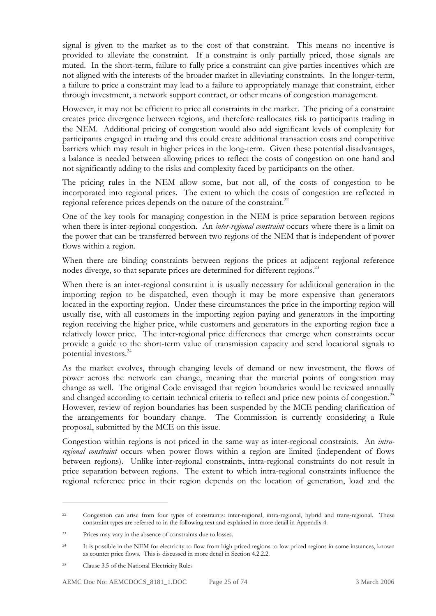signal is given to the market as to the cost of that constraint. This means no incentive is provided to alleviate the constraint. If a constraint is only partially priced, those signals are muted. In the short-term, failure to fully price a constraint can give parties incentives which are not aligned with the interests of the broader market in alleviating constraints. In the longer-term, a failure to price a constraint may lead to a failure to appropriately manage that constraint, either through investment, a network support contract, or other means of congestion management.

However, it may not be efficient to price all constraints in the market. The pricing of a constraint creates price divergence between regions, and therefore reallocates risk to participants trading in the NEM. Additional pricing of congestion would also add significant levels of complexity for participants engaged in trading and this could create additional transaction costs and competitive barriers which may result in higher prices in the long-term. Given these potential disadvantages, a balance is needed between allowing prices to reflect the costs of congestion on one hand and not significantly adding to the risks and complexity faced by participants on the other.

The pricing rules in the NEM allow some, but not all, of the costs of congestion to be incorporated into regional prices. The extent to which the costs of congestion are reflected in regional reference prices depends on the nature of the constraint.<sup>22</sup>

One of the key tools for managing congestion in the NEM is price separation between regions when there is inter-regional congestion. An *inter-regional constraint* occurs where there is a limit on the power that can be transferred between two regions of the NEM that is independent of power flows within a region.

When there are binding constraints between regions the prices at adjacent regional reference nodes diverge, so that separate prices are determined for different regions.<sup>23</sup>

When there is an inter-regional constraint it is usually necessary for additional generation in the importing region to be dispatched, even though it may be more expensive than generators located in the exporting region. Under these circumstances the price in the importing region will usually rise, with all customers in the importing region paying and generators in the importing region receiving the higher price, while customers and generators in the exporting region face a relatively lower price. The inter-regional price differences that emerge when constraints occur provide a guide to the short-term value of transmission capacity and send locational signals to potential investors.<sup>24</sup>

As the market evolves, through changing levels of demand or new investment, the flows of power across the network can change, meaning that the material points of congestion may change as well. The original Code envisaged that region boundaries would be reviewed annually and changed according to certain technical criteria to reflect and price new points of congestion.<sup>25</sup> However, review of region boundaries has been suspended by the MCE pending clarification of the arrangements for boundary change. The Commission is currently considering a Rule proposal, submitted by the MCE on this issue.

Congestion within regions is not priced in the same way as inter-regional constraints. An *intraregional constraint* occurs when power flows within a region are limited (independent of flows between regions). Unlike inter-regional constraints, intra-regional constraints do not result in price separation between regions. The extent to which intra-regional constraints influence the regional reference price in their region depends on the location of generation, load and the

<sup>22</sup> Congestion can arise from four types of constraints: inter-regional, intra-regional, hybrid and trans-regional. These constraint types are referred to in the following text and explained in more detail in Appendix 4.

<sup>23</sup> Prices may vary in the absence of constraints due to losses.

<sup>24</sup> It is possible in the NEM for electricity to flow from high priced regions to low priced regions in some instances, known as counter price flows. This is discussed in more detail in Section 4.2.2.2.

<sup>25</sup> Clause 3.5 of the National Electricity Rules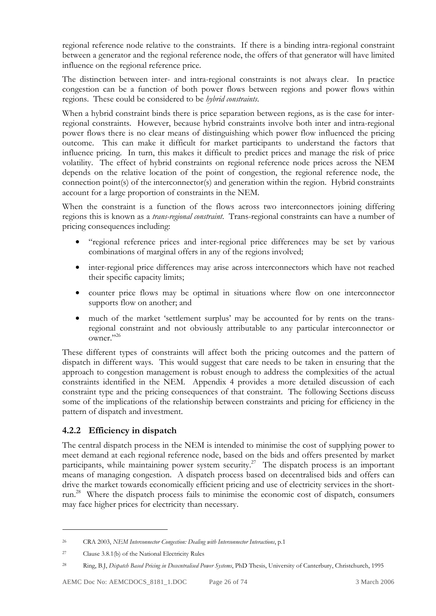regional reference node relative to the constraints. If there is a binding intra-regional constraint between a generator and the regional reference node, the offers of that generator will have limited influence on the regional reference price.

The distinction between inter- and intra-regional constraints is not always clear. In practice congestion can be a function of both power flows between regions and power flows within regions. These could be considered to be *hybrid constraints*.

When a hybrid constraint binds there is price separation between regions, as is the case for interregional constraints. However, because hybrid constraints involve both inter and intra-regional power flows there is no clear means of distinguishing which power flow influenced the pricing outcome. This can make it difficult for market participants to understand the factors that influence pricing. In turn, this makes it difficult to predict prices and manage the risk of price volatility. The effect of hybrid constraints on regional reference node prices across the NEM depends on the relative location of the point of congestion, the regional reference node, the connection point(s) of the interconnector(s) and generation within the region. Hybrid constraints account for a large proportion of constraints in the NEM.

When the constraint is a function of the flows across two interconnectors joining differing regions this is known as a *trans-regional constraint*. Trans-regional constraints can have a number of pricing consequences including:

- "regional reference prices and inter-regional price differences may be set by various combinations of marginal offers in any of the regions involved;
- inter-regional price differences may arise across interconnectors which have not reached their specific capacity limits;
- counter price flows may be optimal in situations where flow on one interconnector supports flow on another; and
- much of the market 'settlement surplus' may be accounted for by rents on the transregional constraint and not obviously attributable to any particular interconnector or owner."<sup>26</sup>

These different types of constraints will affect both the pricing outcomes and the pattern of dispatch in different ways. This would suggest that care needs to be taken in ensuring that the approach to congestion management is robust enough to address the complexities of the actual constraints identified in the NEM. Appendix 4 provides a more detailed discussion of each constraint type and the pricing consequences of that constraint. The following Sections discuss some of the implications of the relationship between constraints and pricing for efficiency in the pattern of dispatch and investment.

### **4.2.2 Efficiency in dispatch**

The central dispatch process in the NEM is intended to minimise the cost of supplying power to meet demand at each regional reference node, based on the bids and offers presented by market participants, while maintaining power system security.<sup>27</sup> The dispatch process is an important means of managing congestion. A dispatch process based on decentralised bids and offers can drive the market towards economically efficient pricing and use of electricity services in the shortrun.28 Where the dispatch process fails to minimise the economic cost of dispatch, consumers may face higher prices for electricity than necessary.

<sup>26</sup> CRA 2003, *NEM Interconnector Congestion: Dealing with Interconnector Interactions*, p.1

<sup>27</sup> Clause 3.8.1(b) of the National Electricity Rules

<sup>28</sup> Ring, B.J, *Dispatch Based Pricing in Dececntralised Power Systems*, PhD Thesis, University of Canterbury, Christchurch, 1995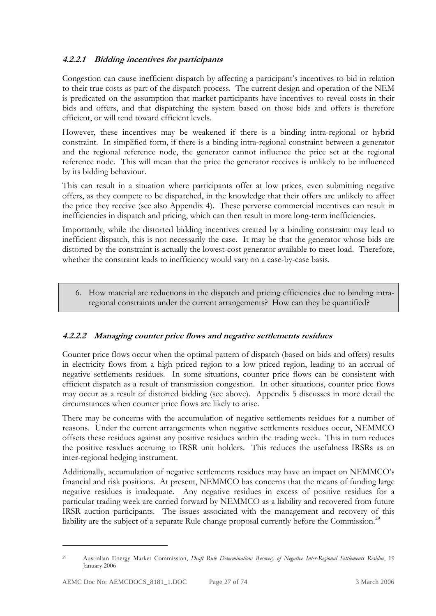#### **4.2.2.1 Bidding incentives for participants**

Congestion can cause inefficient dispatch by affecting a participant's incentives to bid in relation to their true costs as part of the dispatch process. The current design and operation of the NEM is predicated on the assumption that market participants have incentives to reveal costs in their bids and offers, and that dispatching the system based on those bids and offers is therefore efficient, or will tend toward efficient levels.

However, these incentives may be weakened if there is a binding intra-regional or hybrid constraint. In simplified form, if there is a binding intra-regional constraint between a generator and the regional reference node, the generator cannot influence the price set at the regional reference node. This will mean that the price the generator receives is unlikely to be influenced by its bidding behaviour.

This can result in a situation where participants offer at low prices, even submitting negative offers, as they compete to be dispatched, in the knowledge that their offers are unlikely to affect the price they receive (see also Appendix 4). These perverse commercial incentives can result in inefficiencies in dispatch and pricing, which can then result in more long-term inefficiencies.

Importantly, while the distorted bidding incentives created by a binding constraint may lead to inefficient dispatch, this is not necessarily the case. It may be that the generator whose bids are distorted by the constraint is actually the lowest-cost generator available to meet load. Therefore, whether the constraint leads to inefficiency would vary on a case-by-case basis.

6. How material are reductions in the dispatch and pricing efficiencies due to binding intraregional constraints under the current arrangements? How can they be quantified?

#### **4.2.2.2 Managing counter price flows and negative settlements residues**

Counter price flows occur when the optimal pattern of dispatch (based on bids and offers) results in electricity flows from a high priced region to a low priced region, leading to an accrual of negative settlements residues. In some situations, counter price flows can be consistent with efficient dispatch as a result of transmission congestion. In other situations, counter price flows may occur as a result of distorted bidding (see above). Appendix 5 discusses in more detail the circumstances when counter price flows are likely to arise.

There may be concerns with the accumulation of negative settlements residues for a number of reasons. Under the current arrangements when negative settlements residues occur, NEMMCO offsets these residues against any positive residues within the trading week. This in turn reduces the positive residues accruing to IRSR unit holders. This reduces the usefulness IRSRs as an inter-regional hedging instrument.

Additionally, accumulation of negative settlements residues may have an impact on NEMMCO's financial and risk positions. At present, NEMMCO has concerns that the means of funding large negative residues is inadequate. Any negative residues in excess of positive residues for a particular trading week are carried forward by NEMMCO as a liability and recovered from future IRSR auction participants. The issues associated with the management and recovery of this liability are the subject of a separate Rule change proposal currently before the Commission.<sup>29</sup>

<sup>29</sup> Australian Energy Market Commission, *Draft Rule Determination: Recovery of Negative Inter-Regional Settlements Residue*, 19 January 2006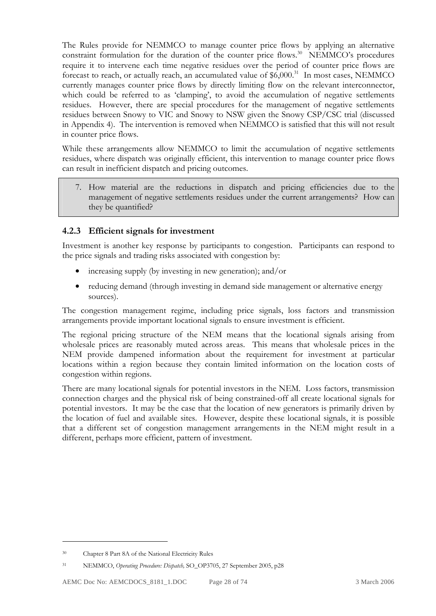The Rules provide for NEMMCO to manage counter price flows by applying an alternative constraint formulation for the duration of the counter price flows.<sup>30</sup> NEMMCO's procedures require it to intervene each time negative residues over the period of counter price flows are forecast to reach, or actually reach, an accumulated value of  $$6,000.<sup>31</sup>$  In most cases, NEMMCO currently manages counter price flows by directly limiting flow on the relevant interconnector, which could be referred to as 'clamping', to avoid the accumulation of negative settlements residues. However, there are special procedures for the management of negative settlements residues between Snowy to VIC and Snowy to NSW given the Snowy CSP/CSC trial (discussed in Appendix 4). The intervention is removed when NEMMCO is satisfied that this will not result in counter price flows.

While these arrangements allow NEMMCO to limit the accumulation of negative settlements residues, where dispatch was originally efficient, this intervention to manage counter price flows can result in inefficient dispatch and pricing outcomes.

7. How material are the reductions in dispatch and pricing efficiencies due to the management of negative settlements residues under the current arrangements? How can they be quantified?

### **4.2.3 Efficient signals for investment**

Investment is another key response by participants to congestion. Participants can respond to the price signals and trading risks associated with congestion by:

- increasing supply (by investing in new generation); and/or
- reducing demand (through investing in demand side management or alternative energy sources).

The congestion management regime, including price signals, loss factors and transmission arrangements provide important locational signals to ensure investment is efficient.

The regional pricing structure of the NEM means that the locational signals arising from wholesale prices are reasonably muted across areas. This means that wholesale prices in the NEM provide dampened information about the requirement for investment at particular locations within a region because they contain limited information on the location costs of congestion within regions.

There are many locational signals for potential investors in the NEM. Loss factors, transmission connection charges and the physical risk of being constrained-off all create locational signals for potential investors. It may be the case that the location of new generators is primarily driven by the location of fuel and available sites. However, despite these locational signals, it is possible that a different set of congestion management arrangements in the NEM might result in a different, perhaps more efficient, pattern of investment.

<sup>30</sup> Chapter 8 Part 8A of the National Electricity Rules

<sup>31</sup> NEMMCO, *Operating Procedure: Dispatch,* SO\_OP3705, 27 September 2005, p28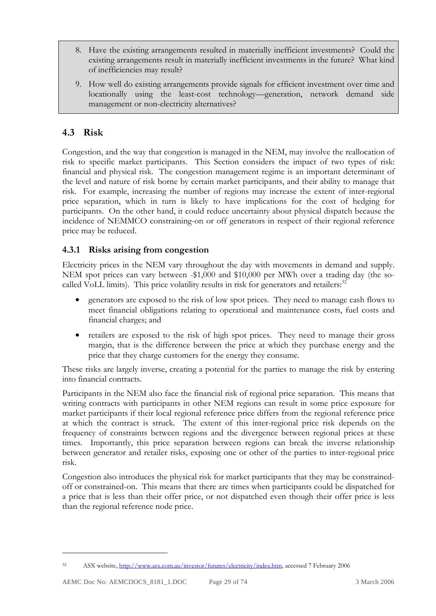- 8. Have the existing arrangements resulted in materially inefficient investments? Could the existing arrangements result in materially inefficient investments in the future? What kind of inefficiencies may result?
- 9. How well do existing arrangements provide signals for efficient investment over time and locationally using the least-cost technology—generation, network demand side management or non-electricity alternatives?

## **4.3 Risk**

Congestion, and the way that congestion is managed in the NEM, may involve the reallocation of risk to specific market participants. This Section considers the impact of two types of risk: financial and physical risk. The congestion management regime is an important determinant of the level and nature of risk borne by certain market participants, and their ability to manage that risk. For example, increasing the number of regions may increase the extent of inter-regional price separation, which in turn is likely to have implications for the cost of hedging for participants. On the other hand, it could reduce uncertainty about physical dispatch because the incidence of NEMMCO constraining-on or off generators in respect of their regional reference price may be reduced.

### **4.3.1 Risks arising from congestion**

Electricity prices in the NEM vary throughout the day with movements in demand and supply. NEM spot prices can vary between -\$1,000 and \$10,000 per MWh over a trading day (the socalled VoLL limits). This price volatility results in risk for generators and retailers:<sup>32</sup>

- generators are exposed to the risk of low spot prices. They need to manage cash flows to meet financial obligations relating to operational and maintenance costs, fuel costs and financial charges; and
- retailers are exposed to the risk of high spot prices. They need to manage their gross margin, that is the difference between the price at which they purchase energy and the price that they charge customers for the energy they consume.

These risks are largely inverse, creating a potential for the parties to manage the risk by entering into financial contracts.

Participants in the NEM also face the financial risk of regional price separation. This means that writing contracts with participants in other NEM regions can result in some price exposure for market participants if their local regional reference price differs from the regional reference price at which the contract is struck. The extent of this inter-regional price risk depends on the frequency of constraints between regions and the divergence between regional prices at these times. Importantly, this price separation between regions can break the inverse relationship between generator and retailer risks, exposing one or other of the parties to inter-regional price risk.

Congestion also introduces the physical risk for market participants that they may be constrainedoff or constrained-on. This means that there are times when participants could be dispatched for a price that is less than their offer price, or not dispatched even though their offer price is less than the regional reference node price.

<sup>32</sup> ASX website, http://www.asx.com.au/investor/futures/electricity/index.htm, accessed 7 February 2006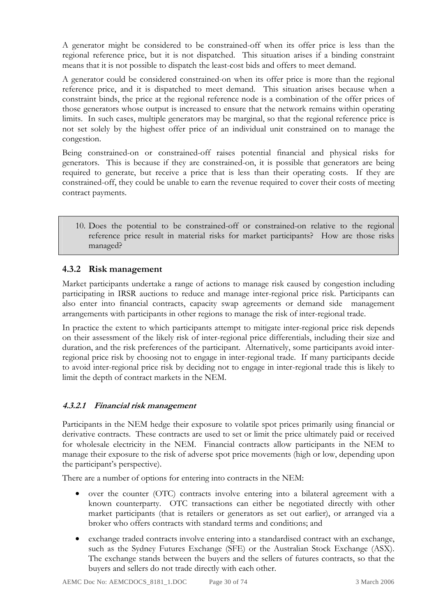A generator might be considered to be constrained-off when its offer price is less than the regional reference price, but it is not dispatched. This situation arises if a binding constraint means that it is not possible to dispatch the least-cost bids and offers to meet demand.

A generator could be considered constrained-on when its offer price is more than the regional reference price, and it is dispatched to meet demand. This situation arises because when a constraint binds, the price at the regional reference node is a combination of the offer prices of those generators whose output is increased to ensure that the network remains within operating limits. In such cases, multiple generators may be marginal, so that the regional reference price is not set solely by the highest offer price of an individual unit constrained on to manage the congestion.

Being constrained-on or constrained-off raises potential financial and physical risks for generators. This is because if they are constrained-on, it is possible that generators are being required to generate, but receive a price that is less than their operating costs. If they are constrained-off, they could be unable to earn the revenue required to cover their costs of meeting contract payments.

10. Does the potential to be constrained-off or constrained-on relative to the regional reference price result in material risks for market participants? How are those risks managed?

### **4.3.2 Risk management**

Market participants undertake a range of actions to manage risk caused by congestion including participating in IRSR auctions to reduce and manage inter-regional price risk. Participants can also enter into financial contracts, capacity swap agreements or demand side management arrangements with participants in other regions to manage the risk of inter-regional trade.

In practice the extent to which participants attempt to mitigate inter-regional price risk depends on their assessment of the likely risk of inter-regional price differentials, including their size and duration, and the risk preferences of the participant. Alternatively, some participants avoid interregional price risk by choosing not to engage in inter-regional trade. If many participants decide to avoid inter-regional price risk by deciding not to engage in inter-regional trade this is likely to limit the depth of contract markets in the NEM.

#### **4.3.2.1 Financial risk management**

Participants in the NEM hedge their exposure to volatile spot prices primarily using financial or derivative contracts. These contracts are used to set or limit the price ultimately paid or received for wholesale electricity in the NEM. Financial contracts allow participants in the NEM to manage their exposure to the risk of adverse spot price movements (high or low, depending upon the participant's perspective).

There are a number of options for entering into contracts in the NEM:

- over the counter (OTC) contracts involve entering into a bilateral agreement with a known counterparty. OTC transactions can either be negotiated directly with other market participants (that is retailers or generators as set out earlier), or arranged via a broker who offers contracts with standard terms and conditions; and
- exchange traded contracts involve entering into a standardised contract with an exchange, such as the Sydney Futures Exchange (SFE) or the Australian Stock Exchange (ASX). The exchange stands between the buyers and the sellers of futures contracts, so that the buyers and sellers do not trade directly with each other.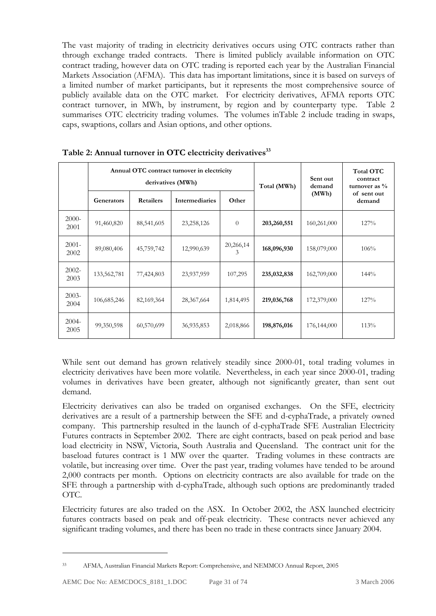The vast majority of trading in electricity derivatives occurs using OTC contracts rather than through exchange traded contracts. There is limited publicly available information on OTC contract trading, however data on OTC trading is reported each year by the Australian Financial Markets Association (AFMA). This data has important limitations, since it is based on surveys of a limited number of market participants, but it represents the most comprehensive source of publicly available data on the OTC market. For electricity derivatives, AFMA reports OTC contract turnover, in MWh, by instrument, by region and by counterparty type. Table 2 summarises OTC electricity trading volumes. The volumes inTable 2 include trading in swaps, caps, swaptions, collars and Asian options, and other options.

|                  |             |            | Annual OTC contract turnover in electricity<br>derivatives (MWh) | Total (MWh)    | Sent out<br>demand | <b>Total OTC</b><br>contract<br>turnover as $\%$ |                       |  |
|------------------|-------------|------------|------------------------------------------------------------------|----------------|--------------------|--------------------------------------------------|-----------------------|--|
|                  | Generators  | Retailers  | Intermediaries                                                   | Other          |                    | (MWh)                                            | of sent out<br>demand |  |
| $2000 -$<br>2001 | 91,460,820  | 88,541,605 | 23,258,126                                                       | $\theta$       | 203,260,551        | 160,261,000                                      | 127%                  |  |
| $2001 -$<br>2002 | 89,080,406  | 45,759,742 | 12,990,639                                                       | 20,266,14<br>3 | 168,096,930        | 158,079,000                                      | 106%                  |  |
| $2002 -$<br>2003 | 133,562,781 | 77,424,803 | 23,937,959                                                       | 107,295        | 235,032,838        | 162,709,000                                      | 144%                  |  |
| $2003-$<br>2004  | 106,685,246 | 82,169,364 | 28,367,664                                                       | 1,814,495      | 219,036,768        | 172,379,000                                      | 127%                  |  |
| $2004 -$<br>2005 | 99,350,598  | 60,570,699 | 36,935,853                                                       | 2,018,866      | 198,876,016        | 176,144,000                                      | 113%                  |  |

Table 2: Annual turnover in OTC electricity derivatives<sup>33</sup>

While sent out demand has grown relatively steadily since 2000-01, total trading volumes in electricity derivatives have been more volatile. Nevertheless, in each year since 2000-01, trading volumes in derivatives have been greater, although not significantly greater, than sent out demand.

Electricity derivatives can also be traded on organised exchanges. On the SFE, electricity derivatives are a result of a partnership between the SFE and d-cyphaTrade, a privately owned company. This partnership resulted in the launch of d-cyphaTrade SFE Australian Electricity Futures contracts in September 2002. There are eight contracts, based on peak period and base load electricity in NSW, Victoria, South Australia and Queensland. The contract unit for the baseload futures contract is 1 MW over the quarter. Trading volumes in these contracts are volatile, but increasing over time. Over the past year, trading volumes have tended to be around 2,000 contracts per month. Options on electricity contracts are also available for trade on the SFE through a partnership with d-cyphaTrade, although such options are predominantly traded OTC.

Electricity futures are also traded on the ASX. In October 2002, the ASX launched electricity futures contracts based on peak and off-peak electricity. These contracts never achieved any significant trading volumes, and there has been no trade in these contracts since January 2004.

<sup>33</sup> AFMA, Australian Financial Markets Report: Comprehensive, and NEMMCO Annual Report, 2005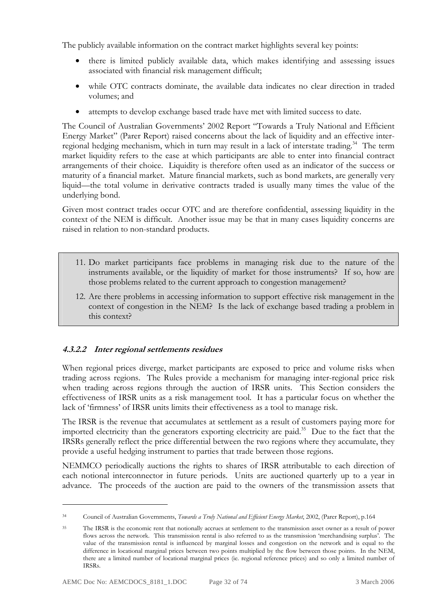The publicly available information on the contract market highlights several key points:

- there is limited publicly available data, which makes identifying and assessing issues associated with financial risk management difficult;
- while OTC contracts dominate, the available data indicates no clear direction in traded volumes; and
- attempts to develop exchange based trade have met with limited success to date.

The Council of Australian Governments' 2002 Report "Towards a Truly National and Efficient Energy Market" (Parer Report) raised concerns about the lack of liquidity and an effective interregional hedging mechanism, which in turn may result in a lack of interstate trading.<sup>34</sup> The term market liquidity refers to the ease at which participants are able to enter into financial contract arrangements of their choice. Liquidity is therefore often used as an indicator of the success or maturity of a financial market. Mature financial markets, such as bond markets, are generally very liquid—the total volume in derivative contracts traded is usually many times the value of the underlying bond.

Given most contract trades occur OTC and are therefore confidential, assessing liquidity in the context of the NEM is difficult. Another issue may be that in many cases liquidity concerns are raised in relation to non-standard products.

- 11. Do market participants face problems in managing risk due to the nature of the instruments available, or the liquidity of market for those instruments? If so, how are those problems related to the current approach to congestion management?
- 12. Are there problems in accessing information to support effective risk management in the context of congestion in the NEM? Is the lack of exchange based trading a problem in this context?

### **4.3.2.2 Inter regional settlements residues**

When regional prices diverge, market participants are exposed to price and volume risks when trading across regions. The Rules provide a mechanism for managing inter-regional price risk when trading across regions through the auction of IRSR units. This Section considers the effectiveness of IRSR units as a risk management tool. It has a particular focus on whether the lack of 'firmness' of IRSR units limits their effectiveness as a tool to manage risk.

The IRSR is the revenue that accumulates at settlement as a result of customers paying more for imported electricity than the generators exporting electricity are paid.<sup>35</sup> Due to the fact that the IRSRs generally reflect the price differential between the two regions where they accumulate, they provide a useful hedging instrument to parties that trade between those regions.

NEMMCO periodically auctions the rights to shares of IRSR attributable to each direction of each notional interconnector in future periods. Units are auctioned quarterly up to a year in advance. The proceeds of the auction are paid to the owners of the transmission assets that

<sup>34</sup> Council of Australian Governments, *Towards a Truly National and Efficient Energy Market*, 2002, (Parer Report), p.164

<sup>&</sup>lt;sup>35</sup> The IRSR is the economic rent that notionally accrues at settlement to the transmission asset owner as a result of power flows across the network. This transmission rental is also referred to as the transmission 'merchandising surplus'. The value of the transmission rental is influenced by marginal losses and congestion on the network and is equal to the difference in locational marginal prices between two points multiplied by the flow between those points. In the NEM, there are a limited number of locational marginal prices (ie. regional reference prices) and so only a limited number of IRSRs.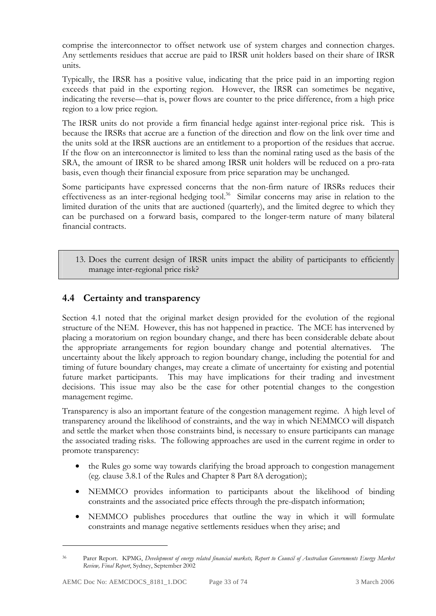comprise the interconnector to offset network use of system charges and connection charges. Any settlements residues that accrue are paid to IRSR unit holders based on their share of IRSR units.

Typically, the IRSR has a positive value, indicating that the price paid in an importing region exceeds that paid in the exporting region. However, the IRSR can sometimes be negative, indicating the reverse—that is, power flows are counter to the price difference, from a high price region to a low price region.

The IRSR units do not provide a firm financial hedge against inter-regional price risk. This is because the IRSRs that accrue are a function of the direction and flow on the link over time and the units sold at the IRSR auctions are an entitlement to a proportion of the residues that accrue. If the flow on an interconnector is limited to less than the nominal rating used as the basis of the SRA, the amount of IRSR to be shared among IRSR unit holders will be reduced on a pro-rata basis, even though their financial exposure from price separation may be unchanged.

Some participants have expressed concerns that the non-firm nature of IRSRs reduces their effectiveness as an inter-regional hedging tool.<sup>36</sup> Similar concerns may arise in relation to the limited duration of the units that are auctioned (quarterly), and the limited degree to which they can be purchased on a forward basis, compared to the longer-term nature of many bilateral financial contracts.

13. Does the current design of IRSR units impact the ability of participants to efficiently manage inter-regional price risk?

## **4.4 Certainty and transparency**

Section 4.1 noted that the original market design provided for the evolution of the regional structure of the NEM. However, this has not happened in practice. The MCE has intervened by placing a moratorium on region boundary change, and there has been considerable debate about the appropriate arrangements for region boundary change and potential alternatives. The uncertainty about the likely approach to region boundary change, including the potential for and timing of future boundary changes, may create a climate of uncertainty for existing and potential future market participants. This may have implications for their trading and investment decisions. This issue may also be the case for other potential changes to the congestion management regime.

Transparency is also an important feature of the congestion management regime. A high level of transparency around the likelihood of constraints, and the way in which NEMMCO will dispatch and settle the market when those constraints bind, is necessary to ensure participants can manage the associated trading risks. The following approaches are used in the current regime in order to promote transparency:

- the Rules go some way towards clarifying the broad approach to congestion management (eg. clause 3.8.1 of the Rules and Chapter 8 Part 8A derogation);
- NEMMCO provides information to participants about the likelihood of binding constraints and the associated price effects through the pre-dispatch information;
- NEMMCO publishes procedures that outline the way in which it will formulate constraints and manage negative settlements residues when they arise; and

Parer Report. KPMG, *Development of energy related financial markets*, Report to Council of Australian Governments Energy Market *Review, Final Report*, Sydney, September 2002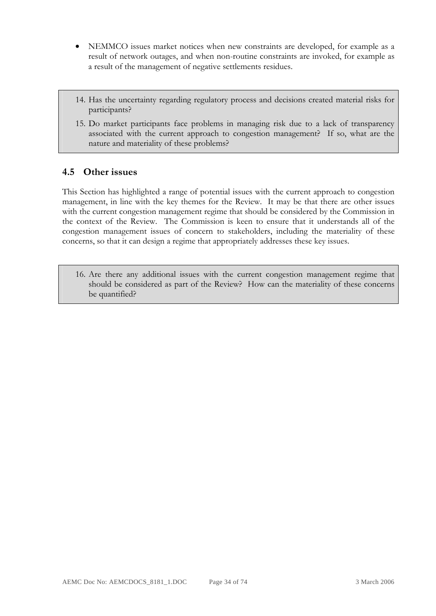- NEMMCO issues market notices when new constraints are developed, for example as a result of network outages, and when non-routine constraints are invoked, for example as a result of the management of negative settlements residues.
- 14. Has the uncertainty regarding regulatory process and decisions created material risks for participants?
- 15. Do market participants face problems in managing risk due to a lack of transparency associated with the current approach to congestion management? If so, what are the nature and materiality of these problems?

### **4.5 Other issues**

This Section has highlighted a range of potential issues with the current approach to congestion management, in line with the key themes for the Review. It may be that there are other issues with the current congestion management regime that should be considered by the Commission in the context of the Review. The Commission is keen to ensure that it understands all of the congestion management issues of concern to stakeholders, including the materiality of these concerns, so that it can design a regime that appropriately addresses these key issues.

16. Are there any additional issues with the current congestion management regime that should be considered as part of the Review? How can the materiality of these concerns be quantified?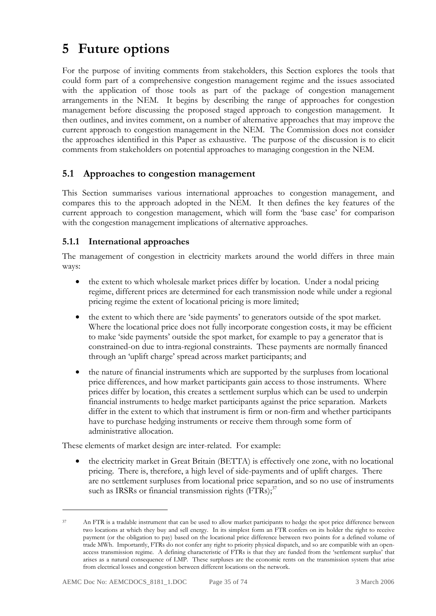# **5 Future options**

For the purpose of inviting comments from stakeholders, this Section explores the tools that could form part of a comprehensive congestion management regime and the issues associated with the application of those tools as part of the package of congestion management arrangements in the NEM. It begins by describing the range of approaches for congestion management before discussing the proposed staged approach to congestion management. It then outlines, and invites comment, on a number of alternative approaches that may improve the current approach to congestion management in the NEM. The Commission does not consider the approaches identified in this Paper as exhaustive. The purpose of the discussion is to elicit comments from stakeholders on potential approaches to managing congestion in the NEM.

### **5.1 Approaches to congestion management**

This Section summarises various international approaches to congestion management, and compares this to the approach adopted in the NEM. It then defines the key features of the current approach to congestion management, which will form the 'base case' for comparison with the congestion management implications of alternative approaches.

### **5.1.1 International approaches**

The management of congestion in electricity markets around the world differs in three main ways:

- the extent to which wholesale market prices differ by location. Under a nodal pricing regime, different prices are determined for each transmission node while under a regional pricing regime the extent of locational pricing is more limited;
- the extent to which there are 'side payments' to generators outside of the spot market. Where the locational price does not fully incorporate congestion costs, it may be efficient to make 'side payments' outside the spot market, for example to pay a generator that is constrained-on due to intra-regional constraints. These payments are normally financed through an 'uplift charge' spread across market participants; and
- the nature of financial instruments which are supported by the surpluses from locational price differences, and how market participants gain access to those instruments. Where prices differ by location, this creates a settlement surplus which can be used to underpin financial instruments to hedge market participants against the price separation. Markets differ in the extent to which that instrument is firm or non-firm and whether participants have to purchase hedging instruments or receive them through some form of administrative allocation.

These elements of market design are inter-related. For example:

• the electricity market in Great Britain (BETTA) is effectively one zone, with no locational pricing. There is, therefore, a high level of side-payments and of uplift charges. There are no settlement surpluses from locational price separation, and so no use of instruments such as IRSRs or financial transmission rights  $(FTRs)$ ;<sup>37</sup>

-

<sup>37</sup> An FTR is a tradable instrument that can be used to allow market participants to hedge the spot price difference between two locations at which they buy and sell energy. In its simplest form an FTR confers on its holder the right to receive payment (or the obligation to pay) based on the locational price difference between two points for a defined volume of trade MWh. Importantly, FTRs do not confer any right to priority physical dispatch, and so are compatible with an openaccess transmission regime. A defining characteristic of FTRs is that they are funded from the 'settlement surplus' that arises as a natural consequence of LMP. These surpluses are the economic rents on the transmission system that arise from electrical losses and congestion between different locations on the network.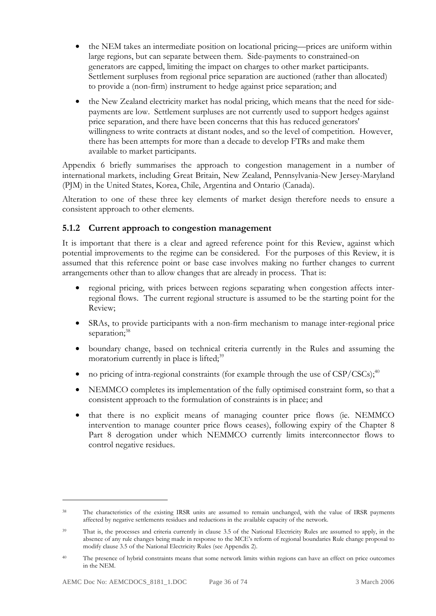- the NEM takes an intermediate position on locational pricing—prices are uniform within large regions, but can separate between them. Side-payments to constrained-on generators are capped, limiting the impact on charges to other market participants. Settlement surpluses from regional price separation are auctioned (rather than allocated) to provide a (non-firm) instrument to hedge against price separation; and
- the New Zealand electricity market has nodal pricing, which means that the need for sidepayments are low. Settlement surpluses are not currently used to support hedges against price separation, and there have been concerns that this has reduced generators' willingness to write contracts at distant nodes, and so the level of competition. However, there has been attempts for more than a decade to develop FTRs and make them available to market participants.

Appendix 6 briefly summarises the approach to congestion management in a number of international markets, including Great Britain, New Zealand, Pennsylvania-New Jersey-Maryland (PJM) in the United States, Korea, Chile, Argentina and Ontario (Canada).

Alteration to one of these three key elements of market design therefore needs to ensure a consistent approach to other elements.

## **5.1.2 Current approach to congestion management**

It is important that there is a clear and agreed reference point for this Review, against which potential improvements to the regime can be considered. For the purposes of this Review, it is assumed that this reference point or base case involves making no further changes to current arrangements other than to allow changes that are already in process. That is:

- regional pricing, with prices between regions separating when congestion affects interregional flows. The current regional structure is assumed to be the starting point for the Review;
- SRAs, to provide participants with a non-firm mechanism to manage inter-regional price separation:<sup>38</sup>
- boundary change, based on technical criteria currently in the Rules and assuming the moratorium currently in place is lifted; $39$
- no pricing of intra-regional constraints (for example through the use of  $CSP/CSCs$ );<sup>40</sup>
- NEMMCO completes its implementation of the fully optimised constraint form, so that a consistent approach to the formulation of constraints is in place; and
- that there is no explicit means of managing counter price flows (ie. NEMMCO intervention to manage counter price flows ceases), following expiry of the Chapter 8 Part 8 derogation under which NEMMCO currently limits interconnector flows to control negative residues.

The characteristics of the existing IRSR units are assumed to remain unchanged, with the value of IRSR payments affected by negative settlements residues and reductions in the available capacity of the network.

<sup>&</sup>lt;sup>39</sup> That is, the processes and criteria currently in clause 3.5 of the National Electricity Rules are assumed to apply, in the absence of any rule changes being made in response to the MCE's reform of regional boundaries Rule change proposal to modify clause 3.5 of the National Electricity Rules (see Appendix 2).

<sup>&</sup>lt;sup>40</sup> The presence of hybrid constraints means that some network limits within regions can have an effect on price outcomes in the NEM.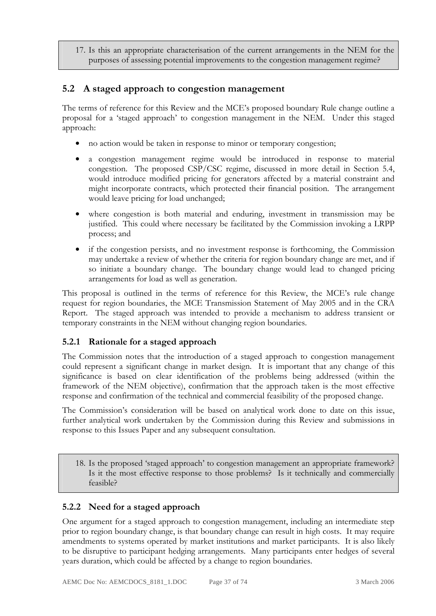17. Is this an appropriate characterisation of the current arrangements in the NEM for the purposes of assessing potential improvements to the congestion management regime?

# **5.2 A staged approach to congestion management**

The terms of reference for this Review and the MCE's proposed boundary Rule change outline a proposal for a 'staged approach' to congestion management in the NEM. Under this staged approach:

- no action would be taken in response to minor or temporary congestion;
- a congestion management regime would be introduced in response to material congestion. The proposed CSP/CSC regime, discussed in more detail in Section 5.4, would introduce modified pricing for generators affected by a material constraint and might incorporate contracts, which protected their financial position. The arrangement would leave pricing for load unchanged;
- where congestion is both material and enduring, investment in transmission may be justified. This could where necessary be facilitated by the Commission invoking a LRPP process; and
- if the congestion persists, and no investment response is forthcoming, the Commission may undertake a review of whether the criteria for region boundary change are met, and if so initiate a boundary change. The boundary change would lead to changed pricing arrangements for load as well as generation.

This proposal is outlined in the terms of reference for this Review, the MCE's rule change request for region boundaries, the MCE Transmission Statement of May 2005 and in the CRA Report. The staged approach was intended to provide a mechanism to address transient or temporary constraints in the NEM without changing region boundaries.

# **5.2.1 Rationale for a staged approach**

The Commission notes that the introduction of a staged approach to congestion management could represent a significant change in market design. It is important that any change of this significance is based on clear identification of the problems being addressed (within the framework of the NEM objective), confirmation that the approach taken is the most effective response and confirmation of the technical and commercial feasibility of the proposed change.

The Commission's consideration will be based on analytical work done to date on this issue, further analytical work undertaken by the Commission during this Review and submissions in response to this Issues Paper and any subsequent consultation.

18. Is the proposed 'staged approach' to congestion management an appropriate framework? Is it the most effective response to those problems? Is it technically and commercially feasible?

## **5.2.2 Need for a staged approach**

One argument for a staged approach to congestion management, including an intermediate step prior to region boundary change, is that boundary change can result in high costs. It may require amendments to systems operated by market institutions and market participants. It is also likely to be disruptive to participant hedging arrangements. Many participants enter hedges of several years duration, which could be affected by a change to region boundaries.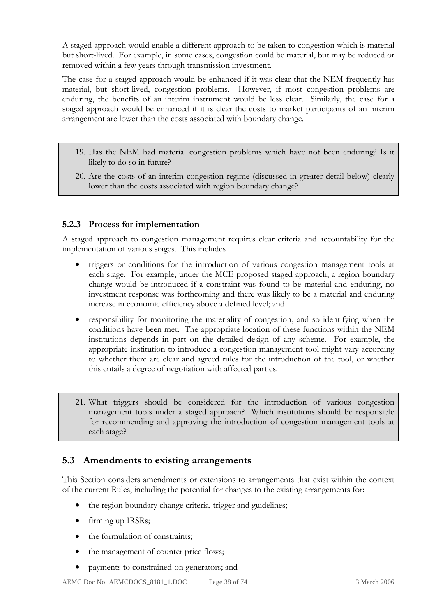A staged approach would enable a different approach to be taken to congestion which is material but short-lived. For example, in some cases, congestion could be material, but may be reduced or removed within a few years through transmission investment.

The case for a staged approach would be enhanced if it was clear that the NEM frequently has material, but short-lived, congestion problems. However, if most congestion problems are enduring, the benefits of an interim instrument would be less clear. Similarly, the case for a staged approach would be enhanced if it is clear the costs to market participants of an interim arrangement are lower than the costs associated with boundary change.

- 19. Has the NEM had material congestion problems which have not been enduring? Is it likely to do so in future?
- 20. Are the costs of an interim congestion regime (discussed in greater detail below) clearly lower than the costs associated with region boundary change?

## **5.2.3 Process for implementation**

A staged approach to congestion management requires clear criteria and accountability for the implementation of various stages. This includes

- triggers or conditions for the introduction of various congestion management tools at each stage. For example, under the MCE proposed staged approach, a region boundary change would be introduced if a constraint was found to be material and enduring, no investment response was forthcoming and there was likely to be a material and enduring increase in economic efficiency above a defined level; and
- responsibility for monitoring the materiality of congestion, and so identifying when the conditions have been met. The appropriate location of these functions within the NEM institutions depends in part on the detailed design of any scheme. For example, the appropriate institution to introduce a congestion management tool might vary according to whether there are clear and agreed rules for the introduction of the tool, or whether this entails a degree of negotiation with affected parties.
- 21. What triggers should be considered for the introduction of various congestion management tools under a staged approach? Which institutions should be responsible for recommending and approving the introduction of congestion management tools at each stage?

# **5.3 Amendments to existing arrangements**

This Section considers amendments or extensions to arrangements that exist within the context of the current Rules, including the potential for changes to the existing arrangements for:

- the region boundary change criteria, trigger and guidelines;
- firming up IRSRs;
- the formulation of constraints:
- the management of counter price flows;
- payments to constrained-on generators; and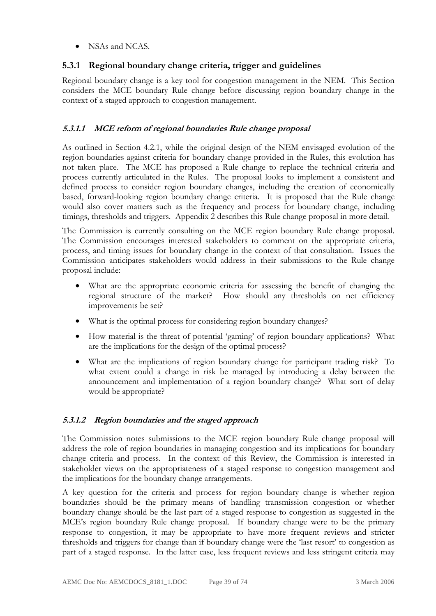• NSAs and NCAS.

## **5.3.1 Regional boundary change criteria, trigger and guidelines**

Regional boundary change is a key tool for congestion management in the NEM. This Section considers the MCE boundary Rule change before discussing region boundary change in the context of a staged approach to congestion management.

## **5.3.1.1 MCE reform of regional boundaries Rule change proposal**

As outlined in Section 4.2.1, while the original design of the NEM envisaged evolution of the region boundaries against criteria for boundary change provided in the Rules, this evolution has not taken place. The MCE has proposed a Rule change to replace the technical criteria and process currently articulated in the Rules. The proposal looks to implement a consistent and defined process to consider region boundary changes, including the creation of economically based, forward-looking region boundary change criteria. It is proposed that the Rule change would also cover matters such as the frequency and process for boundary change, including timings, thresholds and triggers. Appendix 2 describes this Rule change proposal in more detail.

The Commission is currently consulting on the MCE region boundary Rule change proposal. The Commission encourages interested stakeholders to comment on the appropriate criteria, process, and timing issues for boundary change in the context of that consultation. Issues the Commission anticipates stakeholders would address in their submissions to the Rule change proposal include:

- What are the appropriate economic criteria for assessing the benefit of changing the regional structure of the market? How should any thresholds on net efficiency improvements be set?
- What is the optimal process for considering region boundary changes?
- How material is the threat of potential 'gaming' of region boundary applications? What are the implications for the design of the optimal process?
- What are the implications of region boundary change for participant trading risk? To what extent could a change in risk be managed by introducing a delay between the announcement and implementation of a region boundary change? What sort of delay would be appropriate?

## **5.3.1.2 Region boundaries and the staged approach**

The Commission notes submissions to the MCE region boundary Rule change proposal will address the role of region boundaries in managing congestion and its implications for boundary change criteria and process. In the context of this Review, the Commission is interested in stakeholder views on the appropriateness of a staged response to congestion management and the implications for the boundary change arrangements.

A key question for the criteria and process for region boundary change is whether region boundaries should be the primary means of handling transmission congestion or whether boundary change should be the last part of a staged response to congestion as suggested in the MCE's region boundary Rule change proposal. If boundary change were to be the primary response to congestion, it may be appropriate to have more frequent reviews and stricter thresholds and triggers for change than if boundary change were the 'last resort' to congestion as part of a staged response. In the latter case, less frequent reviews and less stringent criteria may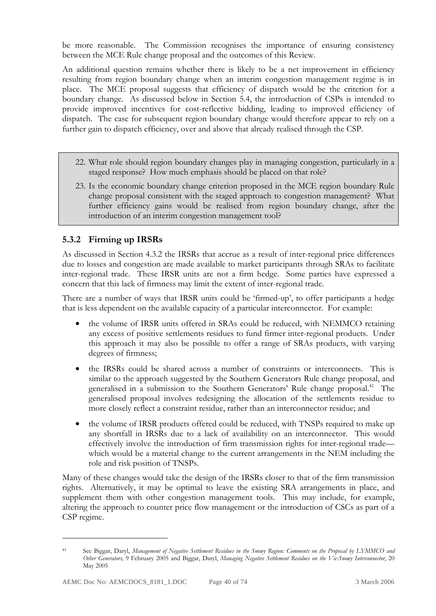be more reasonable. The Commission recognises the importance of ensuring consistency between the MCE Rule change proposal and the outcomes of this Review.

An additional question remains whether there is likely to be a net improvement in efficiency resulting from region boundary change when an interim congestion management regime is in place. The MCE proposal suggests that efficiency of dispatch would be the criterion for a boundary change. As discussed below in Section 5.4, the introduction of CSPs is intended to provide improved incentives for cost-reflective bidding, leading to improved efficiency of dispatch. The case for subsequent region boundary change would therefore appear to rely on a further gain to dispatch efficiency, over and above that already realised through the CSP.

- 22. What role should region boundary changes play in managing congestion, particularly in a staged response? How much emphasis should be placed on that role?
- 23. Is the economic boundary change criterion proposed in the MCE region boundary Rule change proposal consistent with the staged approach to congestion management? What further efficiency gains would be realised from region boundary change, after the introduction of an interim congestion management tool?

## **5.3.2 Firming up IRSRs**

As discussed in Section 4.3.2 the IRSRs that accrue as a result of inter-regional price differences due to losses and congestion are made available to market participants through SRAs to facilitate inter-regional trade. These IRSR units are not a firm hedge. Some parties have expressed a concern that this lack of firmness may limit the extent of inter-regional trade.

There are a number of ways that IRSR units could be 'firmed-up', to offer participants a hedge that is less dependent on the available capacity of a particular interconnector. For example:

- the volume of IRSR units offered in SRAs could be reduced, with NEMMCO retaining any excess of positive settlements residues to fund firmer inter-regional products. Under this approach it may also be possible to offer a range of SRAs products, with varying degrees of firmness;
- the IRSRs could be shared across a number of constraints or interconnects. This is similar to the approach suggested by the Southern Generators Rule change proposal, and generalised in a submission to the Southern Generators' Rule change proposal.<sup>41</sup> The generalised proposal involves redesigning the allocation of the settlements residue to more closely reflect a constraint residue, rather than an interconnector residue; and
- the volume of IRSR products offered could be reduced, with TNSPs required to make up any shortfall in IRSRs due to a lack of availability on an interconnector. This would effectively involve the introduction of firm transmission rights for inter-regional trade which would be a material change to the current arrangements in the NEM including the role and risk position of TNSPs.

Many of these changes would take the design of the IRSRs closer to that of the firm transmission rights. Alternatively, it may be optimal to leave the existing SRA arrangements in place, and supplement them with other congestion management tools. This may include, for example, altering the approach to counter price flow management or the introduction of CSCs as part of a CSP regime.

<sup>41</sup> See Biggar, Daryl, *Management of Negative Settlement Residues in the Snowy Region: Comments on the Proposal by LYMMCO and Other Generators,* 9 February 2005 and Biggar, Daryl, *Managing Negative Settlement Residues on the Vic-Snowy Interconnector*, 20 May 2005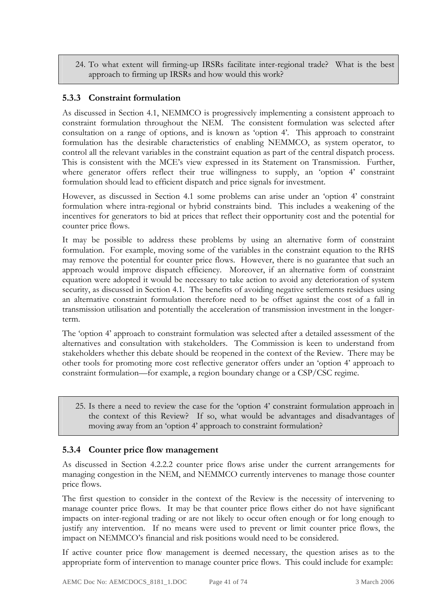24. To what extent will firming-up IRSRs facilitate inter-regional trade? What is the best approach to firming up IRSRs and how would this work?

## **5.3.3 Constraint formulation**

As discussed in Section 4.1, NEMMCO is progressively implementing a consistent approach to constraint formulation throughout the NEM. The consistent formulation was selected after consultation on a range of options, and is known as 'option 4'. This approach to constraint formulation has the desirable characteristics of enabling NEMMCO, as system operator, to control all the relevant variables in the constraint equation as part of the central dispatch process. This is consistent with the MCE's view expressed in its Statement on Transmission. Further, where generator offers reflect their true willingness to supply, an 'option 4' constraint formulation should lead to efficient dispatch and price signals for investment.

However, as discussed in Section 4.1 some problems can arise under an 'option 4' constraint formulation where intra-regional or hybrid constraints bind. This includes a weakening of the incentives for generators to bid at prices that reflect their opportunity cost and the potential for counter price flows.

It may be possible to address these problems by using an alternative form of constraint formulation. For example, moving some of the variables in the constraint equation to the RHS may remove the potential for counter price flows. However, there is no guarantee that such an approach would improve dispatch efficiency. Moreover, if an alternative form of constraint equation were adopted it would be necessary to take action to avoid any deterioration of system security, as discussed in Section 4.1. The benefits of avoiding negative settlements residues using an alternative constraint formulation therefore need to be offset against the cost of a fall in transmission utilisation and potentially the acceleration of transmission investment in the longerterm.

The 'option 4' approach to constraint formulation was selected after a detailed assessment of the alternatives and consultation with stakeholders. The Commission is keen to understand from stakeholders whether this debate should be reopened in the context of the Review. There may be other tools for promoting more cost reflective generator offers under an 'option 4' approach to constraint formulation—for example, a region boundary change or a CSP/CSC regime.

25. Is there a need to review the case for the 'option 4' constraint formulation approach in the context of this Review? If so, what would be advantages and disadvantages of moving away from an 'option 4' approach to constraint formulation?

## **5.3.4 Counter price flow management**

As discussed in Section 4.2.2.2 counter price flows arise under the current arrangements for managing congestion in the NEM, and NEMMCO currently intervenes to manage those counter price flows.

The first question to consider in the context of the Review is the necessity of intervening to manage counter price flows. It may be that counter price flows either do not have significant impacts on inter-regional trading or are not likely to occur often enough or for long enough to justify any intervention. If no means were used to prevent or limit counter price flows, the impact on NEMMCO's financial and risk positions would need to be considered.

If active counter price flow management is deemed necessary, the question arises as to the appropriate form of intervention to manage counter price flows. This could include for example: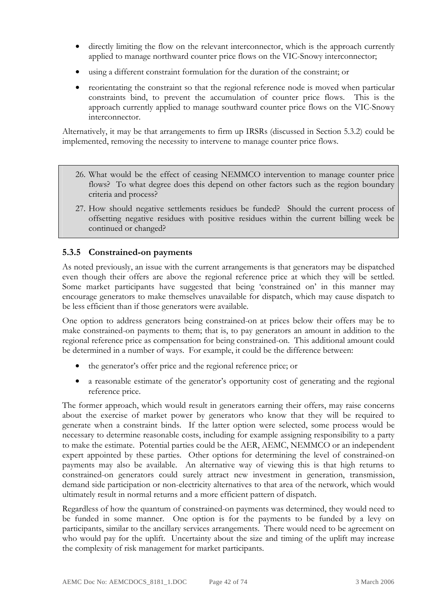- directly limiting the flow on the relevant interconnector, which is the approach currently applied to manage northward counter price flows on the VIC-Snowy interconnector;
- using a different constraint formulation for the duration of the constraint; or
- reorientating the constraint so that the regional reference node is moved when particular constraints bind, to prevent the accumulation of counter price flows. This is the approach currently applied to manage southward counter price flows on the VIC-Snowy interconnector.

Alternatively, it may be that arrangements to firm up IRSRs (discussed in Section 5.3.2) could be implemented, removing the necessity to intervene to manage counter price flows.

- 26. What would be the effect of ceasing NEMMCO intervention to manage counter price flows? To what degree does this depend on other factors such as the region boundary criteria and process?
- 27. How should negative settlements residues be funded? Should the current process of offsetting negative residues with positive residues within the current billing week be continued or changed?

#### **5.3.5 Constrained-on payments**

As noted previously, an issue with the current arrangements is that generators may be dispatched even though their offers are above the regional reference price at which they will be settled. Some market participants have suggested that being 'constrained on' in this manner may encourage generators to make themselves unavailable for dispatch, which may cause dispatch to be less efficient than if those generators were available.

One option to address generators being constrained-on at prices below their offers may be to make constrained-on payments to them; that is, to pay generators an amount in addition to the regional reference price as compensation for being constrained-on. This additional amount could be determined in a number of ways. For example, it could be the difference between:

- the generator's offer price and the regional reference price; or
- a reasonable estimate of the generator's opportunity cost of generating and the regional reference price.

The former approach, which would result in generators earning their offers, may raise concerns about the exercise of market power by generators who know that they will be required to generate when a constraint binds. If the latter option were selected, some process would be necessary to determine reasonable costs, including for example assigning responsibility to a party to make the estimate. Potential parties could be the AER, AEMC, NEMMCO or an independent expert appointed by these parties. Other options for determining the level of constrained-on payments may also be available. An alternative way of viewing this is that high returns to constrained-on generators could surely attract new investment in generation, transmission, demand side participation or non-electricity alternatives to that area of the network, which would ultimately result in normal returns and a more efficient pattern of dispatch.

Regardless of how the quantum of constrained-on payments was determined, they would need to be funded in some manner. One option is for the payments to be funded by a levy on participants, similar to the ancillary services arrangements. There would need to be agreement on who would pay for the uplift. Uncertainty about the size and timing of the uplift may increase the complexity of risk management for market participants.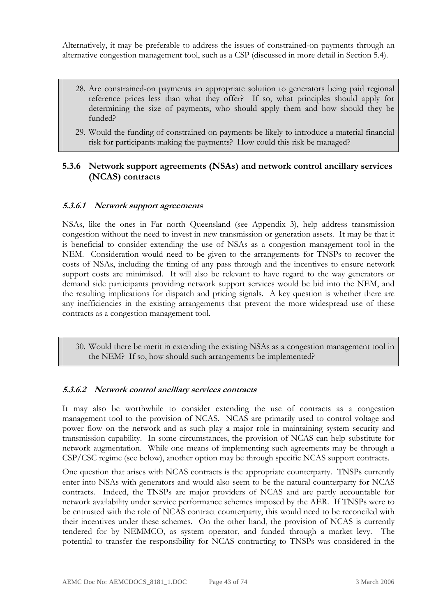Alternatively, it may be preferable to address the issues of constrained-on payments through an alternative congestion management tool, such as a CSP (discussed in more detail in Section 5.4).

- 28. Are constrained-on payments an appropriate solution to generators being paid regional reference prices less than what they offer? If so, what principles should apply for determining the size of payments, who should apply them and how should they be funded?
- 29. Would the funding of constrained on payments be likely to introduce a material financial risk for participants making the payments? How could this risk be managed?

### **5.3.6 Network support agreements (NSAs) and network control ancillary services (NCAS) contracts**

#### **5.3.6.1 Network support agreements**

NSAs, like the ones in Far north Queensland (see Appendix 3), help address transmission congestion without the need to invest in new transmission or generation assets. It may be that it is beneficial to consider extending the use of NSAs as a congestion management tool in the NEM. Consideration would need to be given to the arrangements for TNSPs to recover the costs of NSAs, including the timing of any pass through and the incentives to ensure network support costs are minimised. It will also be relevant to have regard to the way generators or demand side participants providing network support services would be bid into the NEM, and the resulting implications for dispatch and pricing signals. A key question is whether there are any inefficiencies in the existing arrangements that prevent the more widespread use of these contracts as a congestion management tool.

30. Would there be merit in extending the existing NSAs as a congestion management tool in the NEM? If so, how should such arrangements be implemented?

#### **5.3.6.2 Network control ancillary services contracts**

It may also be worthwhile to consider extending the use of contracts as a congestion management tool to the provision of NCAS. NCAS are primarily used to control voltage and power flow on the network and as such play a major role in maintaining system security and transmission capability. In some circumstances, the provision of NCAS can help substitute for network augmentation. While one means of implementing such agreements may be through a CSP/CSC regime (see below), another option may be through specific NCAS support contracts.

One question that arises with NCAS contracts is the appropriate counterparty. TNSPs currently enter into NSAs with generators and would also seem to be the natural counterparty for NCAS contracts. Indeed, the TNSPs are major providers of NCAS and are partly accountable for network availability under service performance schemes imposed by the AER. If TNSPs were to be entrusted with the role of NCAS contract counterparty, this would need to be reconciled with their incentives under these schemes. On the other hand, the provision of NCAS is currently tendered for by NEMMCO, as system operator, and funded through a market levy. The potential to transfer the responsibility for NCAS contracting to TNSPs was considered in the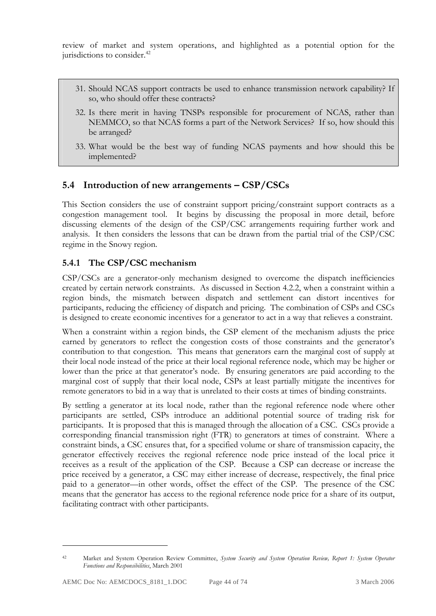review of market and system operations, and highlighted as a potential option for the jurisdictions to consider.<sup>42</sup>

- 31. Should NCAS support contracts be used to enhance transmission network capability? If so, who should offer these contracts?
- 32. Is there merit in having TNSPs responsible for procurement of NCAS, rather than NEMMCO, so that NCAS forms a part of the Network Services? If so, how should this be arranged?
- 33. What would be the best way of funding NCAS payments and how should this be implemented?

# **5.4 Introduction of new arrangements – CSP/CSCs**

This Section considers the use of constraint support pricing/constraint support contracts as a congestion management tool. It begins by discussing the proposal in more detail, before discussing elements of the design of the CSP/CSC arrangements requiring further work and analysis. It then considers the lessons that can be drawn from the partial trial of the CSP/CSC regime in the Snowy region.

## **5.4.1 The CSP/CSC mechanism**

CSP/CSCs are a generator-only mechanism designed to overcome the dispatch inefficiencies created by certain network constraints. As discussed in Section 4.2.2, when a constraint within a region binds, the mismatch between dispatch and settlement can distort incentives for participants, reducing the efficiency of dispatch and pricing. The combination of CSPs and CSCs is designed to create economic incentives for a generator to act in a way that relieves a constraint.

When a constraint within a region binds, the CSP element of the mechanism adjusts the price earned by generators to reflect the congestion costs of those constraints and the generator's contribution to that congestion. This means that generators earn the marginal cost of supply at their local node instead of the price at their local regional reference node, which may be higher or lower than the price at that generator's node. By ensuring generators are paid according to the marginal cost of supply that their local node, CSPs at least partially mitigate the incentives for remote generators to bid in a way that is unrelated to their costs at times of binding constraints.

By settling a generator at its local node, rather than the regional reference node where other participants are settled, CSPs introduce an additional potential source of trading risk for participants. It is proposed that this is managed through the allocation of a CSC. CSCs provide a corresponding financial transmission right (FTR) to generators at times of constraint. Where a constraint binds, a CSC ensures that, for a specified volume or share of transmission capacity, the generator effectively receives the regional reference node price instead of the local price it receives as a result of the application of the CSP. Because a CSP can decrease or increase the price received by a generator, a CSC may either increase of decrease, respectively, the final price paid to a generator—in other words, offset the effect of the CSP. The presence of the CSC means that the generator has access to the regional reference node price for a share of its output, facilitating contract with other participants.

<sup>42</sup> Market and System Operation Review Committee, *System Security and System Operation Review, Report 1: System Operator Functions and Responsibilities*, March 2001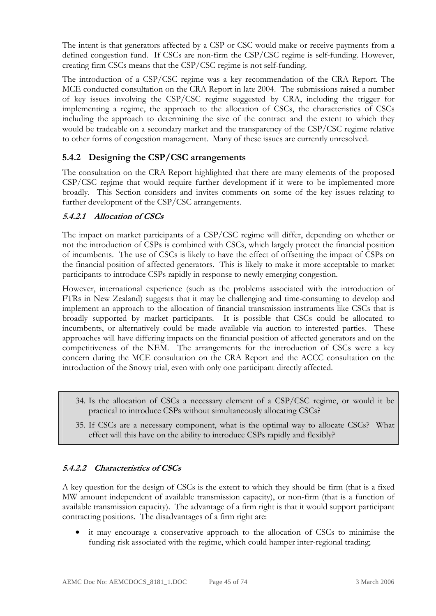The intent is that generators affected by a CSP or CSC would make or receive payments from a defined congestion fund. If CSCs are non-firm the CSP/CSC regime is self-funding. However, creating firm CSCs means that the CSP/CSC regime is not self-funding.

The introduction of a CSP/CSC regime was a key recommendation of the CRA Report. The MCE conducted consultation on the CRA Report in late 2004. The submissions raised a number of key issues involving the CSP/CSC regime suggested by CRA, including the trigger for implementing a regime, the approach to the allocation of CSCs, the characteristics of CSCs including the approach to determining the size of the contract and the extent to which they would be tradeable on a secondary market and the transparency of the CSP/CSC regime relative to other forms of congestion management. Many of these issues are currently unresolved.

# **5.4.2 Designing the CSP/CSC arrangements**

The consultation on the CRA Report highlighted that there are many elements of the proposed CSP/CSC regime that would require further development if it were to be implemented more broadly. This Section considers and invites comments on some of the key issues relating to further development of the CSP/CSC arrangements.

#### **5.4.2.1 Allocation of CSCs**

The impact on market participants of a CSP/CSC regime will differ, depending on whether or not the introduction of CSPs is combined with CSCs, which largely protect the financial position of incumbents. The use of CSCs is likely to have the effect of offsetting the impact of CSPs on the financial position of affected generators. This is likely to make it more acceptable to market participants to introduce CSPs rapidly in response to newly emerging congestion.

However, international experience (such as the problems associated with the introduction of FTRs in New Zealand) suggests that it may be challenging and time-consuming to develop and implement an approach to the allocation of financial transmission instruments like CSCs that is broadly supported by market participants. It is possible that CSCs could be allocated to incumbents, or alternatively could be made available via auction to interested parties. These approaches will have differing impacts on the financial position of affected generators and on the competitiveness of the NEM. The arrangements for the introduction of CSCs were a key concern during the MCE consultation on the CRA Report and the ACCC consultation on the introduction of the Snowy trial, even with only one participant directly affected.

- 34. Is the allocation of CSCs a necessary element of a CSP/CSC regime, or would it be practical to introduce CSPs without simultaneously allocating CSCs?
- 35. If CSCs are a necessary component, what is the optimal way to allocate CSCs? What effect will this have on the ability to introduce CSPs rapidly and flexibly?

## **5.4.2.2 Characteristics of CSCs**

A key question for the design of CSCs is the extent to which they should be firm (that is a fixed MW amount independent of available transmission capacity), or non-firm (that is a function of available transmission capacity). The advantage of a firm right is that it would support participant contracting positions. The disadvantages of a firm right are:

• it may encourage a conservative approach to the allocation of CSCs to minimise the funding risk associated with the regime, which could hamper inter-regional trading;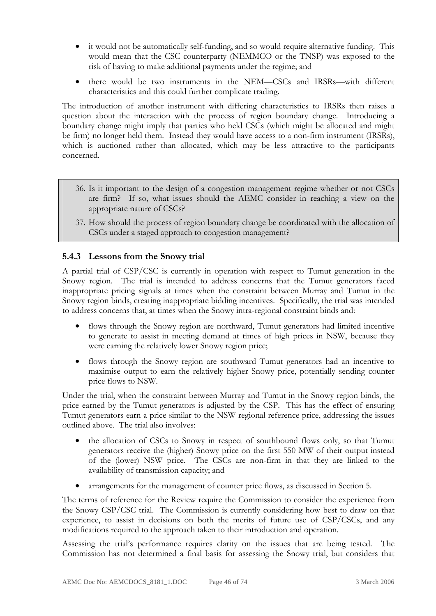- it would not be automatically self-funding, and so would require alternative funding. This would mean that the CSC counterparty (NEMMCO or the TNSP) was exposed to the risk of having to make additional payments under the regime; and
- there would be two instruments in the NEM—CSCs and IRSRs—with different characteristics and this could further complicate trading.

The introduction of another instrument with differing characteristics to IRSRs then raises a question about the interaction with the process of region boundary change. Introducing a boundary change might imply that parties who held CSCs (which might be allocated and might be firm) no longer held them. Instead they would have access to a non-firm instrument (IRSRs), which is auctioned rather than allocated, which may be less attractive to the participants concerned.

- 36. Is it important to the design of a congestion management regime whether or not CSCs are firm? If so, what issues should the AEMC consider in reaching a view on the appropriate nature of CSCs?
- 37. How should the process of region boundary change be coordinated with the allocation of CSCs under a staged approach to congestion management?

#### **5.4.3 Lessons from the Snowy trial**

A partial trial of CSP/CSC is currently in operation with respect to Tumut generation in the Snowy region. The trial is intended to address concerns that the Tumut generators faced inappropriate pricing signals at times when the constraint between Murray and Tumut in the Snowy region binds, creating inappropriate bidding incentives. Specifically, the trial was intended to address concerns that, at times when the Snowy intra-regional constraint binds and:

- flows through the Snowy region are northward, Tumut generators had limited incentive to generate to assist in meeting demand at times of high prices in NSW, because they were earning the relatively lower Snowy region price;
- flows through the Snowy region are southward Tumut generators had an incentive to maximise output to earn the relatively higher Snowy price, potentially sending counter price flows to NSW.

Under the trial, when the constraint between Murray and Tumut in the Snowy region binds, the price earned by the Tumut generators is adjusted by the CSP. This has the effect of ensuring Tumut generators earn a price similar to the NSW regional reference price, addressing the issues outlined above. The trial also involves:

- the allocation of CSCs to Snowy in respect of southbound flows only, so that Tumut generators receive the (higher) Snowy price on the first 550 MW of their output instead of the (lower) NSW price. The CSCs are non-firm in that they are linked to the availability of transmission capacity; and
- arrangements for the management of counter price flows, as discussed in Section 5.

The terms of reference for the Review require the Commission to consider the experience from the Snowy CSP/CSC trial. The Commission is currently considering how best to draw on that experience, to assist in decisions on both the merits of future use of CSP/CSCs, and any modifications required to the approach taken to their introduction and operation.

Assessing the trial's performance requires clarity on the issues that are being tested. The Commission has not determined a final basis for assessing the Snowy trial, but considers that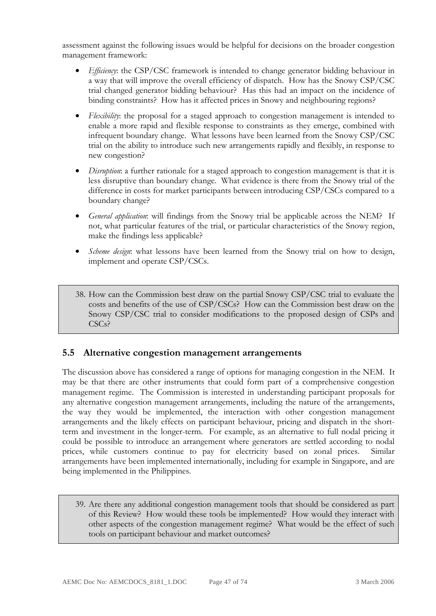assessment against the following issues would be helpful for decisions on the broader congestion management framework:

- *Efficiency*: the CSP/CSC framework is intended to change generator bidding behaviour in a way that will improve the overall efficiency of dispatch. How has the Snowy CSP/CSC trial changed generator bidding behaviour? Has this had an impact on the incidence of binding constraints? How has it affected prices in Snowy and neighbouring regions?
- *Flexibility*: the proposal for a staged approach to congestion management is intended to enable a more rapid and flexible response to constraints as they emerge, combined with infrequent boundary change. What lessons have been learned from the Snowy CSP/CSC trial on the ability to introduce such new arrangements rapidly and flexibly, in response to new congestion?
- *Disruption*: a further rationale for a staged approach to congestion management is that it is less disruptive than boundary change. What evidence is there from the Snowy trial of the difference in costs for market participants between introducing CSP/CSCs compared to a boundary change?
- *General application*: will findings from the Snowy trial be applicable across the NEM? If not, what particular features of the trial, or particular characteristics of the Snowy region, make the findings less applicable?
- *Scheme design*: what lessons have been learned from the Snowy trial on how to design, implement and operate CSP/CSCs.
- 38. How can the Commission best draw on the partial Snowy CSP/CSC trial to evaluate the costs and benefits of the use of CSP/CSCs? How can the Commission best draw on the Snowy CSP/CSC trial to consider modifications to the proposed design of CSPs and CSC<sub>s</sub>?

# **5.5 Alternative congestion management arrangements**

The discussion above has considered a range of options for managing congestion in the NEM. It may be that there are other instruments that could form part of a comprehensive congestion management regime. The Commission is interested in understanding participant proposals for any alternative congestion management arrangements, including the nature of the arrangements, the way they would be implemented, the interaction with other congestion management arrangements and the likely effects on participant behaviour, pricing and dispatch in the shortterm and investment in the longer-term. For example, as an alternative to full nodal pricing it could be possible to introduce an arrangement where generators are settled according to nodal prices, while customers continue to pay for electricity based on zonal prices. Similar arrangements have been implemented internationally, including for example in Singapore, and are being implemented in the Philippines.

39. Are there any additional congestion management tools that should be considered as part of this Review? How would these tools be implemented? How would they interact with other aspects of the congestion management regime? What would be the effect of such tools on participant behaviour and market outcomes?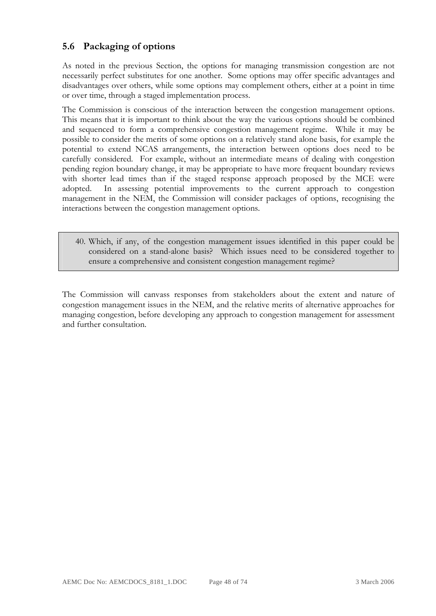# **5.6 Packaging of options**

As noted in the previous Section, the options for managing transmission congestion are not necessarily perfect substitutes for one another. Some options may offer specific advantages and disadvantages over others, while some options may complement others, either at a point in time or over time, through a staged implementation process.

The Commission is conscious of the interaction between the congestion management options. This means that it is important to think about the way the various options should be combined and sequenced to form a comprehensive congestion management regime. While it may be possible to consider the merits of some options on a relatively stand alone basis, for example the potential to extend NCAS arrangements, the interaction between options does need to be carefully considered. For example, without an intermediate means of dealing with congestion pending region boundary change, it may be appropriate to have more frequent boundary reviews with shorter lead times than if the staged response approach proposed by the MCE were adopted. In assessing potential improvements to the current approach to congestion management in the NEM, the Commission will consider packages of options, recognising the interactions between the congestion management options.

40. Which, if any, of the congestion management issues identified in this paper could be considered on a stand-alone basis? Which issues need to be considered together to ensure a comprehensive and consistent congestion management regime?

The Commission will canvass responses from stakeholders about the extent and nature of congestion management issues in the NEM, and the relative merits of alternative approaches for managing congestion, before developing any approach to congestion management for assessment and further consultation.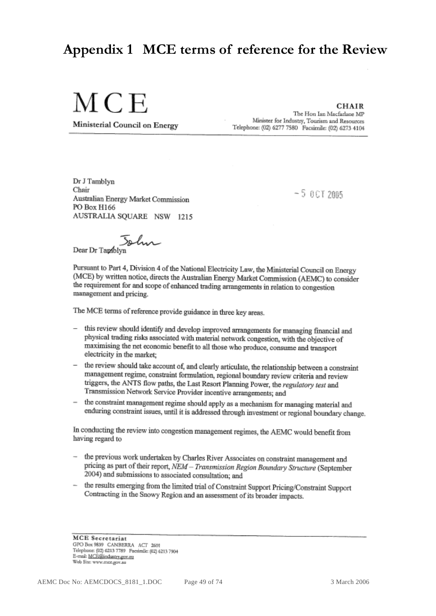# **Appendix 1 MCE terms of reference for the Review**

MCE

Ministerial Council on Energy

**CHAIR** 

The Hon Ian Macfarlane MP Minister for Industry, Tourism and Resources Telephone: (02) 6277 7580 Facsimile: (02) 6273 4104

Dr J Tamblyn Chair Australian Energy Market Commission PO Box H166 AUSTRALIA SOUARE NSW 1215

 $-5.0$ CT 2005

John

Dear Dr Tambl

Pursuant to Part 4, Division 4 of the National Electricity Law, the Ministerial Council on Energy (MCE) by written notice, directs the Australian Energy Market Commission (AEMC) to consider the requirement for and scope of enhanced trading arrangements in relation to congestion management and pricing.

The MCE terms of reference provide guidance in three key areas.

- this review should identify and develop improved arrangements for managing financial and physical trading risks associated with material network congestion, with the objective of maximising the net economic benefit to all those who produce, consume and transport electricity in the market:
- the review should take account of, and clearly articulate, the relationship between a constraint management regime, constraint formulation, regional boundary review criteria and review triggers, the ANTS flow paths, the Last Resort Planning Power, the regulatory test and Transmission Network Service Provider incentive arrangements; and
- the constraint management regime should apply as a mechanism for managing material and enduring constraint issues, until it is addressed through investment or regional boundary change.

In conducting the review into congestion management regimes, the AEMC would benefit from having regard to

- the previous work undertaken by Charles River Associates on constraint management and pricing as part of their report, NEM - Transmission Region Boundary Structure (September 2004) and submissions to associated consultation; and
- the results emerging from the limited trial of Constraint Support Pricing/Constraint Support Contracting in the Snowy Region and an assessment of its broader impacts.

**MCE** Secretariat GPO Box 9839 CANBERRA ACT 2601 Telephone: (02) 6213 7789 Facsimile: (02) 6213 7904 E-mail: MCE@industry.gov.m Web Site: www.moe.gov.au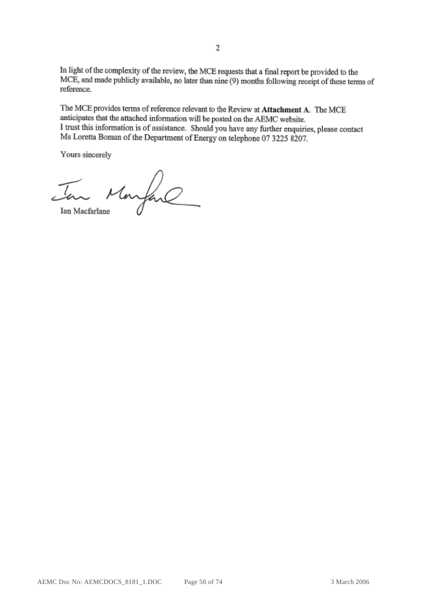In light of the complexity of the review, the MCE requests that a final report be provided to the MCE, and made publicly available, no later than nine (9) months following receipt of these terms of reference.

The MCE provides terms of reference relevant to the Review at Attachment A. The MCE anticipates that the attached information will be posted on the AEMC website. I trust this information is of assistance. Should you have any further enquiries, please contact Ms Loretta Boman of the Department of Energy on telephone 07 3225 8207.

Yours sincerely

Jan Maryan

Ian Macfarlane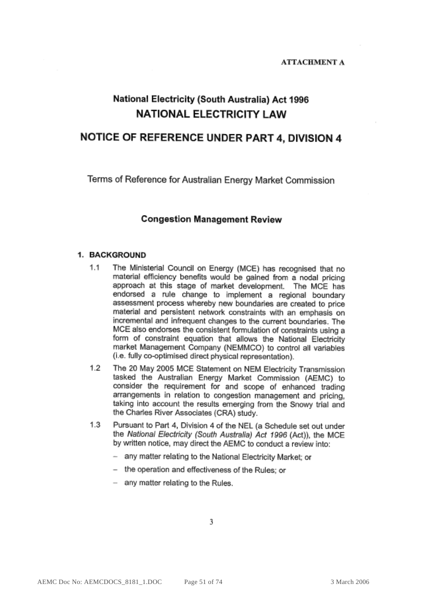#### **ATTACHMENT A**

# National Electricity (South Australia) Act 1996 **NATIONAL ELECTRICITY LAW**

## NOTICE OF REFERENCE UNDER PART 4, DIVISION 4

Terms of Reference for Australian Energy Market Commission

#### **Congestion Management Review**

#### 1. BACKGROUND

- $1.1$ The Ministerial Council on Energy (MCE) has recognised that no material efficiency benefits would be gained from a nodal pricing approach at this stage of market development. The MCE has endorsed a rule change to implement a regional boundary assessment process whereby new boundaries are created to price material and persistent network constraints with an emphasis on incremental and infrequent changes to the current boundaries. The MCE also endorses the consistent formulation of constraints using a form of constraint equation that allows the National Electricity market Management Company (NEMMCO) to control all variables (i.e. fully co-optimised direct physical representation).
- $1.2$ The 20 May 2005 MCE Statement on NEM Electricity Transmission tasked the Australian Energy Market Commission (AEMC) to consider the requirement for and scope of enhanced trading arrangements in relation to congestion management and pricing. taking into account the results emerging from the Snowy trial and the Charles River Associates (CRA) study.
- Pursuant to Part 4, Division 4 of the NEL (a Schedule set out under  $1.3$ the National Electricity (South Australia) Act 1996 (Act)), the MCE by written notice, may direct the AEMC to conduct a review into:
	- any matter relating to the National Electricity Market; or
	- the operation and effectiveness of the Rules; or
	- any matter relating to the Rules.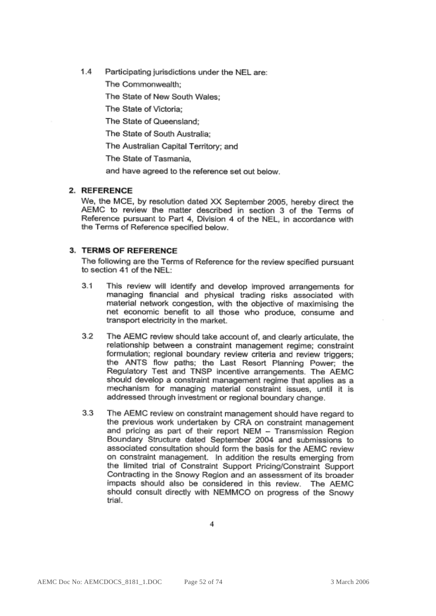$1.4$ Participating jurisdictions under the NEL are:

The Commonwealth:

The State of New South Wales:

The State of Victoria:

The State of Queensland:

The State of South Australia:

The Australian Capital Territory: and

The State of Tasmania.

and have agreed to the reference set out below.

#### 2. REFERENCE

We, the MCE, by resolution dated XX September 2005, hereby direct the AEMC to review the matter described in section 3 of the Terms of Reference pursuant to Part 4, Division 4 of the NEL, in accordance with the Terms of Reference specified below.

#### 3. TERMS OF REFERENCE

The following are the Terms of Reference for the review specified pursuant to section 41 of the NEL:

- $3.1$ This review will identify and develop improved arrangements for managing financial and physical trading risks associated with material network congestion, with the objective of maximising the net economic benefit to all those who produce, consume and transport electricity in the market.
- 3.2 The AEMC review should take account of, and clearly articulate, the relationship between a constraint management regime; constraint formulation; regional boundary review criteria and review triggers; the ANTS flow paths; the Last Resort Planning Power; the Regulatory Test and TNSP incentive arrangements. The AEMC should develop a constraint management regime that applies as a mechanism for managing material constraint issues, until it is addressed through investment or regional boundary change.
- $3.3$ The AEMC review on constraint management should have regard to the previous work undertaken by CRA on constraint management and pricing as part of their report NEM - Transmission Region Boundary Structure dated September 2004 and submissions to associated consultation should form the basis for the AEMC review on constraint management. In addition the results emerging from the limited trial of Constraint Support Pricing/Constraint Support Contracting in the Snowy Region and an assessment of its broader impacts should also be considered in this review. The AEMC should consult directly with NEMMCO on progress of the Snowy trial.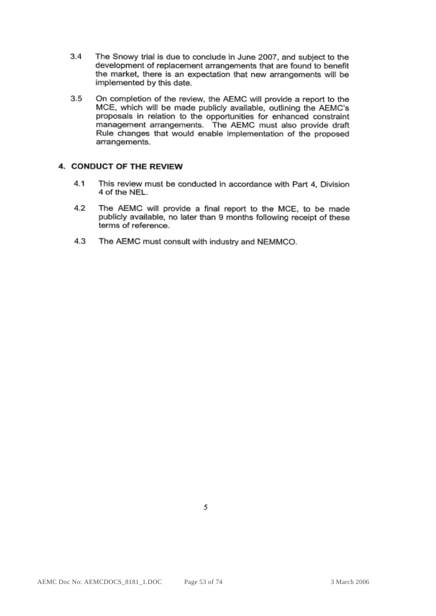- $3.4$ The Snowy trial is due to conclude in June 2007, and subject to the development of replacement arrangements that are found to benefit the market, there is an expectation that new arrangements will be implemented by this date.
- $3.5$ On completion of the review, the AEMC will provide a report to the MCE, which will be made publicly available, outlining the AEMC's proposals in relation to the opportunities for enhanced constraint management arrangements. The AEMC must also provide draft Rule changes that would enable implementation of the proposed arrangements.

#### 4. CONDUCT OF THE REVIEW

- 4.1 This review must be conducted in accordance with Part 4, Division 4 of the NEL.
- 4.2 The AEMC will provide a final report to the MCE, to be made publicly available, no later than 9 months following receipt of these terms of reference.
- $4.3$ The AEMC must consult with industry and NEMMCO.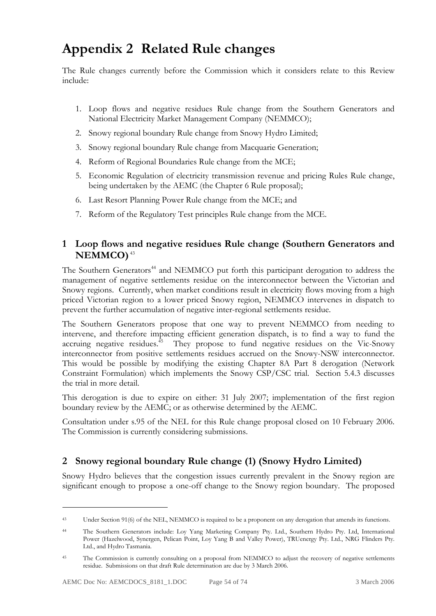# **Appendix 2 Related Rule changes**

The Rule changes currently before the Commission which it considers relate to this Review include:

- 1. Loop flows and negative residues Rule change from the Southern Generators and National Electricity Market Management Company (NEMMCO);
- 2. Snowy regional boundary Rule change from Snowy Hydro Limited;
- 3. Snowy regional boundary Rule change from Macquarie Generation;
- 4. Reform of Regional Boundaries Rule change from the MCE;
- 5. Economic Regulation of electricity transmission revenue and pricing Rules Rule change, being undertaken by the AEMC (the Chapter 6 Rule proposal);
- 6. Last Resort Planning Power Rule change from the MCE; and
- 7. Reform of the Regulatory Test principles Rule change from the MCE.

# **1 Loop flows and negative residues Rule change (Southern Generators and NEMMCO)**<sup>43</sup>

The Southern Generators<sup>44</sup> and NEMMCO put forth this participant derogation to address the management of negative settlements residue on the interconnector between the Victorian and Snowy regions. Currently, when market conditions result in electricity flows moving from a high priced Victorian region to a lower priced Snowy region, NEMMCO intervenes in dispatch to prevent the further accumulation of negative inter-regional settlements residue.

The Southern Generators propose that one way to prevent NEMMCO from needing to intervene, and therefore impacting efficient generation dispatch, is to find a way to fund the accruing negative residues.<sup>45</sup> They propose to fund negative residues on the Vic-Snowy interconnector from positive settlements residues accrued on the Snowy-NSW interconnector. This would be possible by modifying the existing Chapter 8A Part 8 derogation (Network Constraint Formulation) which implements the Snowy CSP/CSC trial. Section 5.4.3 discusses the trial in more detail.

This derogation is due to expire on either: 31 July 2007; implementation of the first region boundary review by the AEMC; or as otherwise determined by the AEMC.

Consultation under s.95 of the NEL for this Rule change proposal closed on 10 February 2006. The Commission is currently considering submissions.

# **2 Snowy regional boundary Rule change (1) (Snowy Hydro Limited)**

Snowy Hydro believes that the congestion issues currently prevalent in the Snowy region are significant enough to propose a one-off change to the Snowy region boundary. The proposed

<sup>43</sup> Under Section 91(6) of the NEL, NEMMCO is required to be a proponent on any derogation that amends its functions.

<sup>44</sup> The Southern Generators include: Loy Yang Marketing Company Pty. Ltd., Southern Hydro Pty. Ltd, International Power (Hazelwood, Synergen, Pelican Point, Loy Yang B and Valley Power), TRUenergy Pty. Ltd., NRG Flinders Pty. Ltd., and Hydro Tasmania.

<sup>&</sup>lt;sup>45</sup> The Commission is currently consulting on a proposal from NEMMCO to adjust the recovery of negative settlements residue. Submissions on that draft Rule determination are due by 3 March 2006.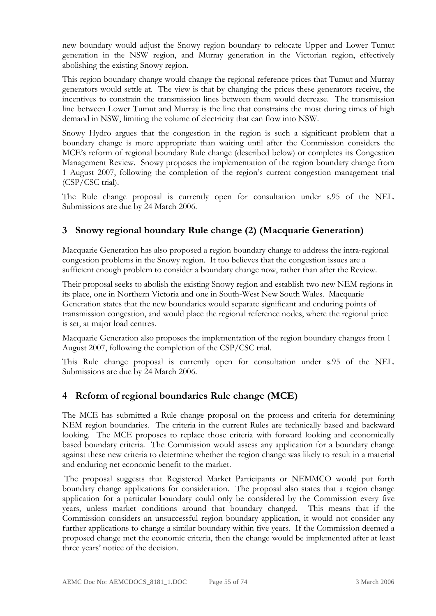new boundary would adjust the Snowy region boundary to relocate Upper and Lower Tumut generation in the NSW region, and Murray generation in the Victorian region, effectively abolishing the existing Snowy region.

This region boundary change would change the regional reference prices that Tumut and Murray generators would settle at. The view is that by changing the prices these generators receive, the incentives to constrain the transmission lines between them would decrease. The transmission line between Lower Tumut and Murray is the line that constrains the most during times of high demand in NSW, limiting the volume of electricity that can flow into NSW.

Snowy Hydro argues that the congestion in the region is such a significant problem that a boundary change is more appropriate than waiting until after the Commission considers the MCE's reform of regional boundary Rule change (described below) or completes its Congestion Management Review. Snowy proposes the implementation of the region boundary change from 1 August 2007, following the completion of the region's current congestion management trial (CSP/CSC trial).

The Rule change proposal is currently open for consultation under s.95 of the NEL. Submissions are due by 24 March 2006.

# **3 Snowy regional boundary Rule change (2) (Macquarie Generation)**

Macquarie Generation has also proposed a region boundary change to address the intra-regional congestion problems in the Snowy region. It too believes that the congestion issues are a sufficient enough problem to consider a boundary change now, rather than after the Review.

Their proposal seeks to abolish the existing Snowy region and establish two new NEM regions in its place, one in Northern Victoria and one in South-West New South Wales. Macquarie Generation states that the new boundaries would separate significant and enduring points of transmission congestion, and would place the regional reference nodes, where the regional price is set, at major load centres.

Macquarie Generation also proposes the implementation of the region boundary changes from 1 August 2007, following the completion of the CSP/CSC trial.

This Rule change proposal is currently open for consultation under s.95 of the NEL. Submissions are due by 24 March 2006.

# **4 Reform of regional boundaries Rule change (MCE)**

The MCE has submitted a Rule change proposal on the process and criteria for determining NEM region boundaries. The criteria in the current Rules are technically based and backward looking. The MCE proposes to replace those criteria with forward looking and economically based boundary criteria. The Commission would assess any application for a boundary change against these new criteria to determine whether the region change was likely to result in a material and enduring net economic benefit to the market.

 The proposal suggests that Registered Market Participants or NEMMCO would put forth boundary change applications for consideration. The proposal also states that a region change application for a particular boundary could only be considered by the Commission every five years, unless market conditions around that boundary changed. This means that if the Commission considers an unsuccessful region boundary application, it would not consider any further applications to change a similar boundary within five years. If the Commission deemed a proposed change met the economic criteria, then the change would be implemented after at least three years' notice of the decision.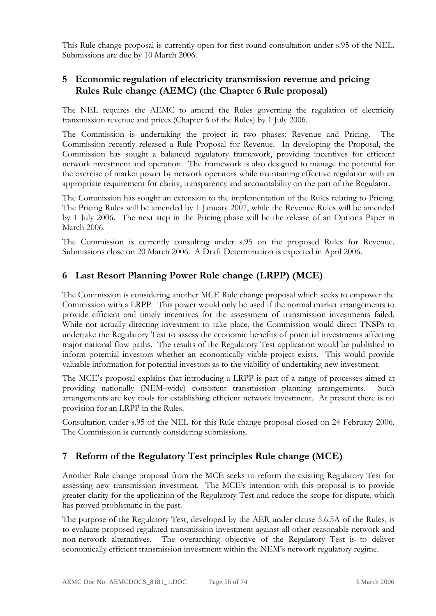This Rule change proposal is currently open for first round consultation under s.95 of the NEL. Submissions are due by 10 March 2006.

# **5 Economic regulation of electricity transmission revenue and pricing Rules Rule change (AEMC) (the Chapter 6 Rule proposal)**

The NEL requires the AEMC to amend the Rules governing the regulation of electricity transmission revenue and prices (Chapter 6 of the Rules) by 1 July 2006.

The Commission is undertaking the project in two phases: Revenue and Pricing. The Commission recently released a Rule Proposal for Revenue. In developing the Proposal, the Commission has sought a balanced regulatory framework, providing incentives for efficient network investment and operation. The framework is also designed to manage the potential for the exercise of market power by network operators while maintaining effective regulation with an appropriate requirement for clarity, transparency and accountability on the part of the Regulator.

The Commission has sought an extension to the implementation of the Rules relating to Pricing. The Pricing Rules will be amended by 1 January 2007, while the Revenue Rules will be amended by 1 July 2006. The next step in the Pricing phase will be the release of an Options Paper in March 2006.

The Commission is currently consulting under s.95 on the proposed Rules for Revenue. Submissions close on 20 March 2006. A Draft Determination is expected in April 2006.

# **6 Last Resort Planning Power Rule change (LRPP) (MCE)**

The Commission is considering another MCE Rule change proposal which seeks to empower the Commission with a LRPP. This power would only be used if the normal market arrangements to provide efficient and timely incentives for the assessment of transmission investments failed. While not actually directing investment to take place, the Commission would direct TNSPs to undertake the Regulatory Test to assess the economic benefits of potential investments affecting major national flow paths. The results of the Regulatory Test application would be published to inform potential investors whether an economically viable project exists. This would provide valuable information for potential investors as to the viability of undertaking new investment.

The MCE's proposal explains that introducing a LRPP is part of a range of processes aimed at providing nationally (NEM–wide) consistent transmission planning arrangements. Such arrangements are key tools for establishing efficient network investment. At present there is no provision for an LRPP in the Rules.

Consultation under s.95 of the NEL for this Rule change proposal closed on 24 February 2006. The Commission is currently considering submissions.

# **7 Reform of the Regulatory Test principles Rule change (MCE)**

Another Rule change proposal from the MCE seeks to reform the existing Regulatory Test for assessing new transmission investment. The MCE's intention with this proposal is to provide greater clarity for the application of the Regulatory Test and reduce the scope for dispute, which has proved problematic in the past.

The purpose of the Regulatory Test, developed by the AER under clause 5.6.5A of the Rules, is to evaluate proposed regulated transmission investment against all other reasonable network and non-network alternatives. The overarching objective of the Regulatory Test is to deliver economically efficient transmission investment within the NEM's network regulatory regime.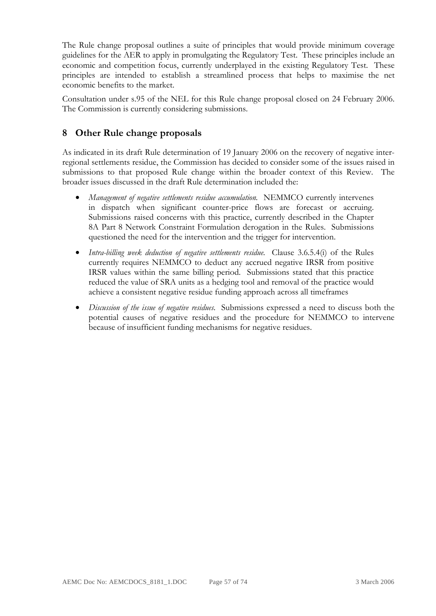The Rule change proposal outlines a suite of principles that would provide minimum coverage guidelines for the AER to apply in promulgating the Regulatory Test. These principles include an economic and competition focus, currently underplayed in the existing Regulatory Test. These principles are intended to establish a streamlined process that helps to maximise the net economic benefits to the market.

Consultation under s.95 of the NEL for this Rule change proposal closed on 24 February 2006. The Commission is currently considering submissions.

# **8 Other Rule change proposals**

As indicated in its draft Rule determination of 19 January 2006 on the recovery of negative interregional settlements residue, the Commission has decided to consider some of the issues raised in submissions to that proposed Rule change within the broader context of this Review. The broader issues discussed in the draft Rule determination included the:

- *Management of negative settlements residue accumulation.* NEMMCO currently intervenes in dispatch when significant counter-price flows are forecast or accruing. Submissions raised concerns with this practice, currently described in the Chapter 8A Part 8 Network Constraint Formulation derogation in the Rules. Submissions questioned the need for the intervention and the trigger for intervention.
- *Intra-billing week deduction of negative settlements residue.* Clause 3.6.5.4(i) of the Rules currently requires NEMMCO to deduct any accrued negative IRSR from positive IRSR values within the same billing period. Submissions stated that this practice reduced the value of SRA units as a hedging tool and removal of the practice would achieve a consistent negative residue funding approach across all timeframes
- *Discussion of the issue of negative residues*. Submissions expressed a need to discuss both the potential causes of negative residues and the procedure for NEMMCO to intervene because of insufficient funding mechanisms for negative residues.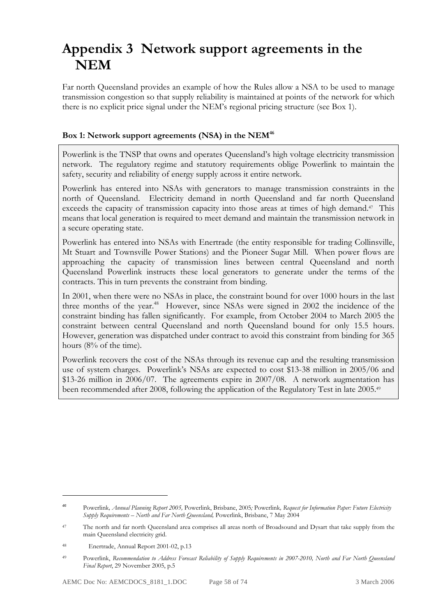# **Appendix 3 Network support agreements in the NEM**

Far north Queensland provides an example of how the Rules allow a NSA to be used to manage transmission congestion so that supply reliability is maintained at points of the network for which there is no explicit price signal under the NEM's regional pricing structure (see Box 1).

#### Box 1: Network support agreements (NSA) in the NEM<sup>46</sup>

Powerlink is the TNSP that owns and operates Queensland's high voltage electricity transmission network. The regulatory regime and statutory requirements oblige Powerlink to maintain the safety, security and reliability of energy supply across it entire network.

Powerlink has entered into NSAs with generators to manage transmission constraints in the north of Queensland. Electricity demand in north Queensland and far north Queensland exceeds the capacity of transmission capacity into those areas at times of high demand.<sup>47</sup> This means that local generation is required to meet demand and maintain the transmission network in a secure operating state.

Powerlink has entered into NSAs with Enertrade (the entity responsible for trading Collinsville, Mt Stuart and Townsville Power Stations) and the Pioneer Sugar Mill. When power flows are approaching the capacity of transmission lines between central Queensland and north Queensland Powerlink instructs these local generators to generate under the terms of the contracts. This in turn prevents the constraint from binding.

In 2001, when there were no NSAs in place, the constraint bound for over 1000 hours in the last three months of the year.<sup>48</sup> However, since NSAs were signed in 2002 the incidence of the constraint binding has fallen significantly. For example, from October 2004 to March 2005 the constraint between central Queensland and north Queensland bound for only 15.5 hours. However, generation was dispatched under contract to avoid this constraint from binding for 365 hours (8% of the time).

Powerlink recovers the cost of the NSAs through its revenue cap and the resulting transmission use of system charges. Powerlink's NSAs are expected to cost \$13-38 million in 2005/06 and \$13-26 million in 2006/07. The agreements expire in 2007/08. A network augmentation has been recommended after 2008, following the application of the Regulatory Test in late 2005.<sup>49</sup>

*<sup>46</sup>* Powerlink*, Annual Planning Report 2005,* Powerlink, Brisbane, 2005*;* Powerlink*, Request for Information Paper: Future Electricity Supply Requirements – North and Far North Queensland,* Powerlink, Brisbane, 7 May 2004

<sup>&</sup>lt;sup>47</sup> The north and far north Queensland area comprises all areas north of Broadsound and Dysart that take supply from the main Queensland electricity grid.

<sup>48</sup> Enertrade, Annual Report 2001-02, p.13

<sup>49</sup> Powerlink, *Recommendation to Address Forecast Reliability of Supply Requirements in 2007-2010, North and Far North Queensland Final Report*, 29 November 2005, p.5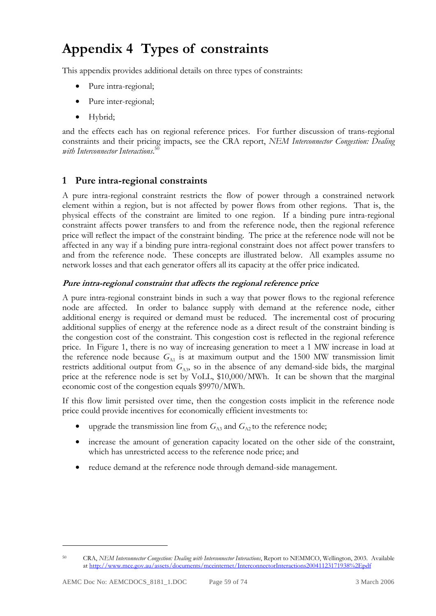# **Appendix 4 Types of constraints**

This appendix provides additional details on three types of constraints:

- Pure intra-regional;
- Pure inter-regional;
- Hybrid;

and the effects each has on regional reference prices. For further discussion of trans-regional constraints and their pricing impacts, see the CRA report, *NEM Interconnector Congestion: Dealing with Interconnector Interactions*. 50

## **1 Pure intra-regional constraints**

A pure intra-regional constraint restricts the flow of power through a constrained network element within a region, but is not affected by power flows from other regions. That is, the physical effects of the constraint are limited to one region. If a binding pure intra-regional constraint affects power transfers to and from the reference node, then the regional reference price will reflect the impact of the constraint binding. The price at the reference node will not be affected in any way if a binding pure intra-regional constraint does not affect power transfers to and from the reference node. These concepts are illustrated below. All examples assume no network losses and that each generator offers all its capacity at the offer price indicated.

#### **Pure intra-regional constraint that affects the regional reference price**

A pure intra-regional constraint binds in such a way that power flows to the regional reference node are affected. In order to balance supply with demand at the reference node, either additional energy is required or demand must be reduced. The incremental cost of procuring additional supplies of energy at the reference node as a direct result of the constraint binding is the congestion cost of the constraint. This congestion cost is reflected in the regional reference price. In Figure 1, there is no way of increasing generation to meet a 1 MW increase in load at the reference node because  $G_{\text{A1}}$  is at maximum output and the 1500 MW transmission limit restricts additional output from  $G_{A3}$ , so in the absence of any demand-side bids, the marginal price at the reference node is set by VoLL, \$10,000/MWh. It can be shown that the marginal economic cost of the congestion equals \$9970/MWh.

If this flow limit persisted over time, then the congestion costs implicit in the reference node price could provide incentives for economically efficient investments to:

- upgrade the transmission line from  $G_{A3}$  and  $G_{A2}$  to the reference node;
- increase the amount of generation capacity located on the other side of the constraint, which has unrestricted access to the reference node price; and
- reduce demand at the reference node through demand-side management.

<sup>50</sup> CRA, *NEM Interconnector Congestion: Dealing with Interconnector Interactions*, Report to NEMMCO, Wellington, 2003. Available at http://www.mce.gov.au/assets/documents/mceinternet/InterconnectorInteractions20041123171938%2Epdf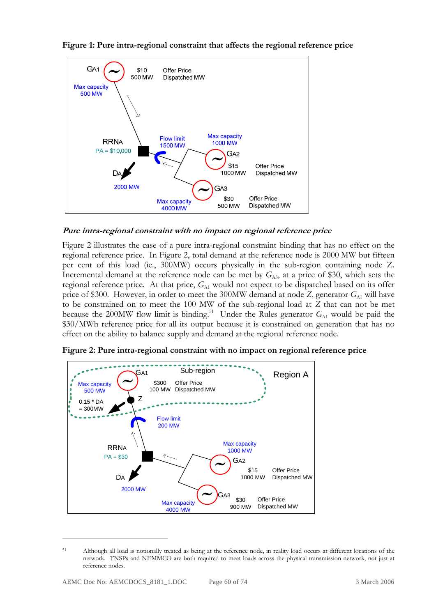

**Figure 1: Pure intra-regional constraint that affects the regional reference price** 

**Pure intra-regional constraint with no impact on regional reference price** 

Figure 2 illustrates the case of a pure intra-regional constraint binding that has no effect on the regional reference price. In Figure 2, total demand at the reference node is 2000 MW but fifteen per cent of this load (ie., 300MW) occurs physically in the sub-region containing node Z. Incremental demand at the reference node can be met by  $G_{\text{A3}}$ , at a price of \$30, which sets the regional reference price. At that price,  $G_{\text{A1}}$  would not expect to be dispatched based on its offer price of \$300. However, in order to meet the 300MW demand at node *Z*, generator  $G_{\text{A1}}$  will have to be constrained on to meet the 100 MW of the sub-regional load at *Z* that can not be met because the 200MW flow limit is binding.<sup>51</sup> Under the Rules generator  $G_{A1}$  would be paid the \$30/MWh reference price for all its output because it is constrained on generation that has no effect on the ability to balance supply and demand at the regional reference node.



**Figure 2: Pure intra-regional constraint with no impact on regional reference price** 

<sup>51</sup> Although all load is notionally treated as being at the reference node, in reality load occurs at different locations of the network. TNSPs and NEMMCO are both required to meet loads across the physical transmission network, not just at reference nodes.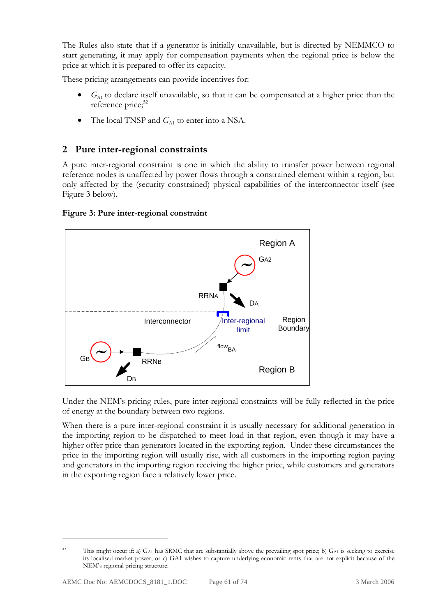The Rules also state that if a generator is initially unavailable, but is directed by NEMMCO to start generating, it may apply for compensation payments when the regional price is below the price at which it is prepared to offer its capacity.

These pricing arrangements can provide incentives for:

- $G<sub>AI</sub>$  to declare itself unavailable, so that it can be compensated at a higher price than the reference price;<sup>52</sup>
- The local TNSP and  $G_{A1}$  to enter into a NSA.

## **2 Pure inter-regional constraints**

A pure inter-regional constraint is one in which the ability to transfer power between regional reference nodes is unaffected by power flows through a constrained element within a region, but only affected by the (security constrained) physical capabilities of the interconnector itself (see Figure 3 below).

#### **Figure 3: Pure inter-regional constraint**



Under the NEM's pricing rules, pure inter-regional constraints will be fully reflected in the price of energy at the boundary between two regions.

When there is a pure inter-regional constraint it is usually necessary for additional generation in the importing region to be dispatched to meet load in that region, even though it may have a higher offer price than generators located in the exporting region. Under these circumstances the price in the importing region will usually rise, with all customers in the importing region paying and generators in the importing region receiving the higher price, while customers and generators in the exporting region face a relatively lower price.

<sup>&</sup>lt;sup>52</sup> This might occur if: a)  $G_{\text{A1}}$  has SRMC that are substantially above the prevailing spot price; b)  $G_{\text{A1}}$  is seeking to exercise its localised market power; or c) GA1 wishes to capture underlying economic rents that are not explicit because of the NEM's regional pricing structure.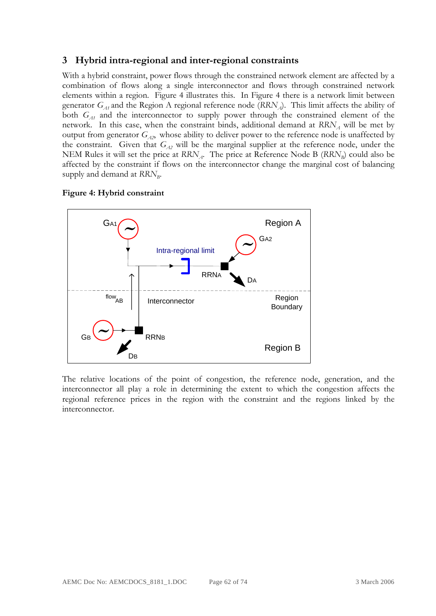## **3 Hybrid intra-regional and inter-regional constraints**

With a hybrid constraint, power flows through the constrained network element are affected by a combination of flows along a single interconnector and flows through constrained network elements within a region. Figure 4 illustrates this. In Figure 4 there is a network limit between generator  $G_{A1}$  and the Region A regional reference node ( $RRN_A$ ). This limit affects the ability of both  $G_{A1}$  and the interconnector to supply power through the constrained element of the network. In this case, when the constraint binds, additional demand at  $RRN_A$  will be met by output from generator  $G_{A2}$ , whose ability to deliver power to the reference node is unaffected by the constraint. Given that  $G_{A2}$  will be the marginal supplier at the reference node, under the NEM Rules it will set the price at  $RRN_A$ . The price at *Reference* Node B ( $RRN_B$ ) could also be affected by the constraint if flows on the interconnector change the marginal cost of balancing supply and demand at  $RRN_B$ .





The relative locations of the point of congestion, the reference node, generation, and the interconnector all play a role in determining the extent to which the congestion affects the regional reference prices in the region with the constraint and the regions linked by the interconnector.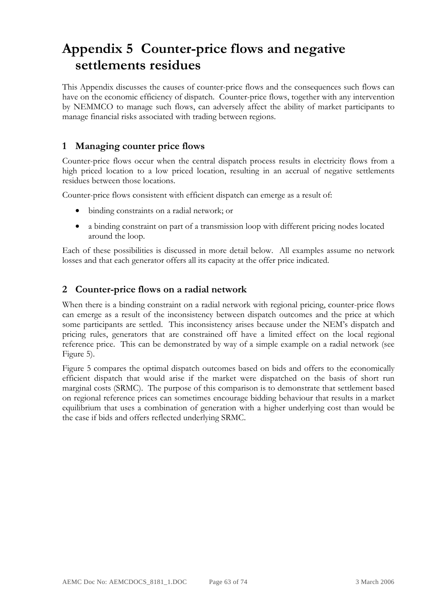# **Appendix 5 Counter-price flows and negative settlements residues**

This Appendix discusses the causes of counter-price flows and the consequences such flows can have on the economic efficiency of dispatch. Counter-price flows, together with any intervention by NEMMCO to manage such flows, can adversely affect the ability of market participants to manage financial risks associated with trading between regions.

# **1 Managing counter price flows**

Counter-price flows occur when the central dispatch process results in electricity flows from a high priced location to a low priced location, resulting in an accrual of negative settlements residues between those locations.

Counter-price flows consistent with efficient dispatch can emerge as a result of:

- binding constraints on a radial network; or
- a binding constraint on part of a transmission loop with different pricing nodes located around the loop.

Each of these possibilities is discussed in more detail below. All examples assume no network losses and that each generator offers all its capacity at the offer price indicated.

# **2 Counter-price flows on a radial network**

When there is a binding constraint on a radial network with regional pricing, counter-price flows can emerge as a result of the inconsistency between dispatch outcomes and the price at which some participants are settled. This inconsistency arises because under the NEM's dispatch and pricing rules, generators that are constrained off have a limited effect on the local regional reference price. This can be demonstrated by way of a simple example on a radial network (see Figure 5).

Figure 5 compares the optimal dispatch outcomes based on bids and offers to the economically efficient dispatch that would arise if the market were dispatched on the basis of short run marginal costs (SRMC). The purpose of this comparison is to demonstrate that settlement based on regional reference prices can sometimes encourage bidding behaviour that results in a market equilibrium that uses a combination of generation with a higher underlying cost than would be the case if bids and offers reflected underlying SRMC.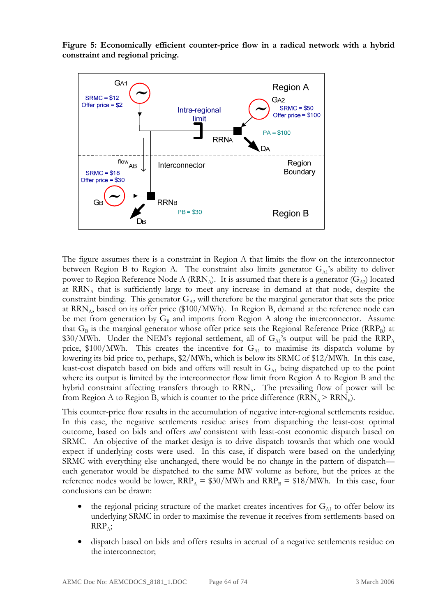**Figure 5: Economically efficient counter-price flow in a radical network with a hybrid constraint and regional pricing.** 



The figure assumes there is a constraint in Region A that limits the flow on the interconnector between Region B to Region A. The constraint also limits generator  $G_{A1}$ 's ability to deliver power to Region Reference Node A (RRN<sub>A</sub>). It is assumed that there is a generator ( $G_{A2}$ ) located at  $RRN<sub>A</sub>$  that is sufficiently large to meet any increase in demand at that node, despite the constraint binding. This generator  $G_{A2}$  will therefore be the marginal generator that sets the price at  $RRN_A$ , based on its offer price (\$100/MWh). In Region B, demand at the reference node can be met from generation by  $G_B$  and imports from Region A along the interconnector. Assume that  $G_B$  is the marginal generator whose offer price sets the Regional Reference Price (RRP<sub>B</sub>) at \$30/MWh. Under the NEM's regional settlement, all of  $G_{A1}$ 's output will be paid the  $\rm{RRP}_{A}$ price, \$100/MWh. This creates the incentive for  $G_{A1}$  to maximise its dispatch volume by lowering its bid price to, perhaps, \$2/MWh, which is below its SRMC of \$12/MWh. In this case, least-cost dispatch based on bids and offers will result in  $G_{A1}$  being dispatched up to the point where its output is limited by the interconnector flow limit from Region A to Region B and the hybrid constraint affecting transfers through to  $RRN_A$ . The prevailing flow of power will be from Region A to Region B, which is counter to the price difference  $(RRN_A > RRN_B)$ .

This counter-price flow results in the accumulation of negative inter-regional settlements residue. In this case, the negative settlements residue arises from dispatching the least-cost optimal outcome, based on bids and offers *and* consistent with least-cost economic dispatch based on SRMC. An objective of the market design is to drive dispatch towards that which one would expect if underlying costs were used. In this case, if dispatch were based on the underlying SRMC with everything else unchanged, there would be no change in the pattern of dispatch each generator would be dispatched to the same MW volume as before, but the prices at the reference nodes would be lower,  $\text{RRP}_A = $30/\text{MWh}$  and  $\text{RRP}_B = $18/\text{MWh}$ . In this case, four conclusions can be drawn:

- the regional pricing structure of the market creates incentives for  $G_{A1}$  to offer below its underlying SRMC in order to maximise the revenue it receives from settlements based on  $RRP<sub>A</sub>;$
- dispatch based on bids and offers results in accrual of a negative settlements residue on the interconnector;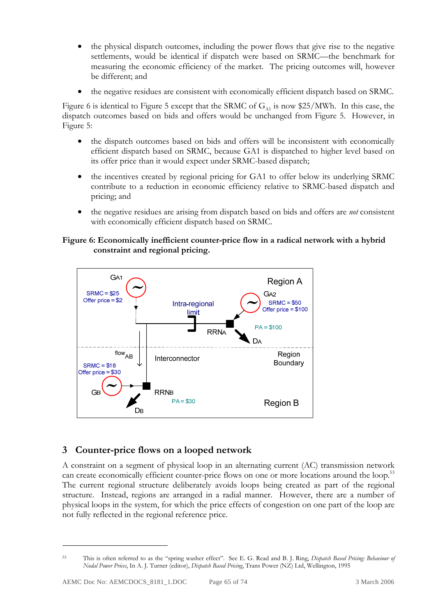- the physical dispatch outcomes, including the power flows that give rise to the negative settlements, would be identical if dispatch were based on SRMC—the benchmark for measuring the economic efficiency of the market. The pricing outcomes will, however be different; and
- the negative residues are consistent with economically efficient dispatch based on SRMC.

Figure 6 is identical to Figure 5 except that the SRMC of  $G_{\text{A1}}$  is now \$25/MWh. In this case, the dispatch outcomes based on bids and offers would be unchanged from Figure 5. However, in Figure 5:

- the dispatch outcomes based on bids and offers will be inconsistent with economically efficient dispatch based on SRMC, because GA1 is dispatched to higher level based on its offer price than it would expect under SRMC-based dispatch;
- the incentives created by regional pricing for GA1 to offer below its underlying SRMC contribute to a reduction in economic efficiency relative to SRMC-based dispatch and pricing; and
- the negative residues are arising from dispatch based on bids and offers are *not* consistent with economically efficient dispatch based on SRMC.

#### **Figure 6: Economically inefficient counter-price flow in a radical network with a hybrid constraint and regional pricing.**



# **3 Counter-price flows on a looped network**

A constraint on a segment of physical loop in an alternating current (AC) transmission network can create economically efficient counter-price flows on one or more locations around the loop.<sup>53</sup> The current regional structure deliberately avoids loops being created as part of the regional structure. Instead, regions are arranged in a radial manner. However, there are a number of physical loops in the system, for which the price effects of congestion on one part of the loop are not fully reflected in the regional reference price.

<sup>53</sup> This is often referred to as the "spring washer effect". See E. G. Read and B. J. Ring, *Dispatch Based Pricing: Behaviour of Nodal Power Prices*, In A. J. Turner (editor), *Dispatch Based Pricing*, Trans Power (NZ) Ltd, Wellington, 1995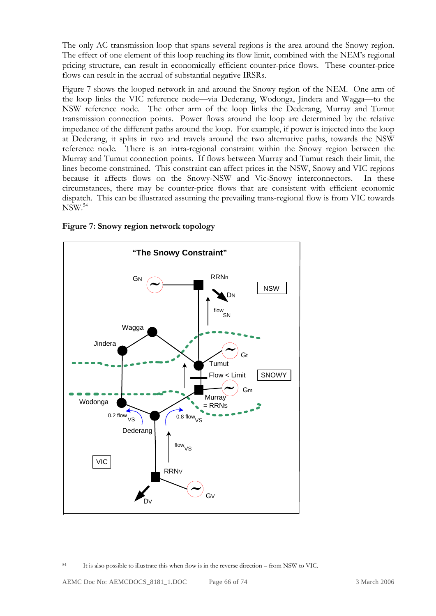The only AC transmission loop that spans several regions is the area around the Snowy region. The effect of one element of this loop reaching its flow limit, combined with the NEM's regional pricing structure, can result in economically efficient counter-price flows. These counter-price flows can result in the accrual of substantial negative IRSRs.

Figure 7 shows the looped network in and around the Snowy region of the NEM. One arm of the loop links the VIC reference node—via Dederang, Wodonga, Jindera and Wagga—to the NSW reference node. The other arm of the loop links the Dederang, Murray and Tumut transmission connection points. Power flows around the loop are determined by the relative impedance of the different paths around the loop. For example, if power is injected into the loop at Dederang, it splits in two and travels around the two alternative paths, towards the NSW reference node. There is an intra-regional constraint within the Snowy region between the Murray and Tumut connection points. If flows between Murray and Tumut reach their limit, the lines become constrained. This constraint can affect prices in the NSW, Snowy and VIC regions because it affects flows on the Snowy-NSW and Vic-Snowy interconnectors. In these circumstances, there may be counter-price flows that are consistent with efficient economic dispatch. This can be illustrated assuming the prevailing trans-regional flow is from VIC towards NSW.54



**Figure 7: Snowy region network topology** 

<sup>54</sup> It is also possible to illustrate this when flow is in the reverse direction – from NSW to VIC.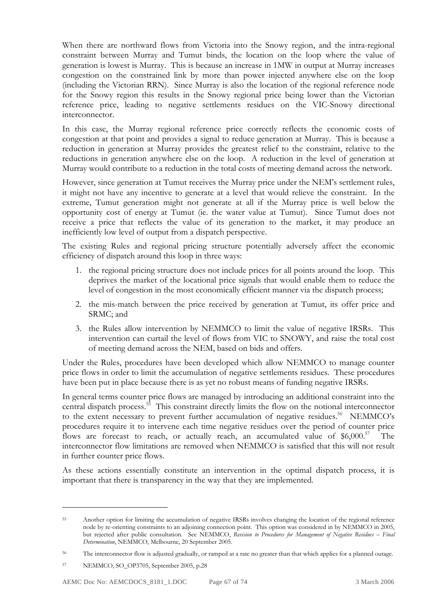When there are northward flows from Victoria into the Snowy region, and the intra-regional constraint between Murray and Tumut binds, the location on the loop where the value of generation is lowest is Murray. This is because an increase in 1MW in output at Murray increases congestion on the constrained link by more than power injected anywhere else on the loop (including the Victorian RRN). Since Murray is also the location of the regional reference node for the Snowy region this results in the Snowy regional price being lower than the Victorian reference price, leading to negative settlements residues on the VIC-Snowy directional interconnector.

In this case, the Murray regional reference price correctly reflects the economic costs of congestion at that point and provides a signal to reduce generation at Murray. This is because a reduction in generation at Murray provides the greatest relief to the constraint, relative to the reductions in generation anywhere else on the loop. A reduction in the level of generation at Murray would contribute to a reduction in the total costs of meeting demand across the network.

However, since generation at Tumut receives the Murray price under the NEM's settlement rules, it might not have any incentive to generate at a level that would relieve the constraint. In the extreme, Tumut generation might not generate at all if the Murray price is well below the opportunity cost of energy at Tumut (ie. the water value at Tumut). Since Tumut does not receive a price that reflects the value of its generation to the market, it may produce an inefficiently low level of output from a dispatch perspective.

The existing Rules and regional pricing structure potentially adversely affect the economic efficiency of dispatch around this loop in three ways:

- 1. the regional pricing structure does not include prices for all points around the loop. This deprives the market of the locational price signals that would enable them to reduce the level of congestion in the most economically efficient manner via the dispatch process;
- 2. the mis-match between the price received by generation at Tumut, its offer price and SRMC; and
- 3. the Rules allow intervention by NEMMCO to limit the value of negative IRSRs. This intervention can curtail the level of flows from VIC to SNOWY, and raise the total cost of meeting demand across the NEM, based on bids and offers.

Under the Rules, procedures have been developed which allow NEMMCO to manage counter price flows in order to limit the accumulation of negative settlements residues. These procedures have been put in place because there is as yet no robust means of funding negative IRSRs.

In general terms counter price flows are managed by introducing an additional constraint into the central dispatch process.<sup>55</sup> This constraint directly limits the flow on the notional interconnector to the extent necessary to prevent further accumulation of negative residues.<sup>56</sup> NEMMCO's procedures require it to intervene each time negative residues over the period of counter price flows are forecast to reach, or actually reach, an accumulated value of  $$6,000$ .<sup>57</sup> The interconnector flow limitations are removed when NEMMCO is satisfied that this will not result in further counter price flows.

As these actions essentially constitute an intervention in the optimal dispatch process, it is important that there is transparency in the way that they are implemented.

<sup>55</sup> Another option for limiting the accumulation of negative IRSRs involves changing the location of the regional reference node by re-orienting constraints to an adjoining connection point. This option was considered in by NEMMCO in 2005, but rejected after public consultation. See NEMMCO, *Revision to Procedures for Management of Negative Residues – Final Determination*, NEMMCO, Melbourne, 20 September 2005.

<sup>&</sup>lt;sup>56</sup> The interconnector flow is adjusted gradually, or ramped at a rate no greater than that which applies for a planned outage.

<sup>57</sup> NEMMCO, SO\_OP3705, September 2005, p.28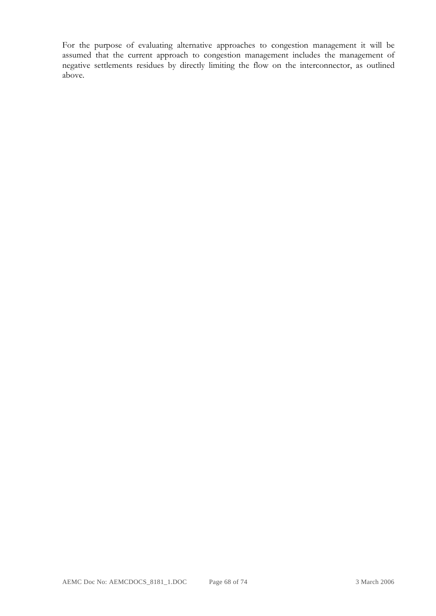For the purpose of evaluating alternative approaches to congestion management it will be assumed that the current approach to congestion management includes the management of negative settlements residues by directly limiting the flow on the interconnector, as outlined above.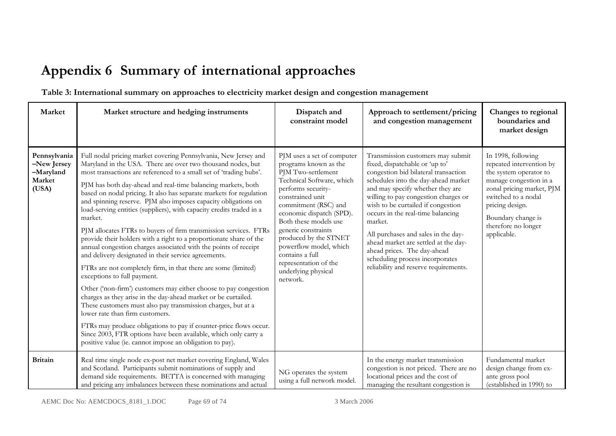# **Appendix 6 Summary of international approaches**

**Table 3: International summary on approaches to electricity market design and congestion management** 

| Market                                                      | Market structure and hedging instruments                                                                                                                                                                                                                                                                                                                                                                                                                                                                                                                                                                                                                                                                                                                                                                                                                                                                                                                                                                                                                                                                                                                                                                                                                                                                            | Dispatch and<br>constraint model                                                                                                                                                                                                                                                                                                                                                       | Approach to settlement/pricing<br>and congestion management                                                                                                                                                                                                                                                                                                                                                                                                                                                    | Changes to regional<br>boundaries and<br>market design                                                                                                                                                                                |
|-------------------------------------------------------------|---------------------------------------------------------------------------------------------------------------------------------------------------------------------------------------------------------------------------------------------------------------------------------------------------------------------------------------------------------------------------------------------------------------------------------------------------------------------------------------------------------------------------------------------------------------------------------------------------------------------------------------------------------------------------------------------------------------------------------------------------------------------------------------------------------------------------------------------------------------------------------------------------------------------------------------------------------------------------------------------------------------------------------------------------------------------------------------------------------------------------------------------------------------------------------------------------------------------------------------------------------------------------------------------------------------------|----------------------------------------------------------------------------------------------------------------------------------------------------------------------------------------------------------------------------------------------------------------------------------------------------------------------------------------------------------------------------------------|----------------------------------------------------------------------------------------------------------------------------------------------------------------------------------------------------------------------------------------------------------------------------------------------------------------------------------------------------------------------------------------------------------------------------------------------------------------------------------------------------------------|---------------------------------------------------------------------------------------------------------------------------------------------------------------------------------------------------------------------------------------|
| Pennsylvania<br>-New Jersey<br>-Maryland<br>Market<br>(USA) | Full nodal pricing market covering Pennsylvania, New Jersey and<br>Maryland in the USA. There are over two thousand nodes, but<br>most transactions are referenced to a small set of 'trading hubs'.<br>PJM has both day-ahead and real-time balancing markets, both<br>based on nodal pricing. It also has separate markets for regulation<br>and spinning reserve. PJM also imposes capacity obligations on<br>load-serving entities (suppliers), with capacity credits traded in a<br>market.<br>PJM allocates FTRs to buyers of firm transmission services. FTRs<br>provide their holders with a right to a proportionate share of the<br>annual congestion charges associated with the points of receipt<br>and delivery designated in their service agreements.<br>FTRs are not completely firm, in that there are some (limited)<br>exceptions to full payment.<br>Other ('non-firm') customers may either choose to pay congestion<br>charges as they arise in the day-ahead market or be curtailed.<br>These customers must also pay transmission charges, but at a<br>lower rate than firm customers.<br>FTRs may produce obligations to pay if counter-price flows occur.<br>Since 2003, FTR options have been available, which only carry a<br>positive value (ie. cannot impose an obligation to pay). | PJM uses a set of computer<br>programs known as the<br>PJM Two-settlement<br>Technical Software, which<br>performs security-<br>constrained unit<br>commitment (RSC) and<br>economic dispatch (SPD).<br>Both these models use<br>generic constraints<br>produced by the STNET<br>powerflow model, which<br>contains a full<br>representation of the<br>underlying physical<br>network. | Transmission customers may submit<br>fixed, dispatchable or 'up to'<br>congestion bid bilateral transaction<br>schedules into the day-ahead market<br>and may specify whether they are<br>willing to pay congestion charges or<br>wish to be curtailed if congestion<br>occurs in the real-time balancing<br>market.<br>All purchases and sales in the day-<br>ahead market are settled at the day-<br>ahead prices. The day-ahead<br>scheduling process incorporates<br>reliability and reserve requirements. | In 1998, following<br>repeated intervention by<br>the system operator to<br>manage congestion in a<br>zonal pricing market, PJM<br>switched to a nodal<br>pricing design.<br>Boundary change is<br>therefore no longer<br>applicable. |
| <b>Britain</b>                                              | Real time single node ex-post net market covering England, Wales<br>and Scotland. Participants submit nominations of supply and<br>demand side requirements. BETTA is concerned with managing<br>and pricing any imbalances between these nominations and actual                                                                                                                                                                                                                                                                                                                                                                                                                                                                                                                                                                                                                                                                                                                                                                                                                                                                                                                                                                                                                                                    | NG operates the system<br>using a full network model.                                                                                                                                                                                                                                                                                                                                  | In the energy market transmission<br>congestion is not priced. There are no<br>locational prices and the cost of<br>managing the resultant congestion is                                                                                                                                                                                                                                                                                                                                                       | Fundamental market<br>design change from ex-<br>ante gross pool<br>(established in 1990) to                                                                                                                                           |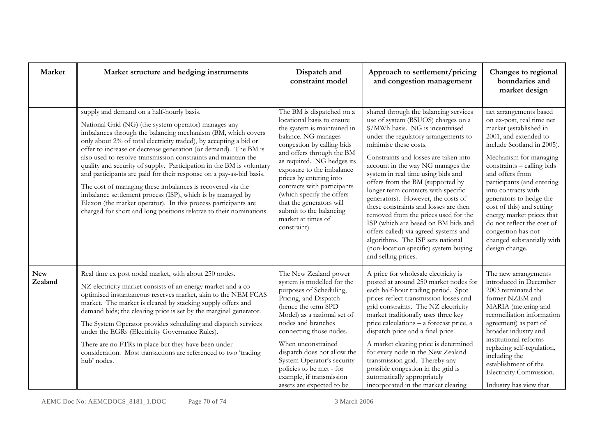| Market                | Market structure and hedging instruments                                                                                                                                                                                                                                                                                                                                                                                                                                                                                                                                                                                                                                                                                                                                                        | Dispatch and<br>constraint model                                                                                                                                                                                                                                                                                                                                                                                        | Approach to settlement/pricing<br>and congestion management                                                                                                                                                                                                                                                                                                                                                                                                                                                                                                                                                                                                                                 | Changes to regional<br>boundaries and<br>market design                                                                                                                                                                                                                                                                                                                                                                                                        |
|-----------------------|-------------------------------------------------------------------------------------------------------------------------------------------------------------------------------------------------------------------------------------------------------------------------------------------------------------------------------------------------------------------------------------------------------------------------------------------------------------------------------------------------------------------------------------------------------------------------------------------------------------------------------------------------------------------------------------------------------------------------------------------------------------------------------------------------|-------------------------------------------------------------------------------------------------------------------------------------------------------------------------------------------------------------------------------------------------------------------------------------------------------------------------------------------------------------------------------------------------------------------------|---------------------------------------------------------------------------------------------------------------------------------------------------------------------------------------------------------------------------------------------------------------------------------------------------------------------------------------------------------------------------------------------------------------------------------------------------------------------------------------------------------------------------------------------------------------------------------------------------------------------------------------------------------------------------------------------|---------------------------------------------------------------------------------------------------------------------------------------------------------------------------------------------------------------------------------------------------------------------------------------------------------------------------------------------------------------------------------------------------------------------------------------------------------------|
|                       | supply and demand on a half-hourly basis.<br>National Grid (NG) (the system operator) manages any<br>imbalances through the balancing mechanism (BM, which covers<br>only about 2% of total electricity traded), by accepting a bid or<br>offer to increase or decrease generation (or demand). The BM is<br>also used to resolve transmission constraints and maintain the<br>quality and security of supply. Participation in the BM is voluntary<br>and participants are paid for their response on a pay-as-bid basis.<br>The cost of managing these imbalances is recovered via the<br>imbalance settlement process (ISP), which is by managed by<br>Elexon (the market operator). In this process participants are<br>charged for short and long positions relative to their nominations. | The BM is dispatched on a<br>locational basis to ensure<br>the system is maintained in<br>balance. NG manages<br>congestion by calling bids<br>and offers through the BM<br>as required. NG hedges its<br>exposure to the imbalance<br>prices by entering into<br>contracts with participants<br>(which specify the offers<br>that the generators will<br>submit to the balancing<br>market at times of<br>constraint). | shared through the balancing services<br>use of system (BSUOS) charges on a<br>\$/MWh basis. NG is incentivised<br>under the regulatory arrangements to<br>minimise these costs.<br>Constraints and losses are taken into<br>account in the way NG manages the<br>system in real time using bids and<br>offers from the BM (supported by<br>longer term contracts with specific<br>generators). However, the costs of<br>these constraints and losses are then<br>removed from the prices used for the<br>ISP (which are based on BM bids and<br>offers called) via agreed systems and<br>algorithms. The ISP sets national<br>(non-location specific) system buying<br>and selling prices. | net arrangements based<br>on ex-post, real time net<br>market (established in<br>2001, and extended to<br>include Scotland in 2005).<br>Mechanism for managing<br>constraints - calling bids<br>and offers from<br>participants (and entering<br>into contracts with<br>generators to hedge the<br>cost of this) and setting<br>energy market prices that<br>do not reflect the cost of<br>congestion has not<br>changed substantially with<br>design change. |
| <b>New</b><br>Zealand | Real time ex post nodal market, with about 250 nodes.<br>NZ electricity market consists of an energy market and a co-<br>optimised instantaneous reserves market, akin to the NEM FCAS<br>market. The market is cleared by stacking supply offers and<br>demand bids; the clearing price is set by the marginal generator.<br>The System Operator provides scheduling and dispatch services<br>under the EGRs (Electricity Governance Rules).<br>There are no FTRs in place but they have been under<br>consideration. Most transactions are referenced to two 'trading<br>hub' nodes.                                                                                                                                                                                                          | The New Zealand power<br>system is modelled for the<br>purposes of Scheduling,<br>Pricing, and Dispatch<br>(hence the term SPD<br>Model) as a national set of<br>nodes and branches<br>connecting those nodes.<br>When unconstrained<br>dispatch does not allow the<br>System Operator's security<br>policies to be met - for<br>example, if transmission<br>assets are expected to be                                  | A price for wholesale electricity is<br>posted at around 250 market nodes for<br>each half-hour trading period. Spot<br>prices reflect transmission losses and<br>grid constraints. The NZ electricity<br>market traditionally uses three key<br>price calculations - a forecast price, a<br>dispatch price and a final price.<br>A market clearing price is determined<br>for every node in the New Zealand<br>transmission grid. Thereby any<br>possible congestion in the grid is<br>automatically appropriately<br>incorporated in the market clearing                                                                                                                                  | The new arrangements<br>introduced in December<br>2003 terminated the<br>former NZEM and<br>MARIA (metering and<br>reconciliation information<br>agreement) as part of<br>broader industry and<br>institutional reforms<br>replacing self-regulation,<br>including the<br>establishment of the<br>Electricity Commission.<br>Industry has view that                                                                                                           |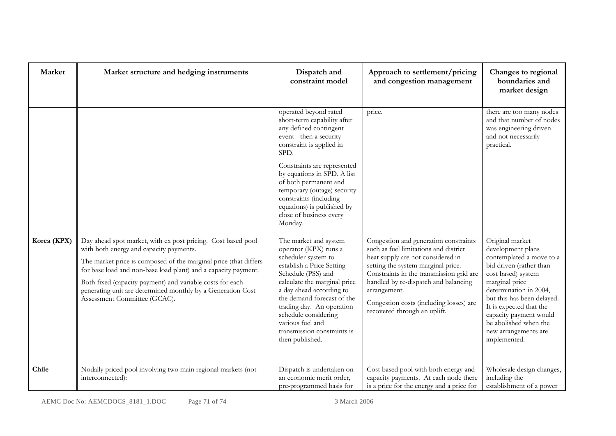| Market      | Market structure and hedging instruments                                                                                                                                                                                                                                                                                                                                                                  | Dispatch and<br>constraint model                                                                                                                                                                                                                                                                                                                                  | Approach to settlement/pricing<br>and congestion management                                                                                                                                                                                                                                                                              | Changes to regional<br>boundaries and<br>market design                                                                                                                                                                                                                                                            |
|-------------|-----------------------------------------------------------------------------------------------------------------------------------------------------------------------------------------------------------------------------------------------------------------------------------------------------------------------------------------------------------------------------------------------------------|-------------------------------------------------------------------------------------------------------------------------------------------------------------------------------------------------------------------------------------------------------------------------------------------------------------------------------------------------------------------|------------------------------------------------------------------------------------------------------------------------------------------------------------------------------------------------------------------------------------------------------------------------------------------------------------------------------------------|-------------------------------------------------------------------------------------------------------------------------------------------------------------------------------------------------------------------------------------------------------------------------------------------------------------------|
|             |                                                                                                                                                                                                                                                                                                                                                                                                           | operated beyond rated<br>short-term capability after<br>any defined contingent<br>event - then a security<br>constraint is applied in<br>SPD.<br>Constraints are represented<br>by equations in SPD. A list<br>of both permanent and<br>temporary (outage) security<br>constraints (including<br>equations) is published by<br>close of business every<br>Monday. | price.                                                                                                                                                                                                                                                                                                                                   | there are too many nodes<br>and that number of nodes<br>was engineering driven<br>and not necessarily<br>practical.                                                                                                                                                                                               |
| Korea (KPX) | Day ahead spot market, with ex post pricing. Cost based pool<br>with both energy and capacity payments.<br>The market price is composed of the marginal price (that differs<br>for base load and non-base load plant) and a capacity payment.<br>Both fixed (capacity payment) and variable costs for each<br>generating unit are determined monthly by a Generation Cost<br>Assessment Committee (GCAC). | The market and system<br>operator (KPX) runs a<br>scheduler system to<br>establish a Price Setting<br>Schedule (PSS) and<br>calculate the marginal price<br>a day ahead according to<br>the demand forecast of the<br>trading day. An operation<br>schedule considering<br>various fuel and<br>transmission constraints is<br>then published.                     | Congestion and generation constraints<br>such as fuel limitations and district<br>heat supply are not considered in<br>setting the system marginal price.<br>Constraints in the transmission grid are<br>handled by re-dispatch and balancing<br>arrangement.<br>Congestion costs (including losses) are<br>recovered through an uplift. | Original market<br>development plans<br>contemplated a move to a<br>bid driven (rather than<br>cost based) system<br>marginal price<br>determination in 2004,<br>but this has been delayed.<br>It is expected that the<br>capacity payment would<br>be abolished when the<br>new arrangements are<br>implemented. |
| Chile       | Nodally priced pool involving two main regional markets (not<br>interconnected):                                                                                                                                                                                                                                                                                                                          | Dispatch is undertaken on<br>an economic merit order,<br>pre-programmed basis for                                                                                                                                                                                                                                                                                 | Cost based pool with both energy and<br>capacity payments. At each node there<br>is a price for the energy and a price for                                                                                                                                                                                                               | Wholesale design changes,<br>including the<br>establishment of a power                                                                                                                                                                                                                                            |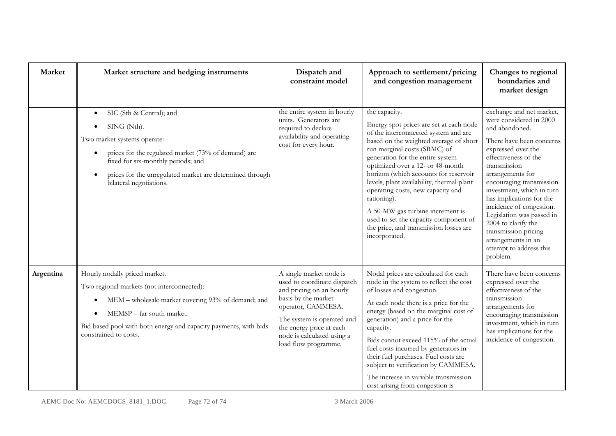| Market    | Market structure and hedging instruments                                                                                                                                                                                                                                                          | Dispatch and<br>constraint model                                                                                                                                                                                                                | Approach to settlement/pricing<br>and congestion management                                                                                                                                                                                                                                                                                                                                                                                                                                                                          | Changes to regional<br>boundaries and<br>market design                                                                                                                                                                                                                                                                                                                                                                                        |
|-----------|---------------------------------------------------------------------------------------------------------------------------------------------------------------------------------------------------------------------------------------------------------------------------------------------------|-------------------------------------------------------------------------------------------------------------------------------------------------------------------------------------------------------------------------------------------------|--------------------------------------------------------------------------------------------------------------------------------------------------------------------------------------------------------------------------------------------------------------------------------------------------------------------------------------------------------------------------------------------------------------------------------------------------------------------------------------------------------------------------------------|-----------------------------------------------------------------------------------------------------------------------------------------------------------------------------------------------------------------------------------------------------------------------------------------------------------------------------------------------------------------------------------------------------------------------------------------------|
|           | SIC (Sth & Central); and<br>$\bullet$<br>SING (Nth).<br>Two market systems operate:<br>prices for the regulated market (73% of demand) are<br>$\bullet$<br>fixed for six-monthly periods; and<br>prices for the unregulated market are determined through<br>$\bullet$<br>bilateral negotiations. | the entire system in hourly<br>units. Generators are<br>required to declare<br>availability and operating<br>cost for every hour.                                                                                                               | the capacity.<br>Energy spot prices are set at each node<br>of the interconnected system and are<br>based on the weighted average of short<br>run marginal costs (SRMC) of<br>generation for the entire system<br>optimized over a 12- or 48-month<br>horizon (which accounts for reservoir<br>levels, plant availability, thermal plant<br>operating costs, new capacity and<br>rationing).<br>A 50-MW gas turbine increment is<br>used to set the capacity component of<br>the price, and transmission losses are<br>incorporated. | exchange and net market,<br>were considered in 2000<br>and abandoned.<br>There have been concerns<br>expressed over the<br>effectiveness of the<br>transmission<br>arrangements for<br>encouraging transmission<br>investment, which in turn<br>has implications for the<br>incidence of congestion.<br>Legislation was passed in<br>2004 to clarify the<br>transmission pricing<br>arrangements in an<br>attempt to address this<br>problem. |
| Argentina | Hourly nodally priced market.<br>Two regional markets (not interconnected):<br>MEM – wholesale market covering 93% of demand; and<br>$\bullet$<br>MEMSP - far south market.<br>Bid based pool with both energy and capacity payments, with bids<br>constrained to costs.                          | A single market node is<br>used to coordinate dispatch<br>and pricing on an hourly<br>basis by the market<br>operator, CAMMESA.<br>The system is operated and<br>the energy price at each<br>node is calculated using a<br>load flow programme. | Nodal prices are calculated for each<br>node in the system to reflect the cost<br>of losses and congestion.<br>At each node there is a price for the<br>energy (based on the marginal cost of<br>generation) and a price for the<br>capacity.<br>Bids cannot exceed 115% of the actual<br>fuel costs incurred by generators in<br>their fuel purchases. Fuel costs are<br>subject to verification by CAMMESA.<br>The increase in variable transmission<br>cost arising from congestion is                                            | There have been concerns<br>expressed over the<br>effectiveness of the<br>transmission<br>arrangements for<br>encouraging transmission<br>investment, which in turn<br>has implications for the<br>incidence of congestion.                                                                                                                                                                                                                   |